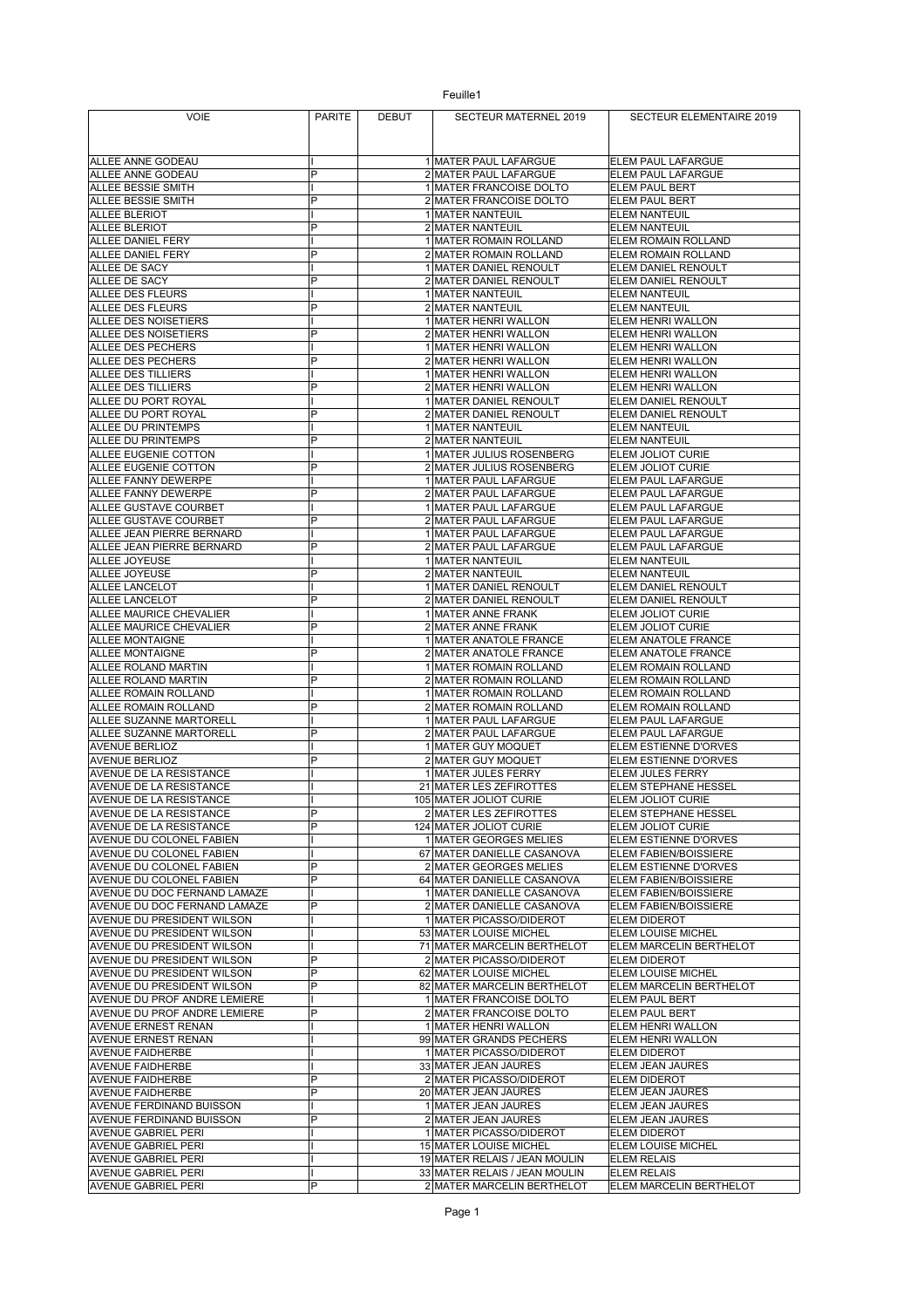| <b>VOIE</b>                                                     | <b>PARITE</b> | <b>DEBUT</b> | SECTEUR MATERNEL 2019                                   | SECTEUR ELEMENTAIRE 2019                        |
|-----------------------------------------------------------------|---------------|--------------|---------------------------------------------------------|-------------------------------------------------|
|                                                                 |               |              |                                                         |                                                 |
|                                                                 |               |              |                                                         |                                                 |
| ALLEE ANNE GODEAU                                               |               |              | 1 MATER PAUL LAFARGUE                                   | ELEM PAUL LAFARGUE                              |
| ALLEE ANNE GODEAU<br>ALLEE BESSIE SMITH                         | P             |              | 2 MATER PAUL LAFARGUE<br>1 MATER FRANCOISE DOLTO        | ELEM PAUL LAFARGUE<br><b>ELEM PAUL BERT</b>     |
| ALLEE BESSIE SMITH                                              | P             |              | 2 MATER FRANCOISE DOLTO                                 | <b>ELEM PAUL BERT</b>                           |
| <b>ALLEE BLERIOT</b>                                            |               |              | 1 MATER NANTEUIL                                        | <b>ELEM NANTEUIL</b>                            |
| <b>ALLEE BLERIOT</b>                                            | P             |              | 2 MATER NANTEUIL                                        | <b>ELEM NANTEUIL</b>                            |
| ALLEE DANIEL FERY                                               |               |              | 1 MATER ROMAIN ROLLAND                                  | ELEM ROMAIN ROLLAND                             |
| ALLEE DANIEL FERY                                               | P             |              | 2 MATER ROMAIN ROLLAND                                  | ELEM ROMAIN ROLLAND                             |
| ALLEE DE SACY                                                   | P             |              | 1 MATER DANIEL RENOULT                                  | ELEM DANIEL RENOULT                             |
| ALLEE DE SACY<br>ALLEE DES FLEURS                               |               |              | 2 MATER DANIEL RENOULT<br>1 MATER NANTEUIL              | ELEM DANIEL RENOULT<br><b>ELEM NANTEUIL</b>     |
| ALLEE DES FLEURS                                                | P             |              | 2 MATER NANTEUIL                                        | <b>ELEM NANTEUIL</b>                            |
| ALLEE DES NOISETIERS                                            |               |              | 1 MATER HENRI WALLON                                    | ELEM HENRI WALLON                               |
| ALLEE DES NOISETIERS                                            | P             |              | 2 MATER HENRI WALLON                                    | ELEM HENRI WALLON                               |
| ALLEE DES PECHERS                                               |               |              | 1 MATER HENRI WALLON                                    | ELEM HENRI WALLON                               |
| ALLEE DES PECHERS                                               | P             |              | 2 MATER HENRI WALLON                                    | ELEM HENRI WALLON                               |
| ALLEE DES TILLIERS                                              | P             |              | 1 MATER HENRI WALLON                                    | ELEM HENRI WALLON                               |
| <b>ALLEE DES TILLIERS</b><br>ALLEE DU PORT ROYAL                |               |              | 2 MATER HENRI WALLON<br>1 MATER DANIEL RENOULT          | ELEM HENRI WALLON<br>ELEM DANIEL RENOULT        |
| ALLEE DU PORT ROYAL                                             | P             |              | 2 MATER DANIEL RENOULT                                  | ELEM DANIEL RENOULT                             |
| ALLEE DU PRINTEMPS                                              |               |              | 1 MATER NANTEUIL                                        | <b>ELEM NANTEUIL</b>                            |
| ALLEE DU PRINTEMPS                                              | P             |              | 2 MATER NANTEUIL                                        | <b>ELEM NANTEUIL</b>                            |
| ALLEE EUGENIE COTTON                                            |               |              | 1 MATER JULIUS ROSENBERG                                | ELEM JOLIOT CURIE                               |
| ALLEE EUGENIE COTTON                                            | P             |              | 2 MATER JULIUS ROSENBERG                                | ELEM JOLIOT CURIE                               |
| ALLEE FANNY DEWERPE<br>ALLEE FANNY DEWERPE                      | P             |              | 1 MATER PAUL LAFARGUE<br>2 MATER PAUL LAFARGUE          | ELEM PAUL LAFARGUE<br>ELEM PAUL LAFARGUE        |
| ALLEE GUSTAVE COURBET                                           |               |              | 1 MATER PAUL LAFARGUE                                   | ELEM PAUL LAFARGUE                              |
| ALLEE GUSTAVE COURBET                                           | P             |              | 2 MATER PAUL LAFARGUE                                   | ELEM PAUL LAFARGUE                              |
| ALLEE JEAN PIERRE BERNARD                                       |               |              | 1 MATER PAUL LAFARGUE                                   | ELEM PAUL LAFARGUE                              |
| ALLEE JEAN PIERRE BERNARD                                       | P             |              | 2 MATER PAUL LAFARGUE                                   | ELEM PAUL LAFARGUE                              |
| ALLEE JOYEUSE                                                   |               |              | 1 MATER NANTEUIL                                        | <b>ELEM NANTEUIL</b>                            |
| ALLEE JOYEUSE                                                   | P             |              | 2 MATER NANTEUIL                                        | <b>ELEM NANTEUIL</b>                            |
| ALLEE LANCELOT<br>ALLEE LANCELOT                                | P             |              | 1 MATER DANIEL RENOULT                                  | ELEM DANIEL RENOULT<br>ELEM DANIEL RENOULT      |
| ALLEE MAURICE CHEVALIER                                         |               |              | 2 MATER DANIEL RENOULT<br>1 MATER ANNE FRANK            | ELEM JOLIOT CURIE                               |
| ALLEE MAURICE CHEVALIER                                         | P             |              | 2 MATER ANNE FRANK                                      | ELEM JOLIOT CURIE                               |
| <b>ALLEE MONTAIGNE</b>                                          |               |              | 1 MATER ANATOLE FRANCE                                  | ELEM ANATOLE FRANCE                             |
| <b>ALLEE MONTAIGNE</b>                                          | P             |              | 2 MATER ANATOLE FRANCE                                  | ELEM ANATOLE FRANCE                             |
| ALLEE ROLAND MARTIN                                             |               |              | 1 MATER ROMAIN ROLLAND                                  | ELEM ROMAIN ROLLAND                             |
| ALLEE ROLAND MARTIN<br>ALLEE ROMAIN ROLLAND                     | P             |              | 2 MATER ROMAIN ROLLAND                                  | ELEM ROMAIN ROLLAND<br>ELEM ROMAIN ROLLAND      |
| ALLEE ROMAIN ROLLAND                                            | P             |              | 1 MATER ROMAIN ROLLAND<br>2 MATER ROMAIN ROLLAND        | ELEM ROMAIN ROLLAND                             |
| ALLEE SUZANNE MARTORELL                                         |               |              | 1 MATER PAUL LAFARGUE                                   | ELEM PAUL LAFARGUE                              |
| ALLEE SUZANNE MARTORELL                                         | P             |              | 2 MATER PAUL LAFARGUE                                   | ELEM PAUL LAFARGUE                              |
| <b>AVENUE BERLIOZ</b>                                           |               |              | 1 MATER GUY MOQUET                                      | <b>ELEM ESTIENNE D'ORVES</b>                    |
| <b>AVENUE BERLIOZ</b>                                           | P             |              | 2 MATER GUY MOQUET                                      | ELEM ESTIENNE D'ORVES                           |
| AVENUE DE LA RESISTANCE                                         |               |              | 1 MATER JULES FERRY<br>21 MATER LES ZEFIROTTES          | ELEM JULES FERRY<br><b>ELEM STEPHANE HESSEL</b> |
| AVENUE DE LA RESISTANCE<br><b>AVENUE DE LA RESISTANCE</b>       |               |              | 105 MATER JOLIOT CURIE                                  | ELEM JOLIOT CURIE                               |
| AVENUE DE LA RESISTANCE                                         | P             |              | 2 MATER LES ZEFIROTTES                                  | ELEM STEPHANE HESSEL                            |
| AVENUE DE LA RESISTANCE                                         | P             |              | 124 MATER JOLIOT CURIE                                  | ELEM JOLIOT CURIE                               |
| <b>AVENUE DU COLONEL FABIEN</b>                                 |               |              | 1 MATER GEORGES MELIES                                  | ELEM ESTIENNE D'ORVES                           |
| AVENUE DU COLONEL FABIEN                                        |               |              | 67 MATER DANIELLE CASANOVA                              | ELEM FABIEN/BOISSIERE                           |
| AVENUE DU COLONEL FABIEN                                        | P<br>P        |              | 2 MATER GEORGES MELIES                                  | ELEM ESTIENNE D'ORVES                           |
| <b>AVENUE DU COLONEL FABIEN</b><br>AVENUE DU DOC FERNAND LAMAZE |               |              | 64 MATER DANIELLE CASANOVA<br>1 MATER DANIELLE CASANOVA | ELEM FABIEN/BOISSIERE<br>ELEM FABIEN/BOISSIERE  |
| AVENUE DU DOC FERNAND LAMAZE                                    | P             |              | 2 MATER DANIELLE CASANOVA                               | ELEM FABIEN/BOISSIERE                           |
| AVENUE DU PRESIDENT WILSON                                      |               |              | 1 MATER PICASSO/DIDEROT                                 | ELEM DIDEROT                                    |
| <b>AVENUE DU PRESIDENT WILSON</b>                               |               |              | 53 MATER LOUISE MICHEL                                  | ELEM LOUISE MICHEL                              |
| AVENUE DU PRESIDENT WILSON                                      |               |              | 71 MATER MARCELIN BERTHELOT                             | ELEM MARCELIN BERTHELOT                         |
| AVENUE DU PRESIDENT WILSON                                      | P             |              | 2 MATER PICASSO/DIDEROT                                 | <b>ELEM DIDEROT</b>                             |
| AVENUE DU PRESIDENT WILSON                                      | P<br>P        |              | 62 MATER LOUISE MICHEL<br>82 MATER MARCELIN BERTHELOT   | ELEM LOUISE MICHEL                              |
| AVENUE DU PRESIDENT WILSON<br>AVENUE DU PROF ANDRE LEMIERE      |               |              | 1 MATER FRANCOISE DOLTO                                 | ELEM MARCELIN BERTHELOT<br>ELEM PAUL BERT       |
| AVENUE DU PROF ANDRE LEMIERE                                    | P             |              | 2 MATER FRANCOISE DOLTO                                 | ELEM PAUL BERT                                  |
| <b>AVENUE ERNEST RENAN</b>                                      |               |              | 1 MATER HENRI WALLON                                    | ELEM HENRI WALLON                               |
| AVENUE ERNEST RENAN                                             |               |              | 99 MATER GRANDS PECHERS                                 | ELEM HENRI WALLON                               |
| <b>AVENUE FAIDHERBE</b>                                         |               |              | 1 MATER PICASSO/DIDEROT                                 | <b>ELEM DIDEROT</b>                             |
| <b>AVENUE FAIDHERBE</b>                                         |               |              | 33 MATER JEAN JAURES                                    | ELEM JEAN JAURES                                |
| <b>AVENUE FAIDHERBE</b>                                         | P<br>P        |              | 2 MATER PICASSO/DIDEROT<br>20 MATER JEAN JAURES         | <b>ELEM DIDEROT</b><br>ELEM JEAN JAURES         |
| <b>AVENUE FAIDHERBE</b><br>AVENUE FERDINAND BUISSON             |               |              | 1 MATER JEAN JAURES                                     | ELEM JEAN JAURES                                |
| <b>AVENUE FERDINAND BUISSON</b>                                 | P             |              | 2 MATER JEAN JAURES                                     | ELEM JEAN JAURES                                |
| <b>AVENUE GABRIEL PERI</b>                                      |               |              | 1 MATER PICASSO/DIDEROT                                 | <b>ELEM DIDEROT</b>                             |
| <b>AVENUE GABRIEL PERI</b>                                      |               |              | 15 MATER LOUISE MICHEL                                  | ELEM LOUISE MICHEL                              |
| AVENUE GABRIEL PERI                                             |               |              | 19 MATER RELAIS / JEAN MOULIN                           | <b>ELEM RELAIS</b>                              |
| <b>AVENUE GABRIEL PERI</b>                                      |               |              | 33 MATER RELAIS / JEAN MOULIN                           | <b>ELEM RELAIS</b>                              |
| <b>AVENUE GABRIEL PERI</b>                                      | P             |              | 2 MATER MARCELIN BERTHELOT                              | ELEM MARCELIN BERTHELOT                         |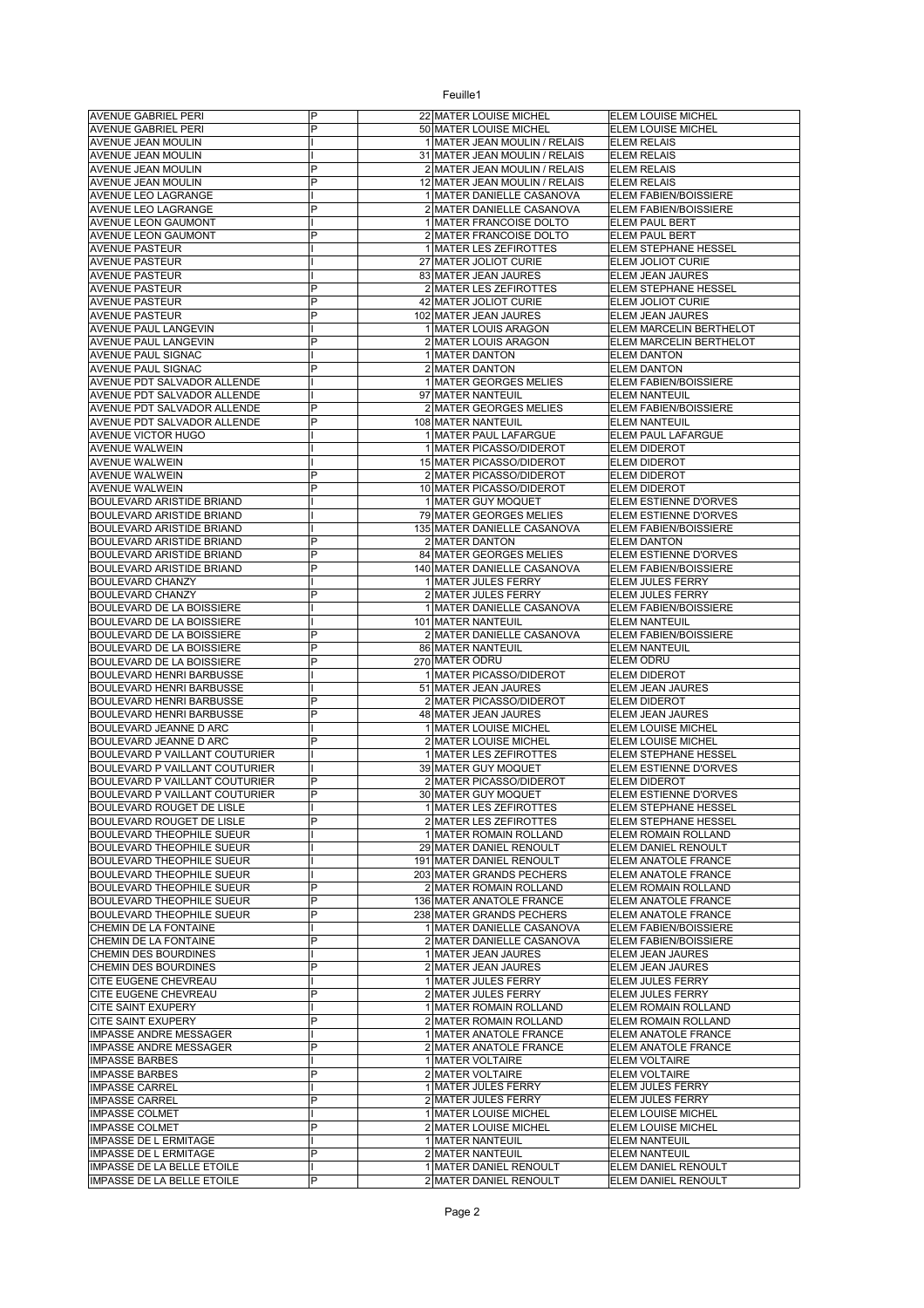| <b>AVENUE GABRIEL PERI</b>                                         | P              | 22 MATER LOUISE MICHEL                                 | ELEM LOUISE MICHEL                             |
|--------------------------------------------------------------------|----------------|--------------------------------------------------------|------------------------------------------------|
| <b>AVENUE GABRIEL PERI</b>                                         | P              | 50 MATER LOUISE MICHEL                                 | ELEM LOUISE MICHEL                             |
| <b>AVENUE JEAN MOULIN</b>                                          |                | 1 MATER JEAN MOULIN / RELAIS                           | <b>ELEM RELAIS</b>                             |
| AVENUE JEAN MOULIN                                                 |                | 31 MATER JEAN MOULIN / RELAIS                          | <b>ELEM RELAIS</b>                             |
| AVENUE JEAN MOULIN                                                 | P              | 2 MATER JEAN MOULIN / RELAIS                           | <b>ELEM RELAIS</b>                             |
| AVENUE JEAN MOULIN                                                 | P              | 12 MATER JEAN MOULIN / RELAIS                          | <b>ELEM RELAIS</b>                             |
| AVENUE LEO LAGRANGE<br>AVENUE LEO LAGRANGE                         | P              | 1 MATER DANIELLE CASANOVA<br>2 MATER DANIELLE CASANOVA | ELEM FABIEN/BOISSIERE<br>ELEM FABIEN/BOISSIERE |
| <b>AVENUE LEON GAUMONT</b>                                         |                | 1 MATER FRANCOISE DOLTO                                | ELEM PAUL BERT                                 |
| <b>AVENUE LEON GAUMONT</b>                                         | P              | 2 MATER FRANCOISE DOLTO                                | ELEM PAUL BERT                                 |
| <b>AVENUE PASTEUR</b>                                              |                | 1 MATER LES ZEFIROTTES                                 | ELEM STEPHANE HESSEL                           |
| <b>AVENUE PASTEUR</b>                                              |                | 27 MATER JOLIOT CURIE                                  | ELEM JOLIOT CURIE                              |
| <b>AVENUE PASTEUR</b>                                              |                | 83 MATER JEAN JAURES                                   | <b>ELEM JEAN JAURES</b>                        |
| <b>AVENUE PASTEUR</b>                                              | P              | 2 MATER LES ZEFIROTTES                                 | <b>ELEM STEPHANE HESSEL</b>                    |
| <b>AVENUE PASTEUR</b>                                              | $\overline{P}$ | 42 MATER JOLIOT CURIE                                  | ELEM JOLIOT CURIE                              |
| <b>AVENUE PASTEUR</b>                                              | $\overline{P}$ | 102 MATER JEAN JAURES                                  | ELEM JEAN JAURES                               |
| AVENUE PAUL LANGEVIN                                               |                | 1 MATER LOUIS ARAGON                                   | ELEM MARCELIN BERTHELOT                        |
| AVENUE PAUL LANGEVIN                                               | P              | 2 MATER LOUIS ARAGON                                   | ELEM MARCELIN BERTHELOT                        |
| AVENUE PAUL SIGNAC                                                 |                | 1 MATER DANTON                                         | <b>ELEM DANTON</b>                             |
| AVENUE PAUL SIGNAC                                                 | P              | 2 MATER DANTON                                         | <b>ELEM DANTON</b>                             |
| AVENUE PDT SALVADOR ALLENDE                                        |                | 1 MATER GEORGES MELIES                                 | ELEM FABIEN/BOISSIERE                          |
| AVENUE PDT SALVADOR ALLENDE                                        |                | 97 MATER NANTEUIL                                      | ELEM NANTEUIL                                  |
| AVENUE PDT SALVADOR ALLENDE                                        | P<br>P         | 2 MATER GEORGES MELIES                                 | ELEM FABIEN/BOISSIERE<br><b>ELEM NANTEUIL</b>  |
| AVENUE PDT SALVADOR ALLENDE<br>AVENUE VICTOR HUGO                  |                | 108 MATER NANTEUIL<br>1 MATER PAUL LAFARGUE            | ELEM PAUL LAFARGUE                             |
| <b>AVENUE WALWEIN</b>                                              |                | 1 MATER PICASSO/DIDEROT                                | ELEM DIDEROT                                   |
| AVENUE WALWEIN                                                     |                | 15 MATER PICASSO/DIDEROT                               | <b>ELEM DIDEROT</b>                            |
| <b>AVENUE WALWEIN</b>                                              | P              | 2 MATER PICASSO/DIDEROT                                | <b>ELEM DIDEROT</b>                            |
| <b>AVENUE WALWEIN</b>                                              | P              | 10 MATER PICASSO/DIDEROT                               | ELEM DIDEROT                                   |
| <b>BOULEVARD ARISTIDE BRIAND</b>                                   |                | 1 MATER GUY MOQUET                                     | ELEM ESTIENNE D'ORVES                          |
| <b>BOULEVARD ARISTIDE BRIAND</b>                                   |                | 79 MATER GEORGES MELIES                                | ELEM ESTIENNE D'ORVES                          |
| <b>BOULEVARD ARISTIDE BRIAND</b>                                   |                | 135 MATER DANIELLE CASANOVA                            | ELEM FABIEN/BOISSIERE                          |
| <b>BOULEVARD ARISTIDE BRIAND</b>                                   | P              | 2 MATER DANTON                                         | <b>ELEM DANTON</b>                             |
| <b>BOULEVARD ARISTIDE BRIAND</b>                                   | P              | 84 MATER GEORGES MELIES                                | ELEM ESTIENNE D'ORVES                          |
| <b>BOULEVARD ARISTIDE BRIAND</b>                                   | P              | 140 MATER DANIELLE CASANOVA                            | ELEM FABIEN/BOISSIERE                          |
| <b>BOULEVARD CHANZY</b>                                            |                | 1 MATER JULES FERRY                                    | ELEM JULES FERRY                               |
| <b>BOULEVARD CHANZY</b>                                            | P              | 2 MATER JULES FERRY                                    | ELEM JULES FERRY                               |
| BOULEVARD DE LA BOISSIERE                                          |                | 1 MATER DANIELLE CASANOVA                              | ELEM FABIEN/BOISSIERE                          |
| BOULEVARD DE LA BOISSIERE<br>BOULEVARD DE LA BOISSIERE             | P              | 101 MATER NANTEUIL<br>2 MATER DANIELLE CASANOVA        | <b>ELEM NANTEUIL</b><br>ELEM FABIEN/BOISSIERE  |
| BOULEVARD DE LA BOISSIERE                                          | P              | 86 MATER NANTEUIL                                      | <b>ELEM NANTEUIL</b>                           |
| BOULEVARD DE LA BOISSIERE                                          | P              | 270 MATER ODRU                                         | ELEM ODRU                                      |
| <b>BOULEVARD HENRI BARBUSSE</b>                                    |                | 1 MATER PICASSO/DIDEROT                                | ELEM DIDEROT                                   |
| <b>BOULEVARD HENRI BARBUSSE</b>                                    |                | 51 MATER JEAN JAURES                                   | ELEM JEAN JAURES                               |
| BOULEVARD HENRI BARBUSSE                                           | P              | 2 MATER PICASSO/DIDEROT                                | ELEM DIDEROT                                   |
| <b>BOULEVARD HENRI BARBUSSE</b>                                    | P              | 48 MATER JEAN JAURES                                   | ELEM JEAN JAURES                               |
| BOULEVARD JEANNE D ARC                                             |                | 1 MATER LOUISE MICHEL                                  | ELEM LOUISE MICHEL                             |
| BOULEVARD JEANNE D ARC                                             | P              | 2 MATER LOUISE MICHEL                                  | ELEM LOUISE MICHEL                             |
| BOULEVARD P VAILLANT COUTURIER                                     |                | 1 MATER LES ZEFIROTTES                                 | ELEM STEPHANE HESSEL                           |
| BOULEVARD P VAILLANT COUTURIER                                     |                | 39 MATER GUY MOQUET                                    | ELEM ESTIENNE D'ORVES                          |
| <b>BOULEVARD P VAILLANT COUTURIER</b>                              | P              | 2 MATER PICASSO/DIDEROT                                | <b>ELEM DIDEROT</b>                            |
| BOULEVARD P VAILLANT COUTURIER<br><b>BOULEVARD ROUGET DE LISLE</b> | P              | 30 MATER GUY MOQUET                                    | ELEM ESTIENNE D'ORVES<br>ELEM STEPHANE HESSEL  |
| BOULEVARD ROUGET DE LISLE                                          | P              | 1 MATER LES ZEFIROTTES<br>2 MATER LES ZEFIROTTES       | ELEM STEPHANE HESSEL                           |
| <b>BOULEVARD THEOPHILE SUEUR</b>                                   |                | 1 MATER ROMAIN ROLLAND                                 | ELEM ROMAIN ROLLAND                            |
| <b>BOULEVARD THEOPHILE SUEUR</b>                                   |                | 29 MATER DANIEL RENOULT                                | ELEM DANIEL RENOULT                            |
| <b>BOULEVARD THEOPHILE SUEUR</b>                                   |                | 191 MATER DANIEL RENOULT                               | ELEM ANATOLE FRANCE                            |
| <b>BOULEVARD THEOPHILE SUEUR</b>                                   |                | 203 MATER GRANDS PECHERS                               | ELEM ANATOLE FRANCE                            |
| <b>BOULEVARD THEOPHILE SUEUR</b>                                   | P              | 2 MATER ROMAIN ROLLAND                                 | ELEM ROMAIN ROLLAND                            |
| <b>BOULEVARD THEOPHILE SUEUR</b>                                   | P              | 136 MATER ANATOLE FRANCE                               | ELEM ANATOLE FRANCE                            |
| <b>BOULEVARD THEOPHILE SUEUR</b>                                   | P              | 238 MATER GRANDS PECHERS                               | ELEM ANATOLE FRANCE                            |
| CHEMIN DE LA FONTAINE                                              |                | 1 MATER DANIELLE CASANOVA                              | ELEM FABIEN/BOISSIERE                          |
| CHEMIN DE LA FONTAINE                                              | P              | 2 MATER DANIELLE CASANOVA                              | ELEM FABIEN/BOISSIERE                          |
| CHEMIN DES BOURDINES                                               |                | 1 MATER JEAN JAURES                                    | ELEM JEAN JAURES                               |
| CHEMIN DES BOURDINES                                               | P              | 2 MATER JEAN JAURES                                    | ELEM JEAN JAURES                               |
| CITE EUGENE CHEVREAU                                               | P              | 1 MATER JULES FERRY                                    | ELEM JULES FERRY                               |
| CITE EUGENE CHEVREAU<br>CITE SAINT EXUPERY                         |                | 2 MATER JULES FERRY<br>1 MATER ROMAIN ROLLAND          | ELEM JULES FERRY<br>ELEM ROMAIN ROLLAND        |
| <b>CITE SAINT EXUPERY</b>                                          | P              | 2 MATER ROMAIN ROLLAND                                 | ELEM ROMAIN ROLLAND                            |
| IMPASSE ANDRE MESSAGER                                             |                | 1 MATER ANATOLE FRANCE                                 | ELEM ANATOLE FRANCE                            |
| <b>IMPASSE ANDRE MESSAGER</b>                                      | P              | 2 MATER ANATOLE FRANCE                                 | ELEM ANATOLE FRANCE                            |
| <b>IMPASSE BARBES</b>                                              |                | 1 MATER VOLTAIRE                                       | ELEM VOLTAIRE                                  |
| <b>IMPASSE BARBES</b>                                              | P              | 2 MATER VOLTAIRE                                       | <b>ELEM VOLTAIRE</b>                           |
| <b>IMPASSE CARREL</b>                                              |                | 1 MATER JULES FERRY                                    | ELEM JULES FERRY                               |
| <b>IMPASSE CARREL</b>                                              | P              | 2 MATER JULES FERRY                                    | ELEM JULES FERRY                               |
| <b>IMPASSE COLMET</b>                                              |                | 1 MATER LOUISE MICHEL                                  | ELEM LOUISE MICHEL                             |
| <b>IMPASSE COLMET</b>                                              | P              | 2 MATER LOUISE MICHEL                                  | ELEM LOUISE MICHEL                             |
| <b>IMPASSE DE L ERMITAGE</b>                                       |                | 1 MATER NANTEUIL                                       | <b>ELEM NANTEUIL</b>                           |
| <b>IMPASSE DE L ERMITAGE</b>                                       | P              | 2 MATER NANTEUIL                                       | ELEM NANTEUIL                                  |
| IMPASSE DE LA BELLE ETOILE                                         |                | 1 MATER DANIEL RENOULT<br>2 MATER DANIEL RENOULT       | ELEM DANIEL RENOULT<br>ELEM DANIEL RENOULT     |
| IMPASSE DE LA BELLE ETOILE                                         | P              |                                                        |                                                |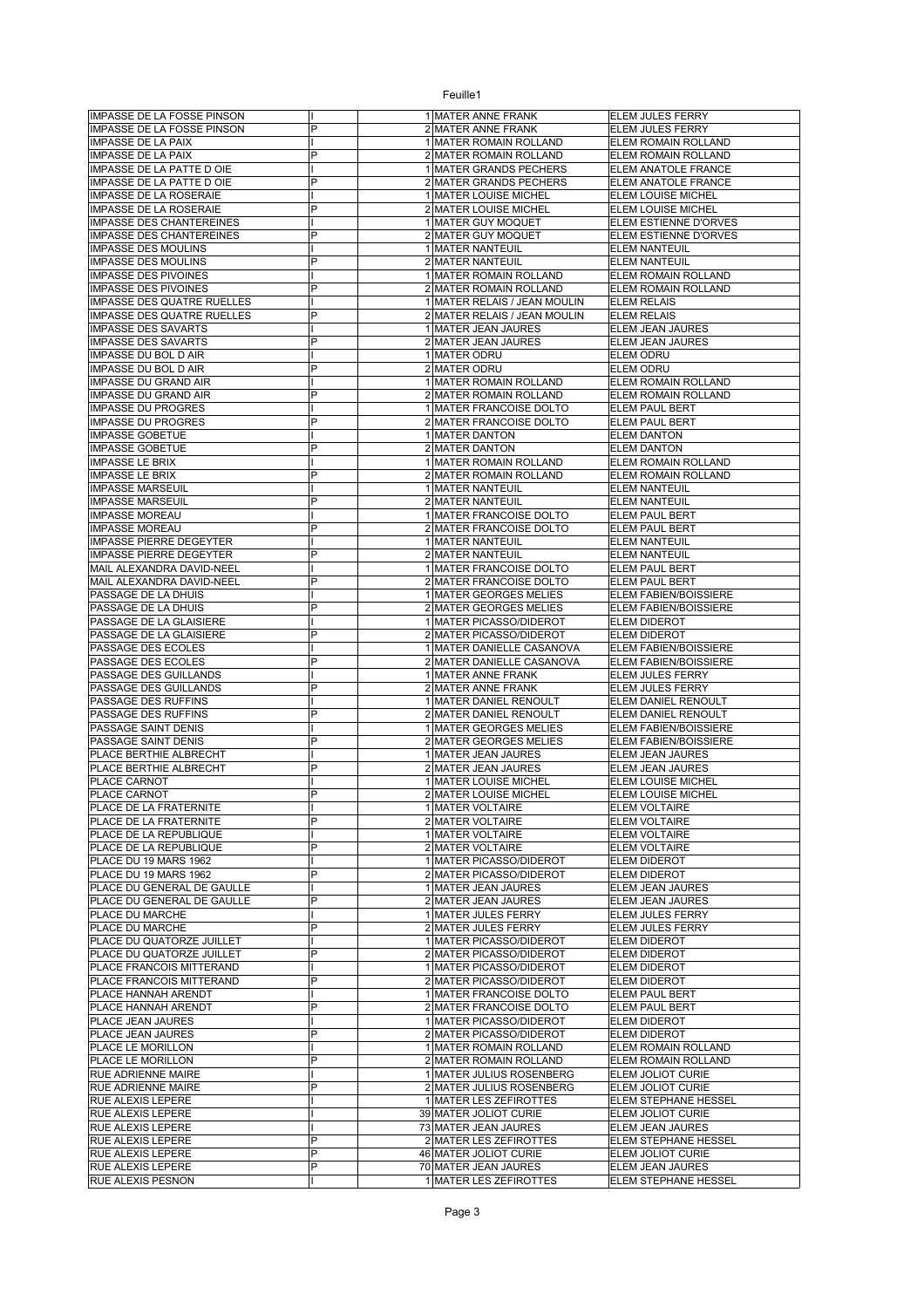| <b>IMPASSE DE LA FOSSE PINSON</b>             |                | 1 MATER ANNE FRANK                             | ELEM JULES FERRY                         |
|-----------------------------------------------|----------------|------------------------------------------------|------------------------------------------|
| <b>IMPASSE DE LA FOSSE PINSON</b>             | P              | 2 MATER ANNE FRANK                             | <b>ELEM JULES FERRY</b>                  |
| <b>IMPASSE DE LA PAIX</b>                     |                | 1 MATER ROMAIN ROLLAND                         | ELEM ROMAIN ROLLAND                      |
| <b>IMPASSE DE LA PAIX</b>                     | P              | 2 MATER ROMAIN ROLLAND                         | ELEM ROMAIN ROLLAND                      |
| IMPASSE DE LA PATTE D OIE                     |                | 1 MATER GRANDS PECHERS                         | ELEM ANATOLE FRANCE                      |
| <b>IMPASSE DE LA PATTE D OIE</b>              | P              | 2 MATER GRANDS PECHERS                         | ELEM ANATOLE FRANCE                      |
| <b>IMPASSE DE LA ROSERAIE</b>                 |                | 1 MATER LOUISE MICHEL                          | ELEM LOUISE MICHEL                       |
| <b>IMPASSE DE LA ROSERAIE</b>                 | $\overline{P}$ | 2 MATER LOUISE MICHEL                          | ELEM LOUISE MICHEL                       |
| <b>IMPASSE DES CHANTEREINES</b>               |                | 1 MATER GUY MOQUET                             | ELEM ESTIENNE D'ORVES                    |
| <b>IMPASSE DES CHANTEREINES</b>               | P              | 2 MATER GUY MOQUET                             | ELEM ESTIENNE D'ORVES                    |
| <b>IMPASSE DES MOULINS</b>                    |                | 1 MATER NANTEUIL                               | <b>ELEM NANTEUIL</b>                     |
| <b>IMPASSE DES MOULINS</b>                    | P              | 2 MATER NANTEUIL                               | ELEM NANTEUIL                            |
| <b>IMPASSE DES PIVOINES</b>                   |                | 1 MATER ROMAIN ROLLAND                         | ELEM ROMAIN ROLLAND                      |
| <b>IMPASSE DES PIVOINES</b>                   | P              | 2 MATER ROMAIN ROLLAND                         | ELEM ROMAIN ROLLAND                      |
| <b>IMPASSE DES QUATRE RUELLES</b>             |                | 1 MATER RELAIS / JEAN MOULIN                   | <b>ELEM RELAIS</b>                       |
| <b>IMPASSE DES QUATRE RUELLES</b>             | P              | 2 MATER RELAIS / JEAN MOULIN                   | <b>ELEM RELAIS</b>                       |
|                                               |                | 1 MATER JEAN JAURES                            |                                          |
| <b>IMPASSE DES SAVARTS</b>                    | P              |                                                | ELEM JEAN JAURES                         |
| <b>IMPASSE DES SAVARTS</b>                    |                | 2 MATER JEAN JAURES                            | ELEM JEAN JAURES                         |
| IMPASSE DU BOL D AIR                          |                | 1 MATER ODRU                                   | ELEM ODRU                                |
| <b>IMPASSE DU BOL D AIR</b>                   | P              | 2 MATER ODRU                                   | ELEM ODRU                                |
| <b>IMPASSE DU GRAND AIR</b>                   |                | 1 MATER ROMAIN ROLLAND                         | ELEM ROMAIN ROLLAND                      |
| <b>IMPASSE DU GRAND AIR</b>                   | $\overline{P}$ | 2 MATER ROMAIN ROLLAND                         | ELEM ROMAIN ROLLAND                      |
| <b>IMPASSE DU PROGRES</b>                     |                | 1 MATER FRANCOISE DOLTO                        | ELEM PAUL BERT                           |
| <b>IMPASSE DU PROGRES</b>                     | P              | 2 MATER FRANCOISE DOLTO                        | <b>ELEM PAUL BERT</b>                    |
| <b>IMPASSE GOBETUE</b>                        |                | 1 MATER DANTON                                 | <b>ELEM DANTON</b>                       |
| <b>IMPASSE GOBETUE</b>                        | P              | 2 MATER DANTON                                 | <b>ELEM DANTON</b>                       |
| <b>IMPASSE LE BRIX</b>                        |                | 1 MATER ROMAIN ROLLAND                         | ELEM ROMAIN ROLLAND                      |
| <b>IMPASSE LE BRIX</b>                        | P              | 2 MATER ROMAIN ROLLAND                         | ELEM ROMAIN ROLLAND                      |
| <b>IMPASSE MARSEUIL</b>                       |                | 1 MATER NANTEUIL                               | <b>ELEM NANTEUIL</b>                     |
| <b>IMPASSE MARSEUIL</b>                       | P              | 2 MATER NANTEUIL                               | <b>ELEM NANTEUIL</b>                     |
| <b>IMPASSE MOREAU</b>                         |                | 1 MATER FRANCOISE DOLTO                        | ELEM PAUL BERT                           |
| <b>IMPASSE MOREAU</b>                         |                | 2 MATER FRANCOISE DOLTO                        | ELEM PAUL BERT                           |
| <b>IMPASSE PIERRE DEGEYTER</b>                |                | 1 MATER NANTEUIL                               | <b>ELEM NANTEUIL</b>                     |
| <b>IMPASSE PIERRE DEGEYTER</b>                | P              | 2 MATER NANTEUIL                               | <b>ELEM NANTEUIL</b>                     |
| MAIL ALEXANDRA DAVID-NEEL                     |                | 1 MATER FRANCOISE DOLTO                        | ELEM PAUL BERT                           |
| MAIL ALEXANDRA DAVID-NEEL                     | $\overline{P}$ | 2 MATER FRANCOISE DOLTO                        | ELEM PAUL BERT                           |
| PASSAGE DE LA DHUIS                           |                | 1 MATER GEORGES MELIES                         | ELEM FABIEN/BOISSIERE                    |
|                                               | P              |                                                |                                          |
| PASSAGE DE LA DHUIS                           |                | 2 MATER GEORGES MELIES                         | ELEM FABIEN/BOISSIERE                    |
| PASSAGE DE LA GLAISIERE                       |                | 1 MATER PICASSO/DIDEROT                        | ELEM DIDEROT                             |
| PASSAGE DE LA GLAISIERE                       | P              | 2 MATER PICASSO/DIDEROT                        | ELEM DIDEROT                             |
| PASSAGE DES ECOLES                            |                | 1 MATER DANIELLE CASANOVA                      | ELEM FABIEN/BOISSIERE                    |
| PASSAGE DES ECOLES                            | P              | 2 MATER DANIELLE CASANOVA                      | ELEM FABIEN/BOISSIERE                    |
| PASSAGE DES GUILLANDS                         |                | 1 MATER ANNE FRANK                             | ELEM JULES FERRY                         |
| PASSAGE DES GUILLANDS                         | P              | 2 MATER ANNE FRANK                             | ELEM JULES FERRY                         |
| PASSAGE DES RUFFINS                           |                | 1 MATER DANIEL RENOULT                         | ELEM DANIEL RENOULT                      |
| PASSAGE DES RUFFINS                           | P              | 2 MATER DANIEL RENOULT                         | ELEM DANIEL RENOULT                      |
| PASSAGE SAINT DENIS                           |                | 1 MATER GEORGES MELIES                         | ELEM FABIEN/BOISSIERE                    |
| PASSAGE SAINT DENIS                           | P              | 2 MATER GEORGES MELIES                         | ELEM FABIEN/BOISSIERE                    |
|                                               |                |                                                |                                          |
| PLACE BERTHIE ALBRECHT                        |                | 1 MATER JEAN JAURES                            | ELEM JEAN JAURES                         |
| PLACE BERTHIE ALBRECHT                        | $\overline{P}$ | 2 MATER JEAN JAURES                            | ELEM JEAN JAURES                         |
|                                               |                | 1 MATER LOUISE MICHEL                          |                                          |
| PLACE CARNOT                                  | P              |                                                | ELEM LOUISE MICHEL                       |
| PLACE CARNOT                                  |                | 2 MATER LOUISE MICHEL                          | ELEM LOUISE MICHEL                       |
| PLACE DE LA FRATERNITE                        |                | 1 MATER VOLTAIRE                               | <b>ELEM VOLTAIRE</b>                     |
| PLACE DE LA FRATERNITE                        | P              | 2 MATER VOLTAIRE                               | <b>ELEM VOLTAIRE</b>                     |
| PLACE DE LA REPUBLIQUE                        |                | 1 MATER VOLTAIRE                               | <b>ELEM VOLTAIRE</b>                     |
| PLACE DE LA REPUBLIQUE                        | P              | 2 MATER VOLTAIRE                               | ELEM VOLTAIRE                            |
| PLACE DU 19 MARS 1962                         |                | 1 MATER PICASSO/DIDEROT                        | ELEM DIDEROT                             |
| PLACE DU 19 MARS 1962                         | P              | 2 MATER PICASSO/DIDEROT                        | ELEM DIDEROT                             |
| PLACE DU GENERAL DE GAULLE                    |                | 1 MATER JEAN JAURES                            | ELEM JEAN JAURES                         |
| PLACE DU GENERAL DE GAULLE                    | P              | 2 MATER JEAN JAURES                            | ELEM JEAN JAURES                         |
| PLACE DU MARCHE                               |                | 1 MATER JULES FERRY                            | ELEM JULES FERRY                         |
| PLACE DU MARCHE                               | P              | 2 MATER JULES FERRY                            | ELEM JULES FERRY                         |
| PLACE DU QUATORZE JUILLET                     |                | 1 MATER PICASSO/DIDEROT                        | ELEM DIDEROT                             |
| PLACE DU QUATORZE JUILLET                     | P              | 2 MATER PICASSO/DIDEROT                        | ELEM DIDEROT                             |
| PLACE FRANCOIS MITTERAND                      |                | 1 MATER PICASSO/DIDEROT                        | ELEM DIDEROT                             |
| PLACE FRANCOIS MITTERAND                      | P              | 2 MATER PICASSO/DIDEROT                        | ELEM DIDEROT                             |
| PLACE HANNAH ARENDT                           |                | 1 MATER FRANCOISE DOLTO                        | ELEM PAUL BERT                           |
| PLACE HANNAH ARENDT                           | P              | 2 MATER FRANCOISE DOLTO                        | ELEM PAUL BERT                           |
| PLACE JEAN JAURES                             |                | 1 MATER PICASSO/DIDEROT                        | ELEM DIDEROT                             |
| PLACE JEAN JAURES                             | P              | 2 MATER PICASSO/DIDEROT                        | ELEM DIDEROT                             |
| PLACE LE MORILLON                             |                | 1 MATER ROMAIN ROLLAND                         | ELEM ROMAIN ROLLAND                      |
|                                               | P              |                                                |                                          |
| PLACE LE MORILLON                             |                | 2 MATER ROMAIN ROLLAND                         | ELEM ROMAIN ROLLAND                      |
| <b>RUE ADRIENNE MAIRE</b>                     | P              | 1 MATER JULIUS ROSENBERG                       | ELEM JOLIOT CURIE                        |
| RUE ADRIENNE MAIRE                            |                | 2 MATER JULIUS ROSENBERG                       | ELEM JOLIOT CURIE                        |
| RUE ALEXIS LEPERE                             |                | 1 MATER LES ZEFIROTTES                         | ELEM STEPHANE HESSEL                     |
| <b>RUE ALEXIS LEPERE</b>                      |                | 39 MATER JOLIOT CURIE                          | ELEM JOLIOT CURIE                        |
| RUE ALEXIS LEPERE                             |                | 73 MATER JEAN JAURES                           | ELEM JEAN JAURES                         |
| RUE ALEXIS LEPERE                             | P              | 2 MATER LES ZEFIROTTES                         | ELEM STEPHANE HESSEL                     |
| RUE ALEXIS LEPERE                             | P              | 46 MATER JOLIOT CURIE                          | ELEM JOLIOT CURIE                        |
| <b>RUE ALEXIS LEPERE</b><br>RUE ALEXIS PESNON | P              | 70 MATER JEAN JAURES<br>1 MATER LES ZEFIROTTES | ELEM JEAN JAURES<br>ELEM STEPHANE HESSEL |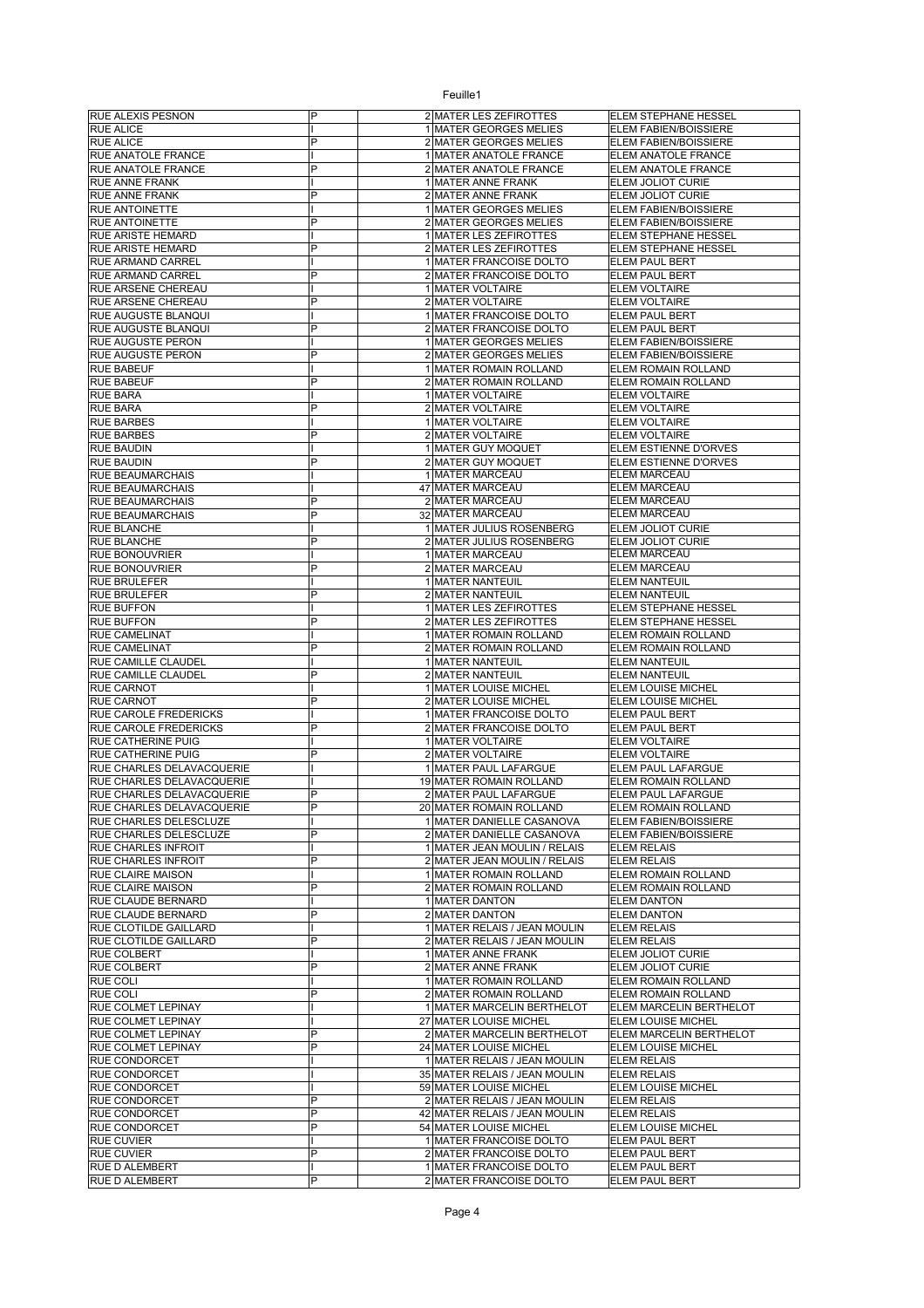| <b>RUE ALEXIS PESNON</b>                               | P              | 2 MATER LES ZEFIROTTES                             | ELEM STEPHANE HESSEL                    |
|--------------------------------------------------------|----------------|----------------------------------------------------|-----------------------------------------|
| <b>RUE ALICE</b>                                       |                | 1 MATER GEORGES MELIES                             | ELEM FABIEN/BOISSIERE                   |
| <b>RUE ALICE</b>                                       | P              | 2 MATER GEORGES MELIES                             | ELEM FABIEN/BOISSIERE                   |
| RUE ANATOLE FRANCE                                     |                | 1 MATER ANATOLE FRANCE                             | ELEM ANATOLE FRANCE                     |
| RUE ANATOLE FRANCE                                     | P              | 2 MATER ANATOLE FRANCE                             | ELEM ANATOLE FRANCE                     |
| RUE ANNE FRANK                                         |                | 1 MATER ANNE FRANK                                 | ELEM JOLIOT CURIE                       |
| <b>RUE ANNE FRANK</b>                                  | P              | 2 MATER ANNE FRANK                                 | ELEM JOLIOT CURIE                       |
| <b>RUE ANTOINETTE</b>                                  |                | 1 MATER GEORGES MELIES                             | ELEM FABIEN/BOISSIERE                   |
| RUE ANTOINETTE                                         | P              | 2 MATER GEORGES MELIES                             | ELEM FABIEN/BOISSIERE                   |
| RUE ARISTE HEMARD                                      |                | 1 MATER LES ZEFIROTTES                             | ELEM STEPHANE HESSEL                    |
| RUE ARISTE HEMARD                                      | P              | 2 MATER LES ZEFIROTTES                             | ELEM STEPHANE HESSEL                    |
| RUE ARMAND CARREL                                      |                | 1 MATER FRANCOISE DOLTO                            | ELEM PAUL BERT                          |
| RUE ARMAND CARREL                                      | P              | 2 MATER FRANCOISE DOLTO                            | ELEM PAUL BERT                          |
| RUE ARSENE CHEREAU                                     |                | 1 MATER VOLTAIRE                                   | <b>ELEM VOLTAIRE</b>                    |
|                                                        | P              |                                                    |                                         |
| RUE ARSENE CHEREAU                                     |                | 2 MATER VOLTAIRE                                   | <b>ELEM VOLTAIRE</b>                    |
| RUE AUGUSTE BLANQUI                                    |                | 1 MATER FRANCOISE DOLTO                            | ELEM PAUL BERT                          |
| RUE AUGUSTE BLANQUI                                    | P              | 2 MATER FRANCOISE DOLTO                            | <b>ELEM PAUL BERT</b>                   |
| RUE AUGUSTE PERON                                      |                | 1 MATER GEORGES MELIES                             | ELEM FABIEN/BOISSIERE                   |
| RUE AUGUSTE PERON                                      | P              | 2 MATER GEORGES MELIES                             | ELEM FABIEN/BOISSIERE                   |
| <b>RUE BABEUF</b>                                      |                | 1 MATER ROMAIN ROLLAND                             | ELEM ROMAIN ROLLAND                     |
| <b>RUE BABEUF</b>                                      | P              | 2 MATER ROMAIN ROLLAND                             | ELEM ROMAIN ROLLAND                     |
| <b>RUE BARA</b>                                        |                | 1 MATER VOLTAIRE                                   | <b>ELEM VOLTAIRE</b>                    |
| <b>RUE BARA</b>                                        | P              | 2 MATER VOLTAIRE                                   | <b>ELEM VOLTAIRE</b>                    |
| <b>RUE BARBES</b>                                      |                | 1 MATER VOLTAIRE                                   | <b>ELEM VOLTAIRE</b>                    |
| <b>RUE BARBES</b>                                      | P              | 2 MATER VOLTAIRE                                   | <b>ELEM VOLTAIRE</b>                    |
| <b>RUE BAUDIN</b>                                      |                | 1 MATER GUY MOQUET                                 | ELEM ESTIENNE D'ORVES                   |
| <b>RUE BAUDIN</b>                                      | P              | 2 MATER GUY MOQUET                                 | ELEM ESTIENNE D'ORVES                   |
| <b>RUE BEAUMARCHAIS</b>                                |                | 1 MATER MARCEAU                                    | ELEM MARCEAU                            |
| <b>RUE BEAUMARCHAIS</b>                                |                | 47 MATER MARCEAU                                   | <b>ELEM MARCEAU</b>                     |
| <b>RUE BEAUMARCHAIS</b>                                | P              | 2 MATER MARCEAU                                    | <b>ELEM MARCEAU</b>                     |
| <b>RUE BEAUMARCHAIS</b>                                | P              | 32 MATER MARCEAU                                   | <b>ELEM MARCEAU</b>                     |
| <b>RUE BLANCHE</b>                                     |                | 1 MATER JULIUS ROSENBERG                           | ELEM JOLIOT CURIE                       |
|                                                        | P              |                                                    |                                         |
| <b>RUE BLANCHE</b><br><b>RUE BONOUVRIER</b>            |                | 2 MATER JULIUS ROSENBERG                           | <b>ELEM JOLIOT CURIE</b>                |
|                                                        |                | 1 MATER MARCEAU                                    | <b>ELEM MARCEAU</b>                     |
| <b>RUE BONOUVRIER</b>                                  | P              | 2 MATER MARCEAU                                    | <b>ELEM MARCEAU</b>                     |
| <b>RUE BRULEFER</b>                                    |                | 1 MATER NANTEUIL                                   | <b>ELEM NANTEUIL</b>                    |
| <b>RUE BRULEFER</b>                                    | P              | 2 MATER NANTEUIL                                   | <b>ELEM NANTEUIL</b>                    |
| <b>RUE BUFFON</b>                                      |                | 1 MATER LES ZEFIROTTES                             | ELEM STEPHANE HESSEL                    |
| <b>RUE BUFFON</b>                                      | P              | 2 MATER LES ZEFIROTTES                             | ELEM STEPHANE HESSEL                    |
| <b>RUE CAMELINAT</b>                                   |                | 1 MATER ROMAIN ROLLAND                             | ELEM ROMAIN ROLLAND                     |
| <b>RUE CAMELINAT</b>                                   | P              | 2 MATER ROMAIN ROLLAND                             | ELEM ROMAIN ROLLAND                     |
| RUE CAMILLE CLAUDEL                                    |                | 1 MATER NANTEUIL                                   | <b>ELEM NANTEUIL</b>                    |
| <b>RUE CAMILLE CLAUDEL</b>                             | P              | 2 MATER NANTEUIL                                   | <b>ELEM NANTEUIL</b>                    |
| <b>RUE CARNOT</b>                                      |                | 1 MATER LOUISE MICHEL                              | ELEM LOUISE MICHEL                      |
| <b>RUE CARNOT</b>                                      | P              | 2 MATER LOUISE MICHEL                              | ELEM LOUISE MICHEL                      |
| RUE CAROLE FREDERICKS                                  |                | 1 MATER FRANCOISE DOLTO                            | <b>ELEM PAUL BERT</b>                   |
| RUE CAROLE FREDERICKS                                  | P              | 2 MATER FRANCOISE DOLTO                            | ELEM PAUL BERT                          |
| RUE CATHERINE PUIG                                     |                | 1 MATER VOLTAIRE                                   | <b>ELEM VOLTAIRE</b>                    |
| <b>RUE CATHERINE PUIG</b>                              | P              | 2 MATER VOLTAIRE                                   | <b>ELEM VOLTAIRE</b>                    |
| RUE CHARLES DELAVACQUERIE                              |                | 1 MATER PAUL LAFARGUE                              | ELEM PAUL LAFARGUE                      |
| RUE CHARLES DELAVACQUERIE                              |                | 19 MATER ROMAIN ROLLAND                            | ELEM ROMAIN ROLLAND                     |
| RUE CHARLES DELAVACQUERIE                              | P              | 2 MATER PAUL LAFARGUE                              | ELEM PAUL LAFARGUE                      |
| RUE CHARLES DELAVACQUERIE                              | P              | 20 MATER ROMAIN ROLLAND                            | <b>ELEM ROMAIN ROLLAND</b>              |
|                                                        |                |                                                    |                                         |
| RUE CHARLES DELESCLUZE                                 | P              | 1 MATER DANIELLE CASANOVA                          | <b>ELEM FABIEN/BOISSIERE</b>            |
| RUE CHARLES DELESCLUZE                                 |                | 2 MATER DANIELLE CASANOVA                          | ELEM FABIEN/BOISSIERE                   |
| <b>RUE CHARLES INFROIT</b>                             |                | 1 MATER JEAN MOULIN / RELAIS                       | <b>ELEM RELAIS</b>                      |
| <b>RUE CHARLES INFROIT</b>                             | $\overline{P}$ | 2 MATER JEAN MOULIN / RELAIS                       | <b>ELEM RELAIS</b>                      |
| <b>RUE CLAIRE MAISON</b>                               |                | 1 MATER ROMAIN ROLLAND                             | ELEM ROMAIN ROLLAND                     |
| <b>RUE CLAIRE MAISON</b>                               | P              | 2 MATER ROMAIN ROLLAND                             | ELEM ROMAIN ROLLAND                     |
| RUE CLAUDE BERNARD                                     |                | 1 MATER DANTON                                     | <b>ELEM DANTON</b>                      |
| RUE CLAUDE BERNARD                                     | P              | 2 MATER DANTON                                     | <b>ELEM DANTON</b>                      |
| RUE CLOTILDE GAILLARD                                  |                | 1 MATER RELAIS / JEAN MOULIN                       | <b>ELEM RELAIS</b>                      |
| <b>RUE CLOTILDE GAILLARD</b>                           | P              |                                                    |                                         |
| <b>RUE COLBERT</b>                                     |                | 2 MATER RELAIS / JEAN MOULIN                       | <b>ELEM RELAIS</b>                      |
|                                                        |                | 1 MATER ANNE FRANK                                 | ELEM JOLIOT CURIE                       |
| <b>RUE COLBERT</b>                                     | P              | 2 MATER ANNE FRANK                                 | ELEM JOLIOT CURIE                       |
| <b>RUE COLI</b>                                        |                | 1 MATER ROMAIN ROLLAND                             | ELEM ROMAIN ROLLAND                     |
| <b>RUE COLI</b>                                        | P              | 2 MATER ROMAIN ROLLAND                             | ELEM ROMAIN ROLLAND                     |
|                                                        |                |                                                    |                                         |
| RUE COLMET LEPINAY                                     |                | 1 MATER MARCELIN BERTHELOT                         | <b>ELEM MARCELIN BERTHELOT</b>          |
| RUE COLMET LEPINAY                                     |                | 27 MATER LOUISE MICHEL                             | ELEM LOUISE MICHEL                      |
|                                                        | P              | 2 MATER MARCELIN BERTHELOT                         | ELEM MARCELIN BERTHELOT                 |
| <b>RUE COLMET LEPINAY</b><br><b>RUE COLMET LEPINAY</b> | P              | 24 MATER LOUISE MICHEL                             | <b>ELEM LOUISE MICHEL</b>               |
| <b>RUE CONDORCET</b>                                   |                | 1 MATER RELAIS / JEAN MOULIN                       | <b>ELEM RELAIS</b>                      |
| <b>RUE CONDORCET</b>                                   |                | 35 MATER RELAIS / JEAN MOULIN                      | <b>ELEM RELAIS</b>                      |
| <b>RUE CONDORCET</b>                                   |                | 59 MATER LOUISE MICHEL                             | <b>ELEM LOUISE MICHEL</b>               |
| <b>RUE CONDORCET</b>                                   | P              | 2 MATER RELAIS / JEAN MOULIN                       | <b>ELEM RELAIS</b>                      |
| <b>RUE CONDORCET</b>                                   | P              | 42 MATER RELAIS / JEAN MOULIN                      | <b>ELEM RELAIS</b>                      |
| <b>RUE CONDORCET</b>                                   | P              | 54 MATER LOUISE MICHEL                             | ELEM LOUISE MICHEL                      |
| <b>RUE CUVIER</b>                                      |                | 1 MATER FRANCOISE DOLTO                            | ELEM PAUL BERT                          |
| <b>RUE CUVIER</b>                                      | P              | 2 MATER FRANCOISE DOLTO                            | ELEM PAUL BERT                          |
| <b>RUE D ALEMBERT</b><br><b>RUE D ALEMBERT</b>         | P              | 1 MATER FRANCOISE DOLTO<br>2 MATER FRANCOISE DOLTO | ELEM PAUL BERT<br><b>ELEM PAUL BERT</b> |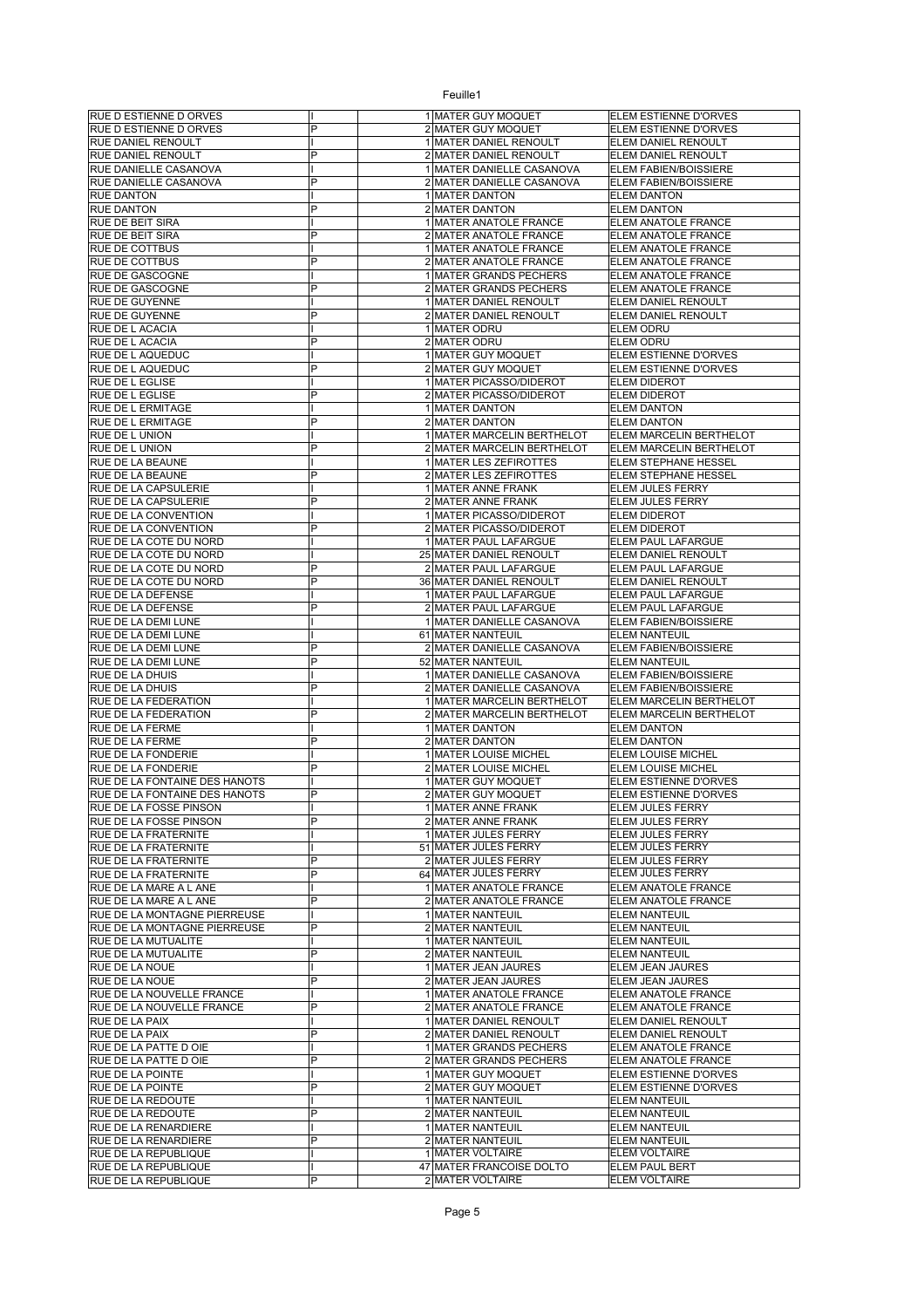| RUE D ESTIENNE D ORVES                       |   | 1 MATER GUY MOQUET                           | ELEM ESTIENNE D'ORVES                  |
|----------------------------------------------|---|----------------------------------------------|----------------------------------------|
| RUE D ESTIENNE D ORVES                       | P | 2 MATER GUY MOQUET                           | ELEM ESTIENNE D'ORVES                  |
| RUE DANIEL RENOULT                           |   | 1 MATER DANIEL RENOULT                       | ELEM DANIEL RENOULT                    |
| RUE DANIEL RENOULT                           | P | 2 MATER DANIEL RENOULT                       | ELEM DANIEL RENOULT                    |
| RUE DANIELLE CASANOVA                        |   | 1 MATER DANIELLE CASANOVA                    | ELEM FABIEN/BOISSIERE                  |
| RUE DANIELLE CASANOVA                        | P | 2 MATER DANIELLE CASANOVA                    | ELEM FABIEN/BOISSIERE                  |
| <b>RUE DANTON</b>                            |   | 1 MATER DANTON                               | <b>ELEM DANTON</b>                     |
| RUE DANTON                                   | P | 2 MATER DANTON                               | <b>ELEM DANTON</b>                     |
| RUE DE BEIT SIRA                             |   | 1 MATER ANATOLE FRANCE                       | ELEM ANATOLE FRANCE                    |
| RUE DE BEIT SIRA                             | P | 2 MATER ANATOLE FRANCE                       | ELEM ANATOLE FRANCE                    |
| RUE DE COTTBUS                               |   | 1 MATER ANATOLE FRANCE                       | ELEM ANATOLE FRANCE                    |
| RUE DE COTTBUS                               | P | 2 MATER ANATOLE FRANCE                       | ELEM ANATOLE FRANCE                    |
|                                              |   | 1 MATER GRANDS PECHERS                       |                                        |
| RUE DE GASCOGNE                              |   |                                              | ELEM ANATOLE FRANCE                    |
| <b>RUE DE GASCOGNE</b>                       | P | 2 MATER GRANDS PECHERS                       | ELEM ANATOLE FRANCE                    |
| RUE DE GUYENNE                               |   | 1 MATER DANIEL RENOULT                       | ELEM DANIEL RENOULT                    |
| RUE DE GUYENNE                               | P | 2 MATER DANIEL RENOULT                       | ELEM DANIEL RENOULT                    |
| RUE DE L ACACIA                              |   | 1 MATER ODRU                                 | <b>ELEM ODRU</b>                       |
| RUE DE L ACACIA                              | P | 2 MATER ODRU                                 | <b>ELEM ODRU</b>                       |
| RUE DE L AQUEDUC                             |   | 1 MATER GUY MOQUET                           | ELEM ESTIENNE D'ORVES                  |
| RUE DE L AQUEDUC                             | P | 2 MATER GUY MOQUET                           | ELEM ESTIENNE D'ORVES                  |
| RUE DE L EGLISE                              |   | 1 MATER PICASSO/DIDEROT                      | <b>ELEM DIDEROT</b>                    |
| RUE DE L EGLISE                              | P | 2 MATER PICASSO/DIDEROT                      | <b>ELEM DIDEROT</b>                    |
| RUE DE L ERMITAGE                            |   | 1 MATER DANTON                               | <b>ELEM DANTON</b>                     |
| RUE DE L ERMITAGE                            | P | 2 MATER DANTON                               | <b>ELEM DANTON</b>                     |
| RUE DE L UNION                               |   | 1 MATER MARCELIN BERTHELOT                   | ELEM MARCELIN BERTHELOT                |
| RUE DE L UNION                               | P | 2 MATER MARCELIN BERTHELOT                   | ELEM MARCELIN BERTHELOT                |
| RUE DE LA BEAUNE                             |   | 1 MATER LES ZEFIROTTES                       | ELEM STEPHANE HESSEL                   |
| RUE DE LA BEAUNE                             | P | 2 MATER LES ZEFIROTTES                       | <b>ELEM STEPHANE HESSEL</b>            |
| RUE DE LA CAPSULERIE                         |   | 1 MATER ANNE FRANK                           | ELEM JULES FERRY                       |
| RUE DE LA CAPSULERIE                         | P | 2 MATER ANNE FRANK                           | ELEM JULES FERRY                       |
| RUE DE LA CONVENTION                         |   | 1 MATER PICASSO/DIDEROT                      | <b>ELEM DIDEROT</b>                    |
|                                              | P |                                              | <b>ELEM DIDEROT</b>                    |
| RUE DE LA CONVENTION                         |   | 2 MATER PICASSO/DIDEROT                      |                                        |
| RUE DE LA COTE DU NORD                       |   | 1 MATER PAUL LAFARGUE                        | ELEM PAUL LAFARGUE                     |
| RUE DE LA COTE DU NORD                       |   | 25 MATER DANIEL RENOULT                      | ELEM DANIEL RENOULT                    |
| RUE DE LA COTE DU NORD                       | P | 2 MATER PAUL LAFARGUE                        | ELEM PAUL LAFARGUE                     |
| RUE DE LA COTE DU NORD                       | P | 36 MATER DANIEL RENOULT                      | ELEM DANIEL RENOULT                    |
| RUE DE LA DEFENSE                            |   | 1 MATER PAUL LAFARGUE                        | ELEM PAUL LAFARGUE                     |
| RUE DE LA DEFENSE                            | P | 2 MATER PAUL LAFARGUE                        | ELEM PAUL LAFARGUE                     |
| RUE DE LA DEMI LUNE                          |   | 1 MATER DANIELLE CASANOVA                    | ELEM FABIEN/BOISSIERE                  |
| RUE DE LA DEMI LUNE                          |   | 61 MATER NANTEUIL                            | <b>ELEM NANTEUIL</b>                   |
| RUE DE LA DEMI LUNE                          | P | 2 MATER DANIELLE CASANOVA                    | ELEM FABIEN/BOISSIERE                  |
|                                              |   |                                              |                                        |
| RUE DE LA DEMI LUNE                          | P | 52 MATER NANTEUIL                            | <b>ELEM NANTEUIL</b>                   |
| RUE DE LA DHUIS                              |   | 1 MATER DANIELLE CASANOVA                    | ELEM FABIEN/BOISSIERE                  |
| RUE DE LA DHUIS                              | P | 2 MATER DANIELLE CASANOVA                    | ELEM FABIEN/BOISSIERE                  |
| RUE DE LA FEDERATION                         |   | 1 MATER MARCELIN BERTHELOT                   | ELEM MARCELIN BERTHELOT                |
|                                              | P |                                              |                                        |
| RUE DE LA FEDERATION                         |   | 2 MATER MARCELIN BERTHELOT                   | ELEM MARCELIN BERTHELOT                |
| RUE DE LA FERME                              |   | 1 MATER DANTON                               | <b>ELEM DANTON</b>                     |
| RUE DE LA FERME                              | P | 2 MATER DANTON                               | <b>ELEM DANTON</b>                     |
| RUE DE LA FONDERIE                           |   | 1 MATER LOUISE MICHEL                        | ELEM LOUISE MICHEL                     |
| RUE DE LA FONDERIE                           | P | 2 MATER LOUISE MICHEL                        | ELEM LOUISE MICHEL                     |
| RUE DE LA FONTAINE DES HANOTS                |   | 1 MATER GUY MOQUET                           | ELEM ESTIENNE D'ORVES                  |
| RUE DE LA FONTAINE DES HANOTS                | P | 2 MATER GUY MOQUET                           | ELEM ESTIENNE D'ORVES                  |
| RUE DE LA FOSSE PINSON                       |   | 1 MATER ANNE FRANK                           | ELEM JULES FERRY                       |
| RUE DE LA FOSSE PINSON                       | P | 2 MATER ANNE FRANK                           | ELEM JULES FERRY                       |
| RUE DE LA FRATERNITE                         |   | 1 MATER JULES FERRY                          | ELEM JULES FERRY                       |
| RUE DE LA FRATERNITE                         |   | 51 MATER JULES FERRY                         | ELEM JULES FERRY                       |
| RUE DE LA FRATERNITE                         | P | 2 MATER JULES FERRY                          | ELEM JULES FERRY                       |
| RUE DE LA FRATERNITE                         | P | 64 MATER JULES FERRY                         | ELEM JULES FERRY                       |
| RUE DE LA MARE A L ANE                       |   | 1 MATER ANATOLE FRANCE                       | ELEM ANATOLE FRANCE                    |
| RUE DE LA MARE A L ANE                       | P | 2 MATER ANATOLE FRANCE                       | ELEM ANATOLE FRANCE                    |
| RUE DE LA MONTAGNE PIERREUSE                 |   | 1 MATER NANTEUIL                             | <b>ELEM NANTEUIL</b>                   |
| RUE DE LA MONTAGNE PIERREUSE                 | P | 2 MATER NANTEUIL                             | <b>ELEM NANTEUIL</b>                   |
| RUE DE LA MUTUALITE                          |   | 1 MATER NANTEUIL                             | ELEM NANTEUIL                          |
| RUE DE LA MUTUALITE                          | P | 2 MATER NANTEUIL                             | <b>ELEM NANTEUIL</b>                   |
| RUE DE LA NOUE                               |   | 1 MATER JEAN JAURES                          | ELEM JEAN JAURES                       |
|                                              | P |                                              |                                        |
| RUE DE LA NOUE<br>RUE DE LA NOUVELLE FRANCE  |   | 2 MATER JEAN JAURES                          | ELEM JEAN JAURES                       |
|                                              |   | 1 MATER ANATOLE FRANCE                       | ELEM ANATOLE FRANCE                    |
| RUE DE LA NOUVELLE FRANCE                    | P | 2 MATER ANATOLE FRANCE                       | ELEM ANATOLE FRANCE                    |
| RUE DE LA PAIX                               |   | 1 MATER DANIEL RENOULT                       | ELEM DANIEL RENOULT                    |
| RUE DE LA PAIX                               | P | 2 MATER DANIEL RENOULT                       | ELEM DANIEL RENOULT                    |
| RUE DE LA PATTE D OIE                        |   | 1 MATER GRANDS PECHERS                       | ELEM ANATOLE FRANCE                    |
| RUE DE LA PATTE D OIE                        | P | 2 MATER GRANDS PECHERS                       | ELEM ANATOLE FRANCE                    |
| RUE DE LA POINTE                             |   | 1 MATER GUY MOQUET                           | ELEM ESTIENNE D'ORVES                  |
| RUE DE LA POINTE                             | P | 2 MATER GUY MOQUET                           | ELEM ESTIENNE D'ORVES                  |
| RUE DE LA REDOUTE                            |   | 1 MATER NANTEUIL                             | <b>ELEM NANTEUIL</b>                   |
| RUE DE LA REDOUTE                            | P | 2 MATER NANTEUIL                             | <b>ELEM NANTEUIL</b>                   |
| RUE DE LA RENARDIERE                         |   | 1 MATER NANTEUIL                             | <b>ELEM NANTEUIL</b>                   |
| RUE DE LA RENARDIERE                         | P | 2 MATER NANTEUIL                             | <b>ELEM NANTEUIL</b>                   |
| RUE DE LA REPUBLIQUE                         |   | 1 MATER VOLTAIRE                             | <b>ELEM VOLTAIRE</b>                   |
| RUE DE LA REPUBLIQUE<br>RUE DE LA REPUBLIQUE | P | 47 MATER FRANCOISE DOLTO<br>2 MATER VOLTAIRE | <b>ELEM PAUL BERT</b><br>ELEM VOLTAIRE |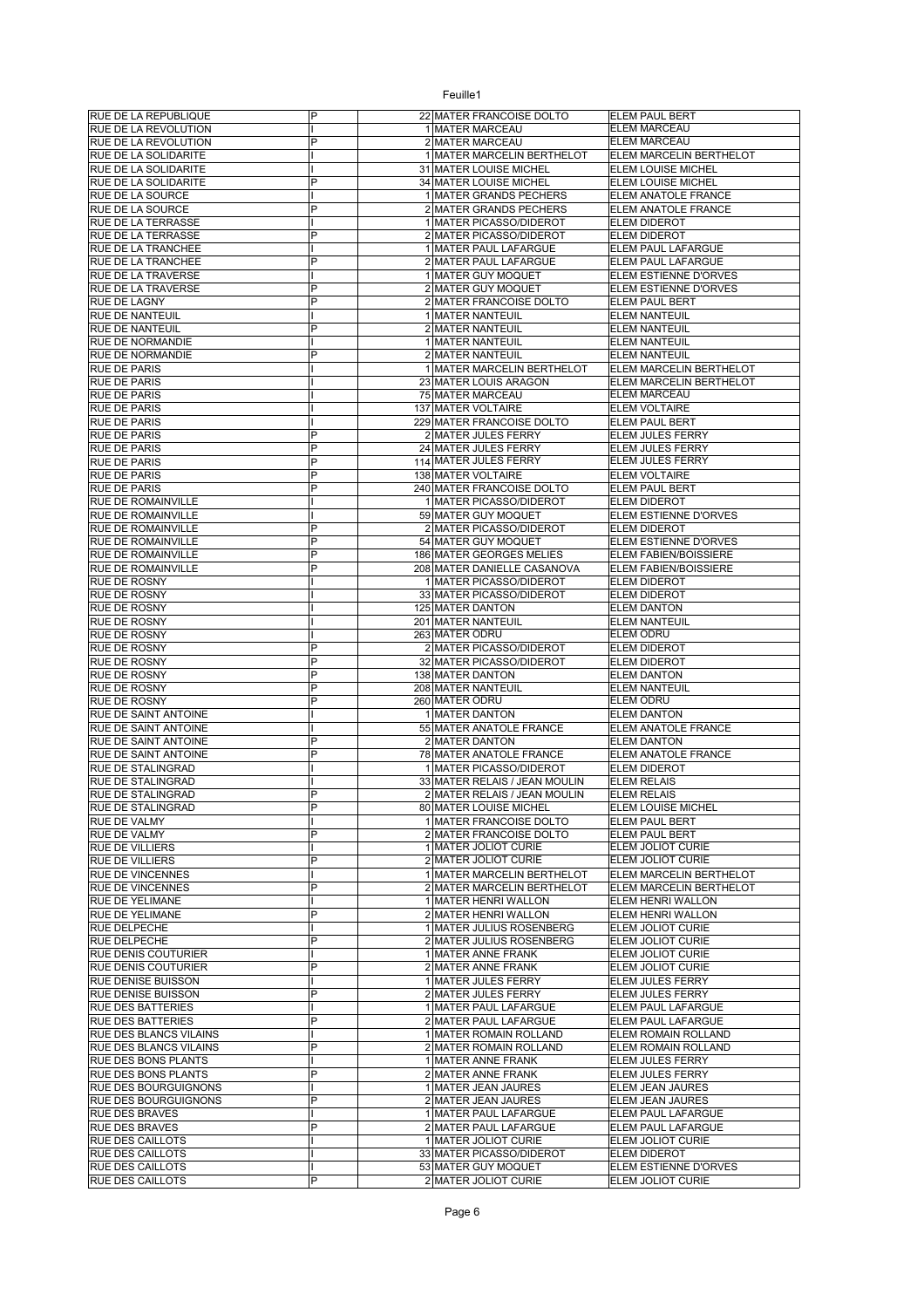| <b>RUE DE LA REPUBLIQUE</b>                      | P | 22 MATER FRANCOISE DOLTO                           | ELEM PAUL BERT                              |
|--------------------------------------------------|---|----------------------------------------------------|---------------------------------------------|
| RUE DE LA REVOLUTION                             |   | 1 MATER MARCEAU                                    | ELEM MARCEAU                                |
| RUE DE LA REVOLUTION                             | P | 2 MATER MARCEAU                                    | ELEM MARCEAU                                |
| RUE DE LA SOLIDARITE                             |   | 1 MATER MARCELIN BERTHELOT                         | ELEM MARCELIN BERTHELOT                     |
| RUE DE LA SOLIDARITE                             |   | 31 MATER LOUISE MICHEL                             | ELEM LOUISE MICHEL                          |
| RUE DE LA SOLIDARITE                             | P | 34 MATER LOUISE MICHEL                             | ELEM LOUISE MICHEL                          |
| RUE DE LA SOURCE                                 |   | 1 MATER GRANDS PECHERS                             | ELEM ANATOLE FRANCE                         |
| RUE DE LA SOURCE                                 | P | 2 MATER GRANDS PECHERS                             | ELEM ANATOLE FRANCE                         |
| <b>RUE DE LA TERRASSE</b>                        |   | 1 MATER PICASSO/DIDEROT                            | ELEM DIDEROT                                |
| <b>RUE DE LA TERRASSE</b>                        | P | 2 MATER PICASSO/DIDEROT                            | ELEM DIDEROT                                |
| RUE DE LA TRANCHEE                               |   | 1 MATER PAUL LAFARGUE                              | ELEM PAUL LAFARGUE                          |
| RUE DE LA TRANCHEE                               | P | 2 MATER PAUL LAFARGUE<br>1 MATER GUY MOQUET        | ELEM PAUL LAFARGUE<br>ELEM ESTIENNE D'ORVES |
| RUE DE LA TRAVERSE<br>RUE DE LA TRAVERSE         | P | 2 MATER GUY MOQUET                                 | ELEM ESTIENNE D'ORVES                       |
| <b>RUE DE LAGNY</b>                              | P | 2 MATER FRANCOISE DOLTO                            | ELEM PAUL BERT                              |
| <b>RUE DE NANTEUIL</b>                           |   | 1 MATER NANTEUIL                                   | <b>ELEM NANTEUIL</b>                        |
| <b>RUE DE NANTEUIL</b>                           | P | 2 MATER NANTEUIL                                   | <b>ELEM NANTEUIL</b>                        |
| RUE DE NORMANDIE                                 |   | 1 MATER NANTEUIL                                   | <b>ELEM NANTEUIL</b>                        |
| RUE DE NORMANDIE                                 | P | 2 MATER NANTEUIL                                   | <b>ELEM NANTEUIL</b>                        |
| <b>RUE DE PARIS</b>                              |   | 1 MATER MARCELIN BERTHELOT                         | ELEM MARCELIN BERTHELOT                     |
| <b>RUE DE PARIS</b>                              |   | 23 MATER LOUIS ARAGON                              | ELEM MARCELIN BERTHELOT                     |
| <b>RUE DE PARIS</b>                              |   | 75 MATER MARCEAU                                   | <b>ELEM MARCEAU</b>                         |
| <b>RUE DE PARIS</b>                              |   | 137 MATER VOLTAIRE                                 | <b>ELEM VOLTAIRE</b>                        |
| <b>RUE DE PARIS</b>                              |   | 229 MATER FRANCOISE DOLTO                          | <b>ELEM PAUL BERT</b>                       |
| <b>RUE DE PARIS</b>                              | P | 2 MATER JULES FERRY                                | ELEM JULES FERRY                            |
| <b>RUE DE PARIS</b>                              | P | 24 MATER JULES FERRY                               | <b>ELEM JULES FERRY</b>                     |
| <b>RUE DE PARIS</b>                              | P | 114 MATER JULES FERRY                              | ELEM JULES FERRY                            |
| <b>RUE DE PARIS</b>                              | P | 138 MATER VOLTAIRE                                 | <b>ELEM VOLTAIRE</b>                        |
| <b>RUE DE PARIS</b>                              | P | 240 MATER FRANCOISE DOLTO                          | <b>ELEM PAUL BERT</b>                       |
| <b>RUE DE ROMAINVILLE</b>                        |   | 1 MATER PICASSO/DIDEROT                            | ELEM DIDEROT                                |
| <b>RUE DE ROMAINVILLE</b>                        |   | 59 MATER GUY MOQUET                                | ELEM ESTIENNE D'ORVES                       |
| <b>RUE DE ROMAINVILLE</b>                        | P | 2 MATER PICASSO/DIDEROT                            | ELEM DIDEROT                                |
| <b>RUE DE ROMAINVILLE</b>                        | P | 54 MATER GUY MOQUET                                | ELEM ESTIENNE D'ORVES                       |
| RUE DE ROMAINVILLE                               | P | 186 MATER GEORGES MELIES                           | ELEM FABIEN/BOISSIERE                       |
| <b>RUE DE ROMAINVILLE</b>                        | P | 208 MATER DANIELLE CASANOVA                        | ELEM FABIEN/BOISSIERE                       |
| <b>RUE DE ROSNY</b>                              |   | 1 MATER PICASSO/DIDEROT                            | <b>ELEM DIDEROT</b>                         |
| <b>RUE DE ROSNY</b>                              |   | 33 MATER PICASSO/DIDEROT                           | <b>ELEM DIDEROT</b>                         |
| <b>RUE DE ROSNY</b>                              |   | 125 MATER DANTON                                   | <b>ELEM DANTON</b>                          |
| <b>RUE DE ROSNY</b>                              |   | 201 MATER NANTEUIL                                 | <b>ELEM NANTEUIL</b>                        |
| <b>RUE DE ROSNY</b>                              |   | 263 MATER ODRU                                     | ELEM ODRU                                   |
|                                                  |   |                                                    |                                             |
| <b>RUE DE ROSNY</b>                              | P | 2 MATER PICASSO/DIDEROT                            | <b>ELEM DIDEROT</b>                         |
| <b>RUE DE ROSNY</b>                              | P | 32 MATER PICASSO/DIDEROT                           | <b>ELEM DIDEROT</b>                         |
| <b>RUE DE ROSNY</b>                              | P | 138 MATER DANTON                                   | <b>ELEM DANTON</b>                          |
| <b>RUE DE ROSNY</b>                              | P | 208 MATER NANTEUIL                                 | <b>ELEM NANTEUIL</b>                        |
| RUE DE ROSNY                                     | P | 260 MATER ODRU                                     | ELEM ODRU                                   |
| RUE DE SAINT ANTOINE                             |   | 1 MATER DANTON                                     | <b>ELEM DANTON</b>                          |
| RUE DE SAINT ANTOINE                             | P | 55 MATER ANATOLE FRANCE                            | ELEM ANATOLE FRANCE<br><b>ELEM DANTON</b>   |
| <b>RUE DE SAINT ANTOINE</b>                      | P | 2 MATER DANTON                                     |                                             |
| RUE DE SAINT ANTOINE<br><b>RUE DE STALINGRAD</b> |   | 78 MATER ANATOLE FRANCE<br>1 MATER PICASSO/DIDEROT | ELEM ANATOLE FRANCE<br>ELEM DIDEROT         |
| RUE DE STALINGRAD                                |   | 33 MATER RELAIS / JEAN MOULIN                      | <b>ELEM RELAIS</b>                          |
| RUE DE STALINGRAD                                | P | 2 MATER RELAIS / JEAN MOULIN                       | <b>ELEM RELAIS</b>                          |
| <b>RUE DE STALINGRAD</b>                         |   | 80 MATER LOUISE MICHEL                             | ELEM LOUISE MICHEL                          |
| <b>RUE DE VALMY</b>                              |   | 1 MATER FRANCOISE DOLTO                            | ELEM PAUL BERT                              |
| <b>RUE DE VALMY</b>                              | P | 2 MATER FRANCOISE DOLTO                            | ELEM PAUL BERT                              |
| <b>RUE DE VILLIERS</b>                           |   | 1 MATER JOLIOT CURIE                               | ELEM JOLIOT CURIE                           |
| <b>RUE DE VILLIERS</b>                           | P | 2 MATER JOLIOT CURIE                               | ELEM JOLIOT CURIE                           |
| <b>RUE DE VINCENNES</b>                          |   | 1 MATER MARCELIN BERTHELOT                         | ELEM MARCELIN BERTHELOT                     |
| <b>RUE DE VINCENNES</b>                          | P | 2 MATER MARCELIN BERTHELOT                         | ELEM MARCELIN BERTHELOT                     |
| <b>RUE DE YELIMANE</b>                           |   | 1 MATER HENRI WALLON                               | ELEM HENRI WALLON                           |
| <b>RUE DE YELIMANE</b>                           | P | 2 MATER HENRI WALLON                               | ELEM HENRI WALLON                           |
| RUE DELPECHE                                     |   | 1 MATER JULIUS ROSENBERG                           | ELEM JOLIOT CURIE                           |
| RUE DELPECHE                                     | P | 2 MATER JULIUS ROSENBERG                           | ELEM JOLIOT CURIE                           |
| <b>RUE DENIS COUTURIER</b>                       |   | 1 MATER ANNE FRANK                                 | ELEM JOLIOT CURIE                           |
| <b>RUE DENIS COUTURIER</b>                       | P | 2 MATER ANNE FRANK                                 | ELEM JOLIOT CURIE                           |
| RUE DENISE BUISSON                               |   | 1 MATER JULES FERRY                                | ELEM JULES FERRY                            |
| RUE DENISE BUISSON                               | P | 2 MATER JULES FERRY                                | ELEM JULES FERRY                            |
| <b>RUE DES BATTERIES</b>                         |   | 1 MATER PAUL LAFARGUE                              | ELEM PAUL LAFARGUE                          |
| <b>RUE DES BATTERIES</b>                         | P | 2 MATER PAUL LAFARGUE                              | ELEM PAUL LAFARGUE                          |
| RUE DES BLANCS VILAINS                           |   | 1 MATER ROMAIN ROLLAND                             | ELEM ROMAIN ROLLAND                         |
| RUE DES BLANCS VILAINS                           | P | 2 MATER ROMAIN ROLLAND                             | ELEM ROMAIN ROLLAND                         |
| <b>RUE DES BONS PLANTS</b>                       |   | 1 MATER ANNE FRANK                                 | ELEM JULES FERRY                            |
| <b>RUE DES BONS PLANTS</b>                       | P | 2 MATER ANNE FRANK                                 | ELEM JULES FERRY                            |
| RUE DES BOURGUIGNONS                             |   | 1 MATER JEAN JAURES                                | ELEM JEAN JAURES                            |
| <b>RUE DES BOURGUIGNONS</b>                      | P | 2 MATER JEAN JAURES                                | ELEM JEAN JAURES                            |
| RUE DES BRAVES<br><b>RUE DES BRAVES</b>          | P | 1 MATER PAUL LAFARGUE<br>2 MATER PAUL LAFARGUE     | ELEM PAUL LAFARGUE<br>ELEM PAUL LAFARGUE    |
| <b>RUE DES CAILLOTS</b>                          |   | 1 MATER JOLIOT CURIE                               | ELEM JOLIOT CURIE                           |
| <b>RUE DES CAILLOTS</b>                          |   | 33 MATER PICASSO/DIDEROT                           | ELEM DIDEROT                                |
| <b>RUE DES CAILLOTS</b>                          |   | 53 MATER GUY MOQUET                                | ELEM ESTIENNE D'ORVES                       |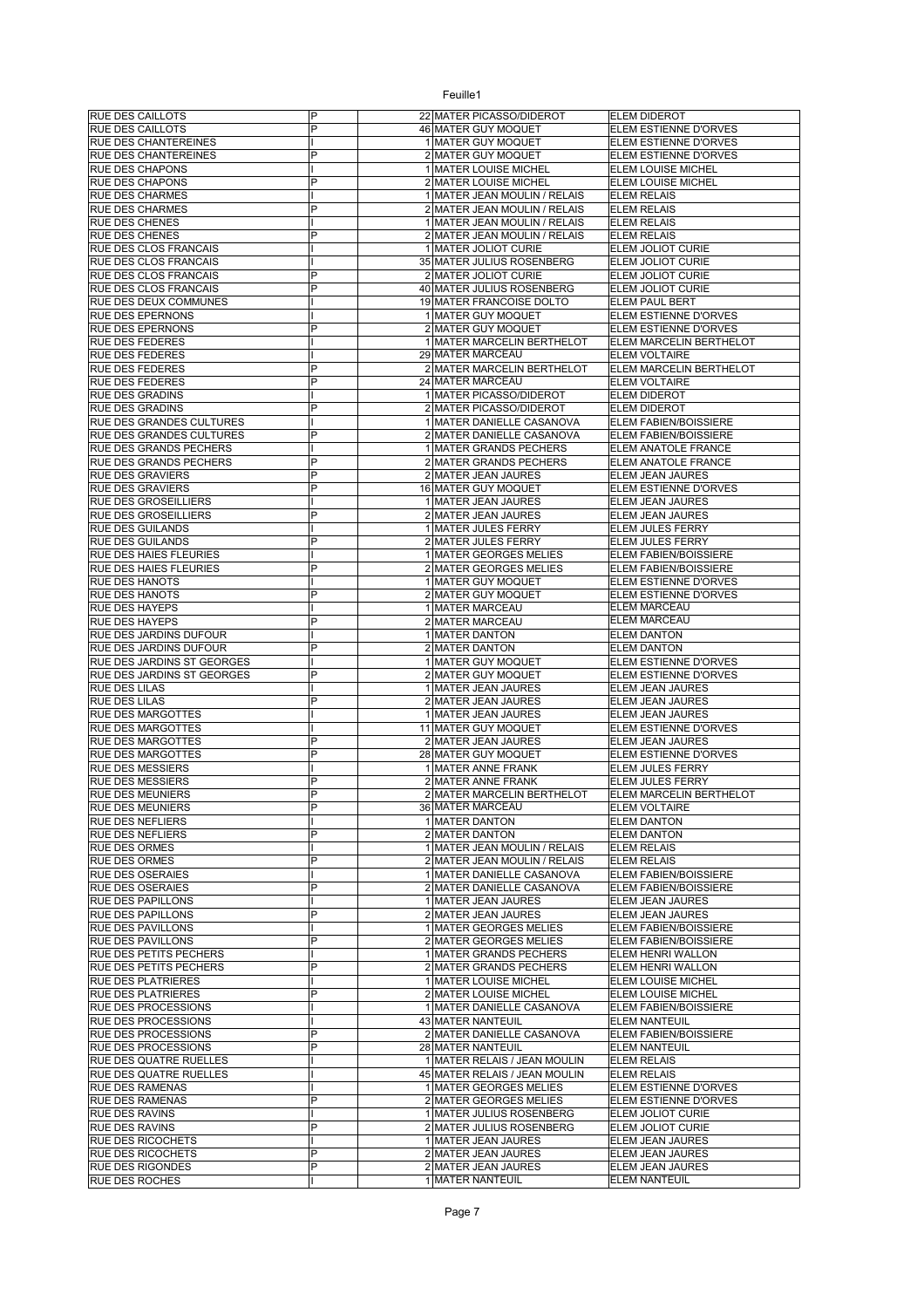| <b>RUE DES CAILLOTS</b>                          | P | 22 MATER PICASSO/DIDEROT                | ELEM DIDEROT                      |
|--------------------------------------------------|---|-----------------------------------------|-----------------------------------|
| <b>RUE DES CAILLOTS</b>                          | P | 46 MATER GUY MOQUET                     | ELEM ESTIENNE D'ORVES             |
| RUE DES CHANTEREINES                             |   | 1 MATER GUY MOQUET                      | ELEM ESTIENNE D'ORVES             |
| RUE DES CHANTEREINES                             | P | 2 MATER GUY MOQUET                      | ELEM ESTIENNE D'ORVES             |
| <b>RUE DES CHAPONS</b>                           |   | 1 MATER LOUISE MICHEL                   | ELEM LOUISE MICHEL                |
| <b>RUE DES CHAPONS</b>                           | P | 2 MATER LOUISE MICHEL                   | ELEM LOUISE MICHEL                |
| <b>RUE DES CHARMES</b>                           |   | 1 MATER JEAN MOULIN / RELAIS            | <b>ELEM RELAIS</b>                |
| RUE DES CHARMES                                  | P | 2 MATER JEAN MOULIN / RELAIS            | <b>ELEM RELAIS</b>                |
| <b>RUE DES CHENES</b>                            |   | 1 MATER JEAN MOULIN / RELAIS            | <b>ELEM RELAIS</b>                |
| <b>RUE DES CHENES</b>                            | P | 2 MATER JEAN MOULIN / RELAIS            | <b>ELEM RELAIS</b>                |
| RUE DES CLOS FRANCAIS                            |   | 1 MATER JOLIOT CURIE                    | ELEM JOLIOT CURIE                 |
| RUE DES CLOS FRANCAIS                            |   | 35 MATER JULIUS ROSENBERG               | ELEM JOLIOT CURIE                 |
| RUE DES CLOS FRANCAIS                            | P | 2 MATER JOLIOT CURIE                    | ELEM JOLIOT CURIE                 |
| <b>RUE DES CLOS FRANCAIS</b>                     | P | 40 MATER JULIUS ROSENBERG               | ELEM JOLIOT CURIE                 |
| RUE DES DEUX COMMUNES                            |   | 19 MATER FRANCOISE DOLTO                | ELEM PAUL BERT                    |
| <b>RUE DES EPERNONS</b>                          |   | 1 MATER GUY MOQUET                      | ELEM ESTIENNE D'ORVES             |
| <b>RUE DES EPERNONS</b>                          | P | 2 MATER GUY MOQUET                      | ELEM ESTIENNE D'ORVES             |
| RUE DES FEDERES                                  |   | 1 MATER MARCELIN BERTHELOT              | ELEM MARCELIN BERTHELOT           |
| <b>RUE DES FEDERES</b>                           |   | 29 MATER MARCEAU                        | <b>ELEM VOLTAIRE</b>              |
| <b>RUE DES FEDERES</b>                           | P | 2 MATER MARCELIN BERTHELOT              | ELEM MARCELIN BERTHELOT           |
| RUE DES FEDERES                                  | P | 24 MATER MARCEAU                        | <b>ELEM VOLTAIRE</b>              |
| <b>RUE DES GRADINS</b>                           |   | 1 MATER PICASSO/DIDEROT                 | ELEM DIDEROT                      |
| <b>RUE DES GRADINS</b>                           | P | 2 MATER PICASSO/DIDEROT                 | ELEM DIDEROT                      |
| RUE DES GRANDES CULTURES                         |   | 1 MATER DANIELLE CASANOVA               | ELEM FABIEN/BOISSIERE             |
| RUE DES GRANDES CULTURES                         | P | 2 MATER DANIELLE CASANOVA               | ELEM FABIEN/BOISSIERE             |
| RUE DES GRANDS PECHERS                           |   | 1 MATER GRANDS PECHERS                  | ELEM ANATOLE FRANCE               |
| RUE DES GRANDS PECHERS                           | P | 2 MATER GRANDS PECHERS                  | ELEM ANATOLE FRANCE               |
| RUE DES GRAVIERS                                 | P | 2 MATER JEAN JAURES                     | ELEM JEAN JAURES                  |
| <b>RUE DES GRAVIERS</b>                          | P | 16 MATER GUY MOQUET                     | ELEM ESTIENNE D'ORVES             |
| <b>RUE DES GROSEILLIERS</b>                      |   | 1 MATER JEAN JAURES                     | <b>ELEM JEAN JAURES</b>           |
| <b>RUE DES GROSEILLIERS</b>                      | P | 2 MATER JEAN JAURES                     | ELEM JEAN JAURES                  |
| RUE DES GUILANDS                                 |   | 1 MATER JULES FERRY                     | ELEM JULES FERRY                  |
| <b>RUE DES GUILANDS</b>                          | P | 2 MATER JULES FERRY                     | ELEM JULES FERRY                  |
| RUE DES HAIES FLEURIES                           |   | 1 MATER GEORGES MELIES                  | ELEM FABIEN/BOISSIERE             |
| RUE DES HAIES FLEURIES                           | P | 2 MATER GEORGES MELIES                  | ELEM FABIEN/BOISSIERE             |
| <b>RUE DES HANOTS</b>                            |   | 1 MATER GUY MOQUET                      | ELEM ESTIENNE D'ORVES             |
| <b>RUE DES HANOTS</b>                            | P | 2 MATER GUY MOQUET                      | ELEM ESTIENNE D'ORVES             |
| <b>RUE DES HAYEPS</b>                            |   | 1 MATER MARCEAU                         | <b>ELEM MARCEAU</b>               |
| <b>RUE DES HAYEPS</b>                            | P | 2 MATER MARCEAU                         | ELEM MARCEAU                      |
| RUE DES JARDINS DUFOUR                           |   | 1 MATER DANTON                          | <b>ELEM DANTON</b>                |
| RUE DES JARDINS DUFOUR                           | P | 2 MATER DANTON                          | <b>ELEM DANTON</b>                |
| RUE DES JARDINS ST GEORGES                       |   | 1 MATER GUY MOQUET                      | ELEM ESTIENNE D'ORVES             |
| RUE DES JARDINS ST GEORGES                       | P | 2 MATER GUY MOQUET                      | ELEM ESTIENNE D'ORVES             |
| <b>RUE DES LILAS</b>                             |   | 1 MATER JEAN JAURES                     | ELEM JEAN JAURES                  |
| <b>RUE DES LILAS</b>                             | P | 2 MATER JEAN JAURES                     | ELEM JEAN JAURES                  |
| RUE DES MARGOTTES                                |   | 1 MATER JEAN JAURES                     | ELEM JEAN JAURES                  |
| <b>RUE DES MARGOTTES</b>                         |   | 11 MATER GUY MOQUET                     | ELEM ESTIENNE D'ORVES             |
| <b>RUE DES MARGOTTES</b>                         | P | 2 MATER JEAN JAURES                     | <b>ELEM JEAN JAURES</b>           |
| RUE DES MARGOTTES                                | P | 28 MATER GUY MOQUET                     | ELEM ESTIENNE D'ORVES             |
| <b>RUE DES MESSIERS</b>                          |   | 1 MATER ANNE FRANK                      | ELEM JULES FERRY                  |
| <b>RUE DES MESSIERS</b>                          | P | 2 MATER ANNE FRANK                      | ELEM JULES FERRY                  |
| <b>RUE DES MEUNIERS</b>                          | P | 2 MATER MARCELIN BERTHELOT              | ELEM MARCELIN BERTHELOT           |
| <b>RUE DES MEUNIERS</b>                          |   | 36 MATER MARCEAU                        | <b>ELEM VOLTAIRE</b>              |
| <b>RUE DES NEFLIERS</b>                          |   | 1 MATER DANTON                          |                                   |
| <b>RUE DES NEFLIERS</b>                          | P |                                         | <b>ELEM DANTON</b>                |
| <b>RUE DES ORMES</b>                             |   | 2 MATER DANTON                          | <b>ELEM DANTON</b>                |
|                                                  |   | 1 MATER JEAN MOULIN / RELAIS            | <b>ELEM RELAIS</b>                |
| <b>RUE DES ORMES</b>                             | P | 2 MATER JEAN MOULIN / RELAIS            | <b>ELEM RELAIS</b>                |
| <b>RUE DES OSERAIES</b>                          |   | 1 MATER DANIELLE CASANOVA               | ELEM FABIEN/BOISSIERE             |
| <b>RUE DES OSERAIES</b>                          | P | 2 MATER DANIELLE CASANOVA               | ELEM FABIEN/BOISSIERE             |
| <b>RUE DES PAPILLONS</b>                         |   | 1 MATER JEAN JAURES                     | ELEM JEAN JAURES                  |
| <b>RUE DES PAPILLONS</b>                         | P | 2 MATER JEAN JAURES                     | ELEM JEAN JAURES                  |
| RUE DES PAVILLONS                                |   | 1 MATER GEORGES MELIES                  | ELEM FABIEN/BOISSIERE             |
| <b>RUE DES PAVILLONS</b>                         | P | 2 MATER GEORGES MELIES                  | ELEM FABIEN/BOISSIERE             |
| RUE DES PETITS PECHERS                           |   | 1 MATER GRANDS PECHERS                  | ELEM HENRI WALLON                 |
| RUE DES PETITS PECHERS                           | P | 2 MATER GRANDS PECHERS                  | ELEM HENRI WALLON                 |
| <b>RUE DES PLATRIERES</b>                        |   | 1 MATER LOUISE MICHEL                   | ELEM LOUISE MICHEL                |
| <b>RUE DES PLATRIERES</b>                        | P | 2 MATER LOUISE MICHEL                   | ELEM LOUISE MICHEL                |
| <b>RUE DES PROCESSIONS</b>                       |   | 1 MATER DANIELLE CASANOVA               | ELEM FABIEN/BOISSIERE             |
| RUE DES PROCESSIONS                              |   | 43 MATER NANTEUIL                       | ELEM NANTEUIL                     |
| RUE DES PROCESSIONS                              | P | 2 MATER DANIELLE CASANOVA               | ELEM FABIEN/BOISSIERE             |
| RUE DES PROCESSIONS                              | P | 28 MATER NANTEUIL                       | <b>ELEM NANTEUIL</b>              |
| RUE DES QUATRE RUELLES                           |   | 1 MATER RELAIS / JEAN MOULIN            | <b>ELEM RELAIS</b>                |
| RUE DES QUATRE RUELLES                           |   | 45 MATER RELAIS / JEAN MOULIN           | <b>ELEM RELAIS</b>                |
| <b>RUE DES RAMENAS</b>                           |   | 1 MATER GEORGES MELIES                  | ELEM ESTIENNE D'ORVES             |
| <b>RUE DES RAMENAS</b>                           | P | 2 MATER GEORGES MELIES                  | ELEM ESTIENNE D'ORVES             |
| <b>RUE DES RAVINS</b>                            |   | 1 MATER JULIUS ROSENBERG                | ELEM JOLIOT CURIE                 |
| <b>RUE DES RAVINS</b>                            | P | 2 MATER JULIUS ROSENBERG                | ELEM JOLIOT CURIE                 |
| <b>RUE DES RICOCHETS</b>                         |   | 1 MATER JEAN JAURES                     | ELEM JEAN JAURES                  |
| <b>RUE DES RICOCHETS</b>                         | P | 2 MATER JEAN JAURES                     | ELEM JEAN JAURES                  |
| <b>RUE DES RIGONDES</b><br><b>RUE DES ROCHES</b> | P | 2 MATER JEAN JAURES<br>1 MATER NANTEUIL | ELEM JEAN JAURES<br>ELEM NANTEUIL |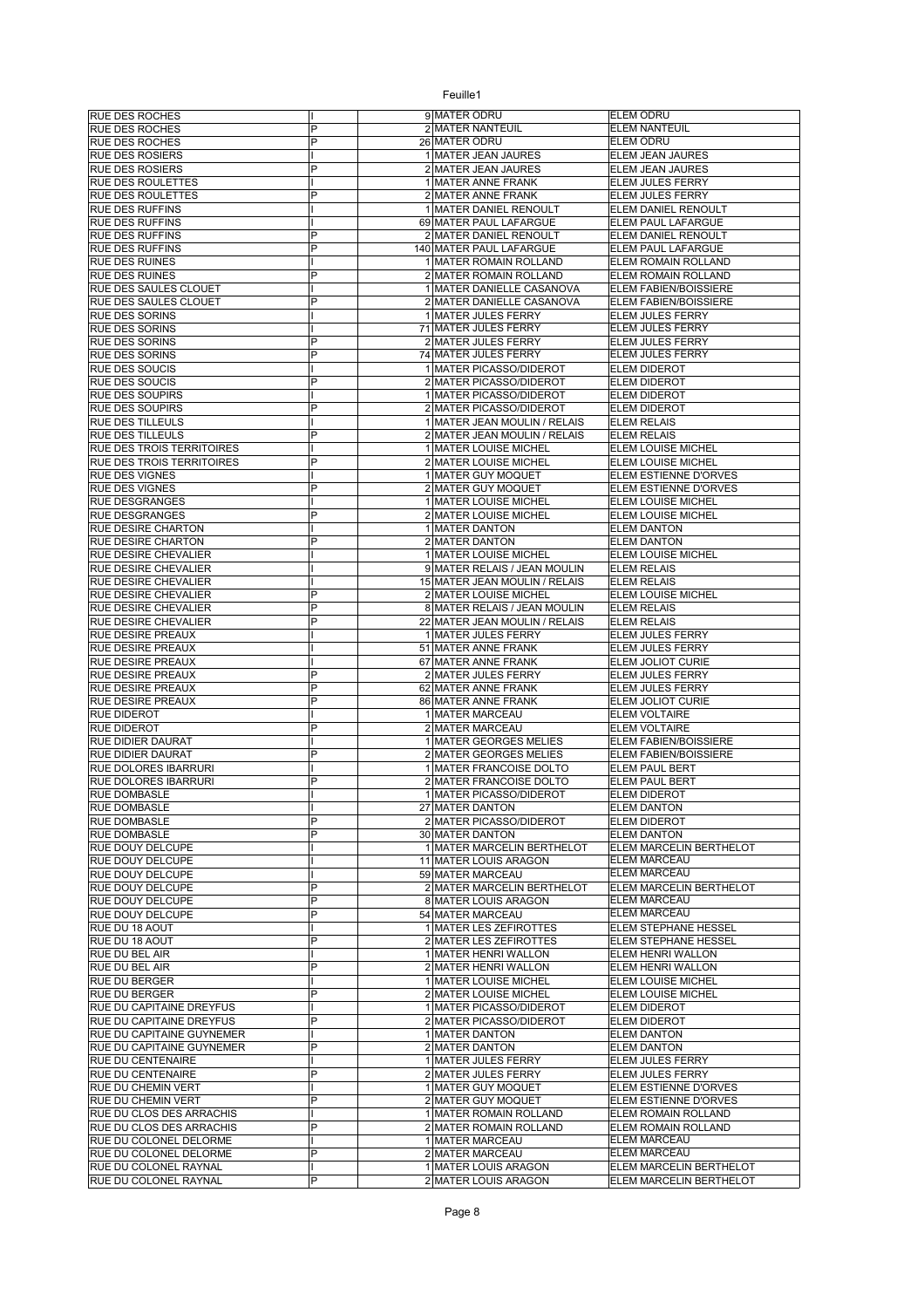| RUE DES ROCHES                   |   | 9 MATER ODRU                                | <b>ELEM ODRU</b>               |
|----------------------------------|---|---------------------------------------------|--------------------------------|
| <b>RUE DES ROCHES</b>            | P | 2 MATER NANTEUIL                            | <b>ELEM NANTEUIL</b>           |
| RUE DES ROCHES                   | P | 26 MATER ODRU                               | <b>ELEM ODRU</b>               |
| <b>RUE DES ROSIERS</b>           |   | 1 MATER JEAN JAURES                         | ELEM JEAN JAURES               |
|                                  | P |                                             |                                |
| RUE DES ROSIERS                  |   | 2 MATER JEAN JAURES                         | ELEM JEAN JAURES               |
| RUE DES ROULETTES                |   | 1 MATER ANNE FRANK                          | ELEM JULES FERRY               |
| RUE DES ROULETTES                | P | 2 MATER ANNE FRANK                          | <b>ELEM JULES FERRY</b>        |
| RUE DES RUFFINS                  |   | 1 MATER DANIEL RENOULT                      | ELEM DANIEL RENOULT            |
| <b>RUE DES RUFFINS</b>           |   | 69 MATER PAUL LAFARGUE                      | ELEM PAUL LAFARGUE             |
| RUE DES RUFFINS                  | P | 2 MATER DANIEL RENOULT                      | ELEM DANIEL RENOULT            |
| RUE DES RUFFINS                  | P | 140 MATER PAUL LAFARGUE                     | ELEM PAUL LAFARGUE             |
| RUE DES RUINES                   |   | 1 MATER ROMAIN ROLLAND                      | ELEM ROMAIN ROLLAND            |
| <b>RUE DES RUINES</b>            | P | 2 MATER ROMAIN ROLLAND                      | <b>ELEM ROMAIN ROLLAND</b>     |
| RUE DES SAULES CLOUET            |   | 1 MATER DANIELLE CASANOVA                   | ELEM FABIEN/BOISSIERE          |
| RUE DES SAULES CLOUET            | P | 2 MATER DANIELLE CASANOVA                   | ELEM FABIEN/BOISSIERE          |
| <b>RUE DES SORINS</b>            |   | 1 MATER JULES FERRY                         | ELEM JULES FERRY               |
| RUE DES SORINS                   |   | 71 MATER JULES FERRY                        | ELEM JULES FERRY               |
| RUE DES SORINS                   | P | 2 MATER JULES FERRY                         | ELEM JULES FERRY               |
| RUE DES SORINS                   | P | 74 MATER JULES FERRY                        | ELEM JULES FERRY               |
| RUE DES SOUCIS                   |   | 1 MATER PICASSO/DIDEROT                     | ELEM DIDEROT                   |
| <b>RUE DES SOUCIS</b>            | P | 2 MATER PICASSO/DIDEROT                     | <b>ELEM DIDEROT</b>            |
| RUE DES SOUPIRS                  |   | 1 MATER PICASSO/DIDEROT                     | <b>ELEM DIDEROT</b>            |
| RUE DES SOUPIRS                  | P | 2 MATER PICASSO/DIDEROT                     | <b>ELEM DIDEROT</b>            |
| RUE DES TILLEULS                 |   | 1 MATER JEAN MOULIN / RELAIS                | <b>ELEM RELAIS</b>             |
| RUE DES TILLEULS                 | P | 2 MATER JEAN MOULIN / RELAIS                | <b>ELEM RELAIS</b>             |
| RUE DES TROIS TERRITOIRES        |   | 1 MATER LOUISE MICHEL                       | ELEM LOUISE MICHEL             |
|                                  | P |                                             |                                |
| <b>RUE DES TROIS TERRITOIRES</b> |   | 2 MATER LOUISE MICHEL<br>1 MATER GUY MOQUET | ELEM LOUISE MICHEL             |
| RUE DES VIGNES                   | P |                                             | ELEM ESTIENNE D'ORVES          |
| <b>RUE DES VIGNES</b>            |   | 2 MATER GUY MOQUET                          | ELEM ESTIENNE D'ORVES          |
| <b>RUE DESGRANGES</b>            |   | 1 MATER LOUISE MICHEL                       | ELEM LOUISE MICHEL             |
| <b>RUE DESGRANGES</b>            | P | 2 MATER LOUISE MICHEL                       | ELEM LOUISE MICHEL             |
| RUE DESIRE CHARTON               |   | 1 MATER DANTON                              | <b>ELEM DANTON</b>             |
| RUE DESIRE CHARTON               | P | 2 MATER DANTON                              | <b>ELEM DANTON</b>             |
| <b>RUE DESIRE CHEVALIER</b>      |   | 1 MATER LOUISE MICHEL                       | ELEM LOUISE MICHEL             |
| RUE DESIRE CHEVALIER             |   | 9 MATER RELAIS / JEAN MOULIN                | <b>ELEM RELAIS</b>             |
| RUE DESIRE CHEVALIER             |   | 15 MATER JEAN MOULIN / RELAIS               | <b>ELEM RELAIS</b>             |
| RUE DESIRE CHEVALIER             | P | 2 MATER LOUISE MICHEL                       | ELEM LOUISE MICHEL             |
| RUE DESIRE CHEVALIER             | P | 8 MATER RELAIS / JEAN MOULIN                | <b>ELEM RELAIS</b>             |
| RUE DESIRE CHEVALIER             | P | 22 MATER JEAN MOULIN / RELAIS               | <b>ELEM RELAIS</b>             |
| RUE DESIRE PREAUX                |   | 1 MATER JULES FERRY                         | ELEM JULES FERRY               |
| RUE DESIRE PREAUX                |   | 51 MATER ANNE FRANK                         | ELEM JULES FERRY               |
| RUE DESIRE PREAUX                |   | 67 MATER ANNE FRANK                         | ELEM JOLIOT CURIE              |
| RUE DESIRE PREAUX                | Ρ | 2 MATER JULES FERRY                         | ELEM JULES FERRY               |
| RUE DESIRE PREAUX                | P | 62 MATER ANNE FRANK                         | ELEM JULES FERRY               |
|                                  |   |                                             |                                |
|                                  | P |                                             |                                |
| RUE DESIRE PREAUX                |   | 86 MATER ANNE FRANK<br>1 MATER MARCEAU      | ELEM JOLIOT CURIE              |
| RUE DIDEROT                      | P |                                             | <b>ELEM VOLTAIRE</b>           |
| RUE DIDEROT                      |   | 2 MATER MARCEAU                             | <b>ELEM VOLTAIRE</b>           |
| RUE DIDIER DAURAT                | P | 1 MATER GEORGES MELIES                      | ELEM FABIEN/BOISSIERE          |
| RUE DIDIER DAURAT                |   | 2 MATER GEORGES MELIES                      | ELEM FABIEN/BOISSIERE          |
| RUE DOLORES IBARRURI             |   | 1 MATER FRANCOISE DOLTO                     | <b>ELEM PAUL BERT</b>          |
| RUE DOLORES IBARRURI             | P | 2 MATER FRANCOISE DOLTO                     | <b>ELEM PAUL BERT</b>          |
| <b>RUE DOMBASLE</b>              |   | 1 MATER PICASSO/DIDEROT                     | <b>ELEM DIDEROT</b>            |
| RUE DOMBASLE                     |   | 27 MATER DANTON                             | <b>ELEM DANTON</b>             |
| RUE DOMBASLE                     | P | 2 MATER PICASSO/DIDEROT                     | <b>ELEM DIDEROT</b>            |
| <b>RUE DOMBASLE</b>              | P | 30 MATER DANTON                             | <b>ELEM DANTON</b>             |
| RUE DOUY DELCUPE                 |   | 1 MATER MARCELIN BERTHELOT                  | ELEM MARCELIN BERTHELOT        |
| RUE DOUY DELCUPE                 |   | 11 MATER LOUIS ARAGON                       | <b>ELEM MARCEAU</b>            |
| RUE DOUY DELCUPE                 |   | 59 MATER MARCEAU                            | <b>ELEM MARCEAU</b>            |
| RUE DOUY DELCUPE                 | P | 2 MATER MARCELIN BERTHELOT                  | <b>ELEM MARCELIN BERTHELOT</b> |
| RUE DOUY DELCUPE                 | P | 8 MATER LOUIS ARAGON                        | <b>ELEM MARCEAU</b>            |
| RUE DOUY DELCUPE                 | P | 54 MATER MARCEAU                            | ELEM MARCEAU                   |
| RUE DU 18 AOUT                   |   | 1 MATER LES ZEFIROTTES                      | ELEM STEPHANE HESSEL           |
| RUE DU 18 AOUT                   | P | 2 MATER LES ZEFIROTTES                      | ELEM STEPHANE HESSEL           |
| RUE DU BEL AIR                   |   | 1 MATER HENRI WALLON                        | ELEM HENRI WALLON              |
| RUE DU BEL AIR                   | P | 2 MATER HENRI WALLON                        | ELEM HENRI WALLON              |
| RUE DU BERGER                    |   | 1 MATER LOUISE MICHEL                       | ELEM LOUISE MICHEL             |
| RUE DU BERGER                    | P | 2 MATER LOUISE MICHEL                       | ELEM LOUISE MICHEL             |
| RUE DU CAPITAINE DREYFUS         |   | 1 MATER PICASSO/DIDEROT                     | <b>ELEM DIDEROT</b>            |
| RUE DU CAPITAINE DREYFUS         | P | 2 MATER PICASSO/DIDEROT                     | <b>ELEM DIDEROT</b>            |
| RUE DU CAPITAINE GUYNEMER        |   | 1 MATER DANTON                              | <b>ELEM DANTON</b>             |
| RUE DU CAPITAINE GUYNEMER        | P | 2 MATER DANTON                              | <b>ELEM DANTON</b>             |
| RUE DU CENTENAIRE                |   | 1 MATER JULES FERRY                         | ELEM JULES FERRY               |
| RUE DU CENTENAIRE                | P | 2 MATER JULES FERRY                         | ELEM JULES FERRY               |
| RUE DU CHEMIN VERT               |   | 1 MATER GUY MOQUET                          | ELEM ESTIENNE D'ORVES          |
| RUE DU CHEMIN VERT               | P | 2 MATER GUY MOQUET                          | ELEM ESTIENNE D'ORVES          |
| RUE DU CLOS DES ARRACHIS         |   | 1 MATER ROMAIN ROLLAND                      | ELEM ROMAIN ROLLAND            |
| RUE DU CLOS DES ARRACHIS         | P | 2 MATER ROMAIN ROLLAND                      | ELEM ROMAIN ROLLAND            |
| RUE DU COLONEL DELORME           |   | 1 MATER MARCEAU                             | <b>ELEM MARCEAU</b>            |
| RUE DU COLONEL DELORME           | P | 2 MATER MARCEAU                             | <b>ELEM MARCEAU</b>            |
| RUE DU COLONEL RAYNAL            |   | 1 MATER LOUIS ARAGON                        | ELEM MARCELIN BERTHELOT        |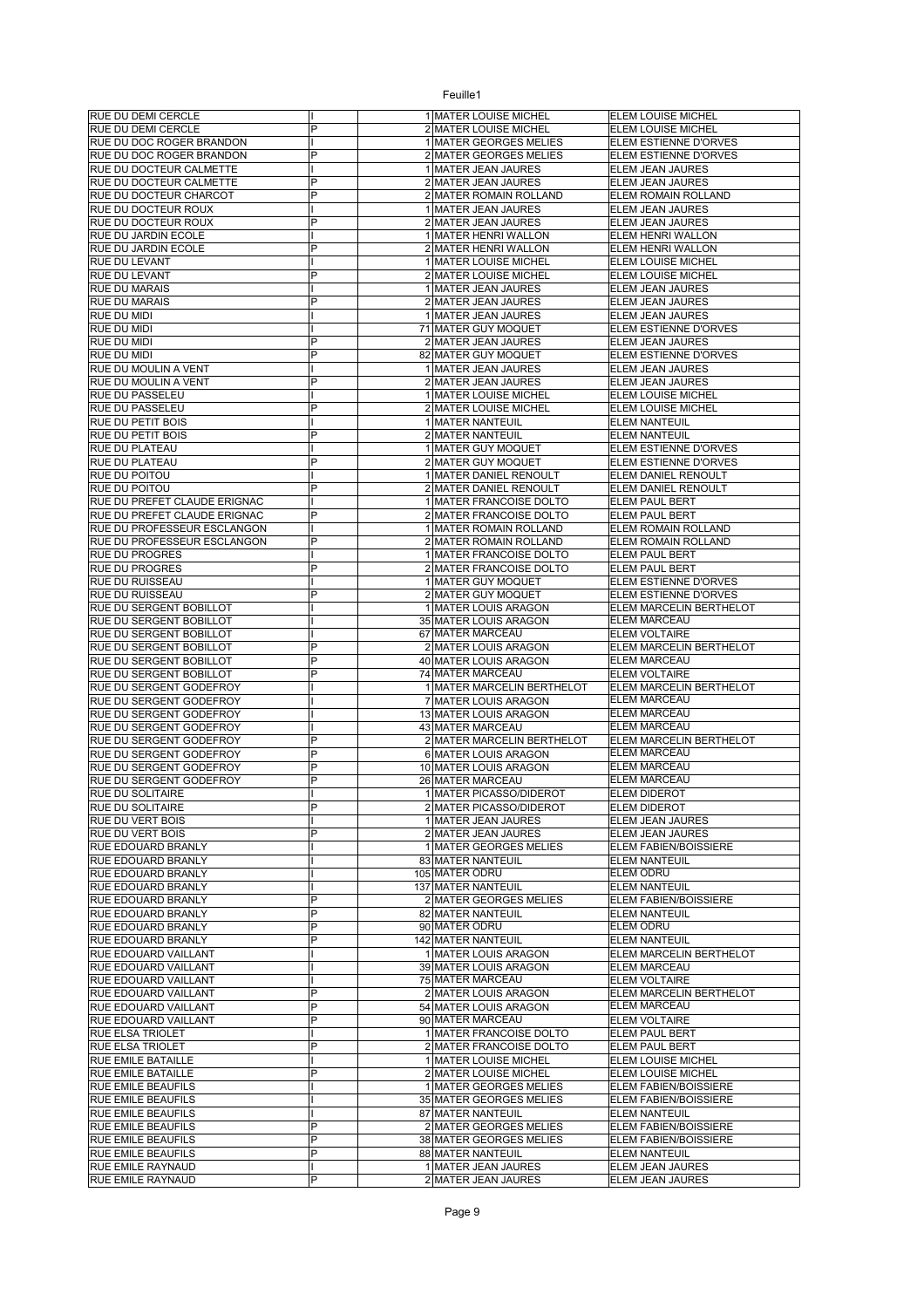| <b>RUE DU DEMI CERCLE</b>                                                                                        |                         | 1 MATER LOUISE MICHEL                      | ELEM LOUISE MICHEL                   |
|------------------------------------------------------------------------------------------------------------------|-------------------------|--------------------------------------------|--------------------------------------|
| RUE DU DEMI CERCLE                                                                                               | P                       | 2 MATER LOUISE MICHEL                      | ELEM LOUISE MICHEL                   |
| RUE DU DOC ROGER BRANDON                                                                                         |                         | 1 MATER GEORGES MELIES                     | ELEM ESTIENNE D'ORVES                |
| RUE DU DOC ROGER BRANDON                                                                                         | P                       | 2 MATER GEORGES MELIES                     | ELEM ESTIENNE D'ORVES                |
| RUE DU DOCTEUR CALMETTE                                                                                          |                         | 1 MATER JEAN JAURES                        | ELEM JEAN JAURES                     |
| RUE DU DOCTEUR CALMETTE                                                                                          | P                       | 2 MATER JEAN JAURES                        | ELEM JEAN JAURES                     |
| RUE DU DOCTEUR CHARCOT                                                                                           | P                       | 2 MATER ROMAIN ROLLAND                     | <b>ELEM ROMAIN ROLLAND</b>           |
| RUE DU DOCTEUR ROUX                                                                                              |                         | 1 MATER JEAN JAURES                        | ELEM JEAN JAURES                     |
| RUE DU DOCTEUR ROUX                                                                                              | P                       | 2 MATER JEAN JAURES                        | ELEM JEAN JAURES                     |
| RUE DU JARDIN ECOLE                                                                                              |                         | 1 MATER HENRI WALLON                       | ELEM HENRI WALLON                    |
| RUE DU JARDIN ECOLE                                                                                              | P                       | 2 MATER HENRI WALLON                       | ELEM HENRI WALLON                    |
| RUE DU LEVANT                                                                                                    |                         | 1 MATER LOUISE MICHEL                      | ELEM LOUISE MICHEL                   |
| RUE DU LEVANT                                                                                                    | Þ                       | 2 MATER LOUISE MICHEL                      | ELEM LOUISE MICHEL                   |
| <b>RUE DU MARAIS</b>                                                                                             |                         | 1 MATER JEAN JAURES                        | ELEM JEAN JAURES                     |
| <b>RUE DU MARAIS</b>                                                                                             |                         | 2 MATER JEAN JAURES                        | ELEM JEAN JAURES                     |
| RUE DU MIDI                                                                                                      |                         | 1 MATER JEAN JAURES                        | ELEM JEAN JAURES                     |
| <b>RUE DU MIDI</b>                                                                                               |                         | 71 MATER GUY MOQUET                        | ELEM ESTIENNE D'ORVES                |
| RUE DU MIDI                                                                                                      | P                       | 2 MATER JEAN JAURES                        | ELEM JEAN JAURES                     |
| RUE DU MIDI                                                                                                      | P                       | 82 MATER GUY MOQUET                        | ELEM ESTIENNE D'ORVES                |
| RUE DU MOULIN A VENT                                                                                             |                         | 1 MATER JEAN JAURES                        | ELEM JEAN JAURES                     |
| RUE DU MOULIN A VENT                                                                                             | P                       | 2 MATER JEAN JAURES                        | ELEM JEAN JAURES                     |
| <b>RUE DU PASSELEU</b>                                                                                           |                         | 1 MATER LOUISE MICHEL                      | ELEM LOUISE MICHEL                   |
| RUE DU PASSELEU                                                                                                  | P                       | 2 MATER LOUISE MICHEL                      | ELEM LOUISE MICHEL                   |
| <b>RUE DU PETIT BOIS</b>                                                                                         |                         | 1 MATER NANTEUIL                           | ELEM NANTEUIL                        |
| RUE DU PETIT BOIS                                                                                                | P                       | 2 MATER NANTEUIL                           | <b>ELEM NANTEUIL</b>                 |
| <b>RUE DU PLATEAU</b>                                                                                            |                         | 1 MATER GUY MOQUET                         | ELEM ESTIENNE D'ORVES                |
| <b>RUE DU PLATEAU</b>                                                                                            | Þ                       | 2 MATER GUY MOQUET                         | ELEM ESTIENNE D'ORVES                |
| RUE DU POITOU                                                                                                    |                         | 1 MATER DANIEL RENOULT                     | ELEM DANIEL RENOULT                  |
| RUE DU POITOU                                                                                                    | Þ                       | 2 MATER DANIEL RENOULT                     | ELEM DANIEL RENOULT                  |
| RUE DU PREFET CLAUDE ERIGNAC                                                                                     |                         | 1 MATER FRANCOISE DOLTO                    | <b>ELEM PAUL BERT</b>                |
| RUE DU PREFET CLAUDE ERIGNAC                                                                                     | P                       | 2 MATER FRANCOISE DOLTO                    | ELEM PAUL BERT                       |
| RUE DU PROFESSEUR ESCLANGON                                                                                      |                         | 1 MATER ROMAIN ROLLAND                     | ELEM ROMAIN ROLLAND                  |
| RUE DU PROFESSEUR ESCLANGON                                                                                      | P                       | 2 MATER ROMAIN ROLLAND                     | <b>ELEM ROMAIN ROLLAND</b>           |
| <b>RUE DU PROGRES</b>                                                                                            |                         | 1 MATER FRANCOISE DOLTO                    | ELEM PAUL BERT                       |
| <b>RUE DU PROGRES</b>                                                                                            | P                       | 2 MATER FRANCOISE DOLTO                    | ELEM PAUL BERT                       |
| <b>RUE DU RUISSEAU</b>                                                                                           |                         | 1 MATER GUY MOQUET                         | ELEM ESTIENNE D'ORVES                |
| <b>RUE DU RUISSEAU</b>                                                                                           | P                       | 2 MATER GUY MOQUET                         | ELEM ESTIENNE D'ORVES                |
| RUE DU SERGENT BOBILLOT                                                                                          |                         | 1 MATER LOUIS ARAGON                       | ELEM MARCELIN BERTHELOT              |
| RUE DU SERGENT BOBILLOT                                                                                          |                         | 35 MATER LOUIS ARAGON                      | ELEM MARCEAU                         |
| RUE DU SERGENT BOBILLOT                                                                                          |                         | 67 MATER MARCEAU                           | <b>ELEM VOLTAIRE</b>                 |
| RUE DU SERGENT BOBILLOT                                                                                          | P                       | 2 MATER LOUIS ARAGON                       | ELEM MARCELIN BERTHELOT              |
| RUE DU SERGENT BOBILLOT                                                                                          | P                       | 40 MATER LOUIS ARAGON                      | ELEM MARCEAU                         |
| RUE DU SERGENT BOBILLOT                                                                                          | P                       | 74 MATER MARCEAU                           | <b>ELEM VOLTAIRE</b>                 |
| RUE DU SERGENT GODEFROY                                                                                          |                         | 1 MATER MARCELIN BERTHELOT                 | ELEM MARCELIN BERTHELOT              |
| RUE DU SERGENT GODEFROY                                                                                          |                         | 7 MATER LOUIS ARAGON                       | ELEM MARCEAU                         |
| RUE DU SERGENT GODEFROY                                                                                          |                         | 13 MATER LOUIS ARAGON                      | <b>ELEM MARCEAU</b>                  |
| RUE DU SERGENT GODEFROY                                                                                          |                         | 43 MATER MARCEAU                           | <b>ELEM MARCEAU</b>                  |
| RUE DU SERGENT GODEFROY                                                                                          | P                       | 2 MATER MARCELIN BERTHELOT                 | ELEM MARCELIN BERTHELOT              |
| RUE DU SERGENT GODEFROY                                                                                          | P                       | 6 MATER LOUIS ARAGON                       | ELEM MARCEAU                         |
| RUE DU SERGENT GODEFROY                                                                                          | P                       | 10 MATER LOUIS ARAGON                      | <b>ELEM MARCEAU</b>                  |
| RUE DU SERGENT GODEFROY                                                                                          | Þ                       | 26 MATER MARCEAU                           | <b>ELEM MARCEAU</b>                  |
| RUE DU SOLITAIRE                                                                                                 |                         | 1 MATER PICASSO/DIDEROT                    | <b>ELEM DIDEROT</b>                  |
| <b>RUE DU SOLITAIRE</b>                                                                                          | D                       | 2 MATER PICASSO/DIDEROT                    | <b>ELEM DIDEROT</b>                  |
| RUE DU VERT BOIS                                                                                                 |                         | 1 MATER JEAN JAURES                        | ELEM JEAN JAURES                     |
| <b>RUE DU VERT BOIS</b>                                                                                          | P                       | 2 MATER JEAN JAURES                        | ELEM JEAN JAURES                     |
| <b>RUE EDOUARD BRANLY</b>                                                                                        |                         | 1 MATER GEORGES MELIES                     | ELEM FABIEN/BOISSIERE                |
| <b>RUE EDOUARD BRANLY</b>                                                                                        |                         | 83 MATER NANTEUIL                          | <b>ELEM NANTEUIL</b>                 |
| RUE EDOUARD BRANLY                                                                                               |                         | 105 MATER ODRU                             | ELEM ODRU                            |
| RUE EDOUARD BRANLY                                                                                               |                         | 137 MATER NANTEUIL                         | <b>ELEM NANTEUIL</b>                 |
| RUE EDOUARD BRANLY                                                                                               | P                       |                                            |                                      |
| RUE EDOUARD BRANLY                                                                                               |                         | 2 MATER GEORGES MELIES                     | ELEM FABIEN/BOISSIERE                |
|                                                                                                                  | P                       | 82 MATER NANTEUIL                          | <b>ELEM NANTEUIL</b>                 |
| RUE EDOUARD BRANLY                                                                                               | Þ                       | 90 MATER ODRU                              | ELEM ODRU                            |
| RUE EDOUARD BRANLY                                                                                               | Þ                       | 142 MATER NANTEUIL                         | <b>ELEM NANTEUIL</b>                 |
| RUE EDOUARD VAILLANT                                                                                             |                         | 1 MATER LOUIS ARAGON                       | ELEM MARCELIN BERTHELOT              |
| RUE EDOUARD VAILLANT                                                                                             |                         | 39 MATER LOUIS ARAGON                      | ELEM MARCEAU                         |
| RUE EDOUARD VAILLANT                                                                                             |                         | 75 MATER MARCEAU                           | ELEM VOLTAIRE                        |
| RUE EDOUARD VAILLANT                                                                                             | P                       | 2 MATER LOUIS ARAGON                       | ELEM MARCELIN BERTHELOT              |
| RUE EDOUARD VAILLANT                                                                                             | $\overline{\mathsf{P}}$ | 54 MATER LOUIS ARAGON                      | ELEM MARCEAU                         |
|                                                                                                                  | Þ                       | 90 MATER MARCEAU                           | ELEM VOLTAIRE                        |
| <b>RUE ELSA TRIOLET</b>                                                                                          |                         | 1 MATER FRANCOISE DOLTO                    | ELEM PAUL BERT                       |
|                                                                                                                  | P                       | 2 MATER FRANCOISE DOLTO                    | ELEM PAUL BERT                       |
| <b>RUE EMILE BATAILLE</b>                                                                                        |                         | 1 MATER LOUISE MICHEL                      | ELEM LOUISE MICHEL                   |
| <b>RUE EMILE BATAILLE</b>                                                                                        | P                       | 2 MATER LOUISE MICHEL                      | ELEM LOUISE MICHEL                   |
| <b>RUE EMILE BEAUFILS</b>                                                                                        |                         | 1 MATER GEORGES MELIES                     | ELEM FABIEN/BOISSIERE                |
| RUE EMILE BEAUFILS                                                                                               |                         | 35 MATER GEORGES MELIES                    | ELEM FABIEN/BOISSIERE                |
|                                                                                                                  |                         | 87 MATER NANTEUIL                          | ELEM NANTEUIL                        |
| RUE EMILE BEAUFILS                                                                                               | P                       | 2 MATER GEORGES MELIES                     | ELEM FABIEN/BOISSIERE                |
| <b>RUE EDOUARD VAILLANT</b><br><b>RUE ELSA TRIOLET</b><br><b>RUE EMILE BEAUFILS</b><br><b>RUE EMILE BEAUFILS</b> | P                       | 38 MATER GEORGES MELIES                    | ELEM FABIEN/BOISSIERE                |
| RUE EMILE BEAUFILS                                                                                               | P                       | 88 MATER NANTEUIL                          | ELEM NANTEUIL                        |
| <b>RUE EMILE RAYNAUD</b><br>RUE EMILE RAYNAUD                                                                    | P                       | 1 MATER JEAN JAURES<br>2 MATER JEAN JAURES | ELEM JEAN JAURES<br>ELEM JEAN JAURES |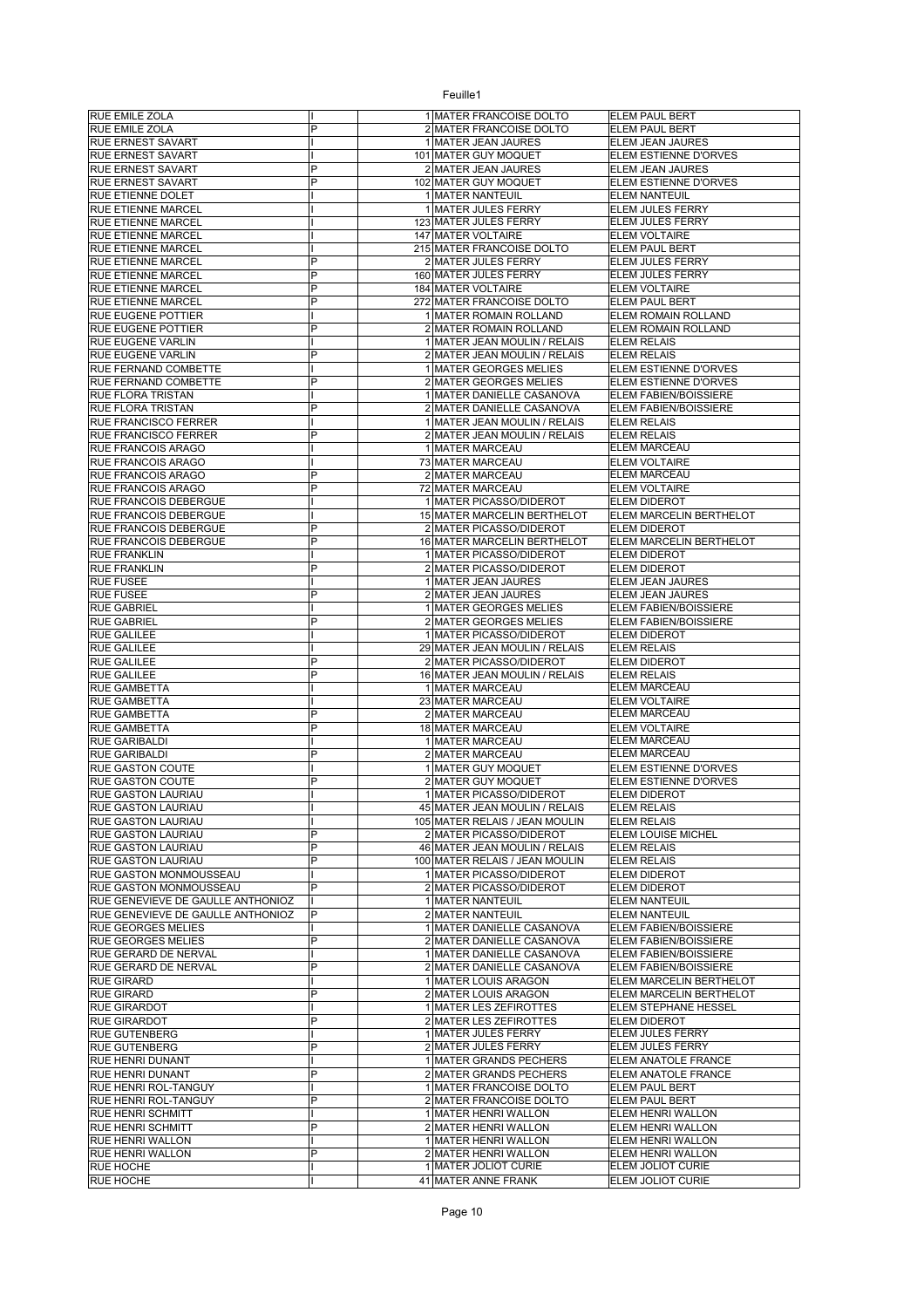| <b>RUE EMILE ZOLA</b>             |                | 1 MATER FRANCOISE DOLTO                     | ELEM PAUL BERT                           |
|-----------------------------------|----------------|---------------------------------------------|------------------------------------------|
| RUE EMILE ZOLA                    | P              | 2 MATER FRANCOISE DOLTO                     | ELEM PAUL BERT                           |
| RUE ERNEST SAVART                 |                | 1 MATER JEAN JAURES                         | ELEM JEAN JAURES                         |
|                                   |                | 101 MATER GUY MOQUET                        |                                          |
| <b>RUE ERNEST SAVART</b>          |                |                                             | ELEM ESTIENNE D'ORVES                    |
| <b>RUE ERNEST SAVART</b>          | P              | 2 MATER JEAN JAURES                         | ELEM JEAN JAURES                         |
| <b>RUE ERNEST SAVART</b>          | P              | 102 MATER GUY MOQUET                        | ELEM ESTIENNE D'ORVES                    |
| RUE ETIENNE DOLET                 |                | 1 MATER NANTEUIL                            | <b>ELEM NANTEUIL</b>                     |
| RUE ETIENNE MARCEL                |                | 1 MATER JULES FERRY                         | ELEM JULES FERRY                         |
| RUE ETIENNE MARCEL                |                | 123 MATER JULES FERRY                       | ELEM JULES FERRY                         |
| RUE ETIENNE MARCEL                |                | 147 MATER VOLTAIRE                          | ELEM VOLTAIRE                            |
| RUE ETIENNE MARCEL                |                | 215 MATER FRANCOISE DOLTO                   | ELEM PAUL BERT                           |
| RUE ETIENNE MARCEL                | P              | 2 MATER JULES FERRY                         | ELEM JULES FERRY                         |
| RUE ETIENNE MARCEL                | P              | 160 MATER JULES FERRY                       | ELEM JULES FERRY                         |
| RUE ETIENNE MARCEL                | P              | 184 MATER VOLTAIRE                          | <b>ELEM VOLTAIRE</b>                     |
|                                   | P              |                                             | <b>ELEM PAUL BERT</b>                    |
| RUE ETIENNE MARCEL                |                | 272 MATER FRANCOISE DOLTO                   |                                          |
| RUE EUGENE POTTIER                |                | 1 MATER ROMAIN ROLLAND                      | ELEM ROMAIN ROLLAND                      |
| <b>RUE EUGENE POTTIER</b>         | P              | 2 MATER ROMAIN ROLLAND                      | ELEM ROMAIN ROLLAND                      |
| RUE EUGENE VARLIN                 |                | 1 MATER JEAN MOULIN / RELAIS                | <b>ELEM RELAIS</b>                       |
| RUE EUGENE VARLIN                 | P              | 2 MATER JEAN MOULIN / RELAIS                | <b>ELEM RELAIS</b>                       |
| RUE FERNAND COMBETTE              |                | 1 MATER GEORGES MELIES                      | ELEM ESTIENNE D'ORVES                    |
| RUE FERNAND COMBETTE              | P              | 2 MATER GEORGES MELIES                      | ELEM ESTIENNE D'ORVES                    |
| <b>RUE FLORA TRISTAN</b>          |                | 1 MATER DANIELLE CASANOVA                   | ELEM FABIEN/BOISSIERE                    |
| RUE FLORA TRISTAN                 | P              | 2 MATER DANIELLE CASANOVA                   | ELEM FABIEN/BOISSIERE                    |
| RUE FRANCISCO FERRER              |                |                                             |                                          |
|                                   | P              | 1 MATER JEAN MOULIN / RELAIS                | <b>ELEM RELAIS</b><br><b>ELEM RELAIS</b> |
| RUE FRANCISCO FERRER              |                | 2 MATER JEAN MOULIN / RELAIS                |                                          |
| RUE FRANCOIS ARAGO                |                | 1 MATER MARCEAU                             | ELEM MARCEAU                             |
| <b>RUE FRANCOIS ARAGO</b>         |                | 73 MATER MARCEAU                            | <b>ELEM VOLTAIRE</b>                     |
| RUE FRANCOIS ARAGO                | P              | 2 MATER MARCEAU                             | <b>ELEM MARCEAU</b>                      |
| RUE FRANCOIS ARAGO                | P              | 72 MATER MARCEAU                            | <b>ELEM VOLTAIRE</b>                     |
| RUE FRANCOIS DEBERGUE             |                | 1 MATER PICASSO/DIDEROT                     | <b>ELEM DIDEROT</b>                      |
| RUE FRANCOIS DEBERGUE             |                | 15 MATER MARCELIN BERTHELOT                 | ELEM MARCELIN BERTHELOT                  |
| RUE FRANCOIS DEBERGUE             | P              | 2 MATER PICASSO/DIDEROT                     | <b>ELEM DIDEROT</b>                      |
| RUE FRANCOIS DEBERGUE             | P              | 16 MATER MARCELIN BERTHELOT                 | ELEM MARCELIN BERTHELOT                  |
| <b>RUE FRANKLIN</b>               |                | 1 MATER PICASSO/DIDEROT                     | <b>ELEM DIDEROT</b>                      |
| <b>RUE FRANKLIN</b>               | P              | 2 MATER PICASSO/DIDEROT                     | <b>ELEM DIDEROT</b>                      |
|                                   |                |                                             |                                          |
| <b>RUE FUSEE</b>                  |                | 1 MATER JEAN JAURES                         | ELEM JEAN JAURES                         |
| <b>RUE FUSEE</b>                  |                | 2 MATER JEAN JAURES                         | ELEM JEAN JAURES                         |
| <b>RUE GABRIEL</b>                |                | 1 MATER GEORGES MELIES                      | ELEM FABIEN/BOISSIERE                    |
| <b>RUE GABRIEL</b>                |                | 2 MATER GEORGES MELIES                      | ELEM FABIEN/BOISSIERE                    |
| <b>RUE GALILEE</b>                |                | 1 MATER PICASSO/DIDEROT                     | <b>ELEM DIDEROT</b>                      |
| <b>RUE GALILEE</b>                |                | 29 MATER JEAN MOULIN / RELAIS               | <b>ELEM RELAIS</b>                       |
| <b>RUE GALILEE</b>                | P              | 2 MATER PICASSO/DIDEROT                     | <b>ELEM DIDEROT</b>                      |
| <b>RUE GALILEE</b>                | P              | 16 MATER JEAN MOULIN / RELAIS               | <b>ELEM RELAIS</b>                       |
| <b>RUE GAMBETTA</b>               |                | 1 MATER MARCEAU                             | ELEM MARCEAU                             |
| <b>RUE GAMBETTA</b>               |                | 23 MATER MARCEAU                            | <b>ELEM VOLTAIRE</b>                     |
|                                   | P              |                                             | <b>ELEM MARCEAU</b>                      |
| RUE GAMBETTA                      |                | 2 MATER MARCEAU                             |                                          |
| RUE GAMBETTA                      | P              | 18 MATER MARCEAU                            | <b>ELEM VOLTAIRE</b>                     |
| RUE GARIBALDI                     |                | 1 MATER MARCEAU                             | <b>ELEM MARCEAU</b>                      |
| <b>RUE GARIBALDI</b>              | P              | 2 MATER MARCEAU                             | <b>ELEM MARCEAU</b>                      |
| <b>RUE GASTON COUTE</b>           |                | 1 MATER GUY MOQUET                          | ELEM ESTIENNE D'ORVES                    |
| <b>RUE GASTON COUTE</b>           | P              | 2 MATER GUY MOQUET                          | ELEM ESTIENNE D'ORVES                    |
| RUE GASTON LAURIAU                |                | 1 MATER PICASSO/DIDEROT                     | <b>ELEM DIDEROT</b>                      |
| <b>RUE GASTON LAURIAU</b>         |                | 45 MATER JEAN MOULIN / RELAIS               | <b>ELEM RELAIS</b>                       |
| <b>RUE GASTON LAURIAU</b>         |                | 105 MATER RELAIS / JEAN MOULIN              | <b>ELEM RELAIS</b>                       |
| RUE GASTON LAURIAU                | P              | 2 MATER PICASSO/DIDEROT                     | ELEM LOUISE MICHEL                       |
| RUE GASTON LAURIAU                | $\overline{P}$ | 46 MATER JEAN MOULIN / RELAIS               | <b>ELEM RELAIS</b>                       |
| <b>RUE GASTON LAURIAU</b>         | $\overline{P}$ | 100 MATER RELAIS / JEAN MOULIN              | <b>ELEM RELAIS</b>                       |
| RUE GASTON MONMOUSSEAU            |                | 1 MATER PICASSO/DIDEROT                     | <b>ELEM DIDEROT</b>                      |
| RUE GASTON MONMOUSSEAU            | P              | 2 MATER PICASSO/DIDEROT                     | ELEM DIDEROT                             |
| RUE GENEVIEVE DE GAULLE ANTHONIOZ |                | 1 MATER NANTEUIL                            |                                          |
|                                   |                |                                             | <b>ELEM NANTEUIL</b>                     |
| RUE GENEVIEVE DE GAULLE ANTHONIOZ | P              | 2 MATER NANTEUIL                            | <b>ELEM NANTEUIL</b>                     |
| <b>RUE GEORGES MELIES</b>         |                | 1 MATER DANIELLE CASANOVA                   | ELEM FABIEN/BOISSIERE                    |
| <b>RUE GEORGES MELIES</b>         |                |                                             |                                          |
| RUE GERARD DE NERVAL              | $\overline{P}$ | 2 MATER DANIELLE CASANOVA                   | ELEM FABIEN/BOISSIERE                    |
|                                   |                | 1 MATER DANIELLE CASANOVA                   | ELEM FABIEN/BOISSIERE                    |
| RUE GERARD DE NERVAL              | P              | 2 MATER DANIELLE CASANOVA                   | ELEM FABIEN/BOISSIERE                    |
| <b>RUE GIRARD</b>                 |                | 1 MATER LOUIS ARAGON                        | ELEM MARCELIN BERTHELOT                  |
|                                   | P              |                                             |                                          |
| <b>RUE GIRARD</b>                 |                | 2 MATER LOUIS ARAGON                        | ELEM MARCELIN BERTHELOT                  |
| <b>RUE GIRARDOT</b>               |                | 1 MATER LES ZEFIROTTES                      | ELEM STEPHANE HESSEL                     |
| <b>RUE GIRARDOT</b>               | P              | 2 MATER LES ZEFIROTTES                      | ELEM DIDEROT                             |
| <b>RUE GUTENBERG</b>              |                | 1 MATER JULES FERRY                         | ELEM JULES FERRY                         |
| <b>RUE GUTENBERG</b>              | P              | 2 MATER JULES FERRY                         | ELEM JULES FERRY                         |
| <b>RUE HENRI DUNANT</b>           |                | 1 MATER GRANDS PECHERS                      | ELEM ANATOLE FRANCE                      |
| <b>RUE HENRI DUNANT</b>           | P              | 2 MATER GRANDS PECHERS                      | ELEM ANATOLE FRANCE                      |
| RUE HENRI ROL-TANGUY              |                | 1 MATER FRANCOISE DOLTO                     | ELEM PAUL BERT                           |
| RUE HENRI ROL-TANGUY              | P              | 2 MATER FRANCOISE DOLTO                     | ELEM PAUL BERT                           |
| <b>RUE HENRI SCHMITT</b>          |                | 1 MATER HENRI WALLON                        | ELEM HENRI WALLON                        |
| <b>RUE HENRI SCHMITT</b>          | P              | 2 MATER HENRI WALLON                        | ELEM HENRI WALLON                        |
| <b>RUE HENRI WALLON</b>           |                | 1 MATER HENRI WALLON                        | ELEM HENRI WALLON                        |
| <b>RUE HENRI WALLON</b>           | P              | 2 MATER HENRI WALLON                        | ELEM HENRI WALLON                        |
|                                   |                |                                             |                                          |
| <b>RUE HOCHE</b><br>RUE HOCHE     |                | 1 MATER JOLIOT CURIE<br>41 MATER ANNE FRANK | ELEM JOLIOT CURIE<br>ELEM JOLIOT CURIE   |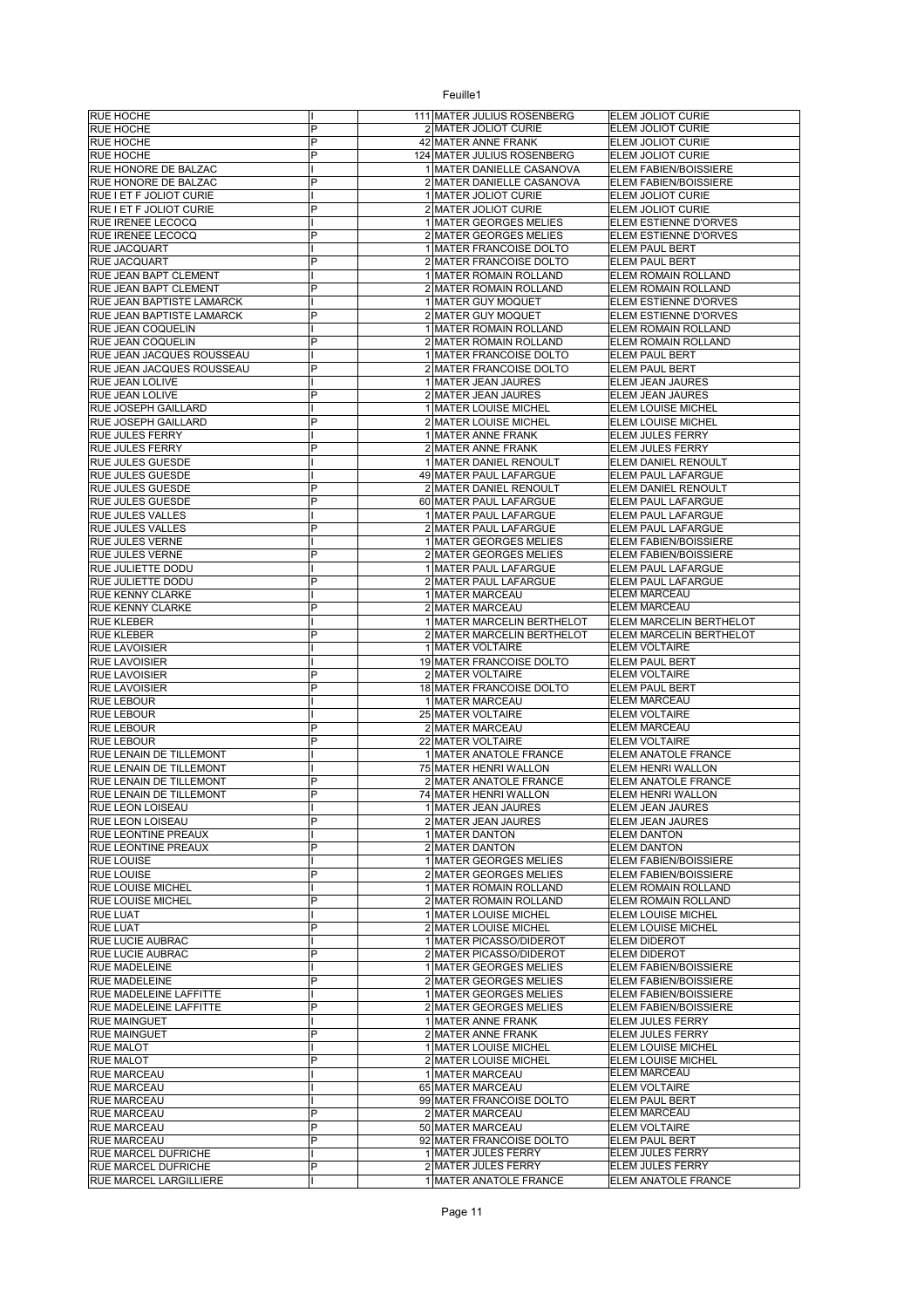| <b>RUE HOCHE</b>                            |   | 111 MATER JULIUS ROSENBERG                      | ELEM JOLIOT CURIE            |
|---------------------------------------------|---|-------------------------------------------------|------------------------------|
| <b>RUE HOCHE</b>                            | P | 2 MATER JOLIOT CURIE                            | ELEM JOLIOT CURIE            |
| <b>RUE HOCHE</b>                            | P | 42 MATER ANNE FRANK                             | ELEM JOLIOT CURIE            |
| <b>RUE HOCHE</b>                            | P | 124 MATER JULIUS ROSENBERG                      | ELEM JOLIOT CURIE            |
| RUE HONORE DE BALZAC                        |   | 1 MATER DANIELLE CASANOVA                       | <b>ELEM FABIEN/BOISSIERE</b> |
| RUE HONORE DE BALZAC                        | P | 2 MATER DANIELLE CASANOVA                       | ELEM FABIEN/BOISSIERE        |
| RUE I ET F JOLIOT CURIE                     |   | 1 MATER JOLIOT CURIE                            | ELEM JOLIOT CURIE            |
| RUE I ET F JOLIOT CURIE                     | P | 2 MATER JOLIOT CURIE                            | ELEM JOLIOT CURIE            |
| <b>RUE IRENEE LECOCQ</b>                    |   | 1 MATER GEORGES MELIES                          | <b>ELEM ESTIENNE D'ORVES</b> |
| <b>RUE IRENEE LECOCQ</b>                    | P | 2 MATER GEORGES MELIES                          | ELEM ESTIENNE D'ORVES        |
| <b>RUE JACQUART</b>                         |   | 1 MATER FRANCOISE DOLTO                         | ELEM PAUL BERT               |
|                                             | P |                                                 |                              |
| RUE JACQUART                                |   | 2 MATER FRANCOISE DOLTO                         | ELEM PAUL BERT               |
| RUE JEAN BAPT CLEMENT                       |   | 1 MATER ROMAIN ROLLAND                          | ELEM ROMAIN ROLLAND          |
| RUE JEAN BAPT CLEMENT                       | P | 2 MATER ROMAIN ROLLAND                          | ELEM ROMAIN ROLLAND          |
| RUE JEAN BAPTISTE LAMARCK                   |   | 1 MATER GUY MOQUET                              | ELEM ESTIENNE D'ORVES        |
| RUE JEAN BAPTISTE LAMARCK                   | P | 2 MATER GUY MOQUET                              | <b>ELEM ESTIENNE D'ORVES</b> |
| <b>RUE JEAN COQUELIN</b>                    |   | 1 MATER ROMAIN ROLLAND                          | ELEM ROMAIN ROLLAND          |
| <b>RUE JEAN COQUELIN</b>                    | P | 2 MATER ROMAIN ROLLAND                          | ELEM ROMAIN ROLLAND          |
| RUE JEAN JACQUES ROUSSEAU                   |   | 1 MATER FRANCOISE DOLTO                         | ELEM PAUL BERT               |
| RUE JEAN JACQUES ROUSSEAU                   | P | 2 MATER FRANCOISE DOLTO                         | ELEM PAUL BERT               |
| RUE JEAN LOLIVE                             |   | 1 MATER JEAN JAURES                             | ELEM JEAN JAURES             |
| RUE JEAN LOLIVE                             | P | 2 MATER JEAN JAURES                             | ELEM JEAN JAURES             |
| RUE JOSEPH GAILLARD                         |   | 1 MATER LOUISE MICHEL                           | ELEM LOUISE MICHEL           |
| RUE JOSEPH GAILLARD                         | P | 2 MATER LOUISE MICHEL                           | ELEM LOUISE MICHEL           |
| <b>RUE JULES FERRY</b>                      |   | 1 MATER ANNE FRANK                              | <b>ELEM JULES FERRY</b>      |
| <b>RUE JULES FERRY</b>                      | P | 2 MATER ANNE FRANK                              | ELEM JULES FERRY             |
| <b>RUE JULES GUESDE</b>                     |   | 1 MATER DANIEL RENOULT                          | ELEM DANIEL RENOULT          |
| <b>RUE JULES GUESDE</b>                     |   | 49 MATER PAUL LAFARGUE                          | ELEM PAUL LAFARGUE           |
| <b>RUE JULES GUESDE</b>                     | P | 2 MATER DANIEL RENOULT                          | ELEM DANIEL RENOULT          |
| <b>RUE JULES GUESDE</b>                     | P | 60 MATER PAUL LAFARGUE                          | ELEM PAUL LAFARGUE           |
| <b>RUE JULES VALLES</b>                     |   | 1 MATER PAUL LAFARGUE                           | ELEM PAUL LAFARGUE           |
| <b>RUE JULES VALLES</b>                     | P | 2 MATER PAUL LAFARGUE                           | ELEM PAUL LAFARGUE           |
|                                             |   | 1 MATER GEORGES MELIES                          |                              |
| <b>RUE JULES VERNE</b>                      | P |                                                 | ELEM FABIEN/BOISSIERE        |
| <b>RUE JULES VERNE</b>                      |   | 2 MATER GEORGES MELIES                          | ELEM FABIEN/BOISSIERE        |
| RUE JULIETTE DODU                           |   | 1 MATER PAUL LAFARGUE                           | ELEM PAUL LAFARGUE           |
| <b>RUE JULIETTE DODU</b>                    | P | 2 MATER PAUL LAFARGUE                           | ELEM PAUL LAFARGUE           |
| <b>RUE KENNY CLARKE</b>                     |   | 1 MATER MARCEAU                                 | ELEM MARCEAU                 |
| <b>RUE KENNY CLARKE</b>                     | P | 2 MATER MARCEAU                                 | <b>ELEM MARCEAU</b>          |
| <b>RUE KLEBER</b>                           |   | 1 MATER MARCELIN BERTHELOT                      | ELEM MARCELIN BERTHELOT      |
| <b>RUE KLEBER</b>                           | P | 2 MATER MARCELIN BERTHELOT                      | ELEM MARCELIN BERTHELOT      |
| <b>RUE LAVOISIER</b>                        |   | 1 MATER VOLTAIRE                                | <b>ELEM VOLTAIRE</b>         |
| <b>RUE LAVOISIER</b>                        |   | 19 MATER FRANCOISE DOLTO                        | <b>ELEM PAUL BERT</b>        |
| <b>RUE LAVOISIER</b>                        | P | 2 MATER VOLTAIRE                                | <b>ELEM VOLTAIRE</b>         |
| <b>RUE LAVOISIER</b>                        | P | 18 MATER FRANCOISE DOLTO                        | <b>ELEM PAUL BERT</b>        |
| <b>RUE LEBOUR</b>                           |   | 1 MATER MARCEAU                                 | <b>ELEM MARCEAU</b>          |
| <b>RUE LEBOUR</b>                           |   | 25 MATER VOLTAIRE                               | <b>ELEM VOLTAIRE</b>         |
| <b>RUE LEBOUR</b>                           | P | 2 MATER MARCEAU                                 | ELEM MARCEAU                 |
| <b>RUE LEBOUR</b>                           | P | 22 MATER VOLTAIRE                               | <b>ELEM VOLTAIRE</b>         |
| RUE LENAIN DE TILLEMONT                     |   | 1 MATER ANATOLE FRANCE                          | ELEM ANATOLE FRANCE          |
| RUE LENAIN DE TILLEMONT                     |   | 75 MATER HENRI WALLON                           | ELEM HENRI WALLON            |
| RUE LENAIN DE TILLEMONT                     | P | 2 MATER ANATOLE FRANCE                          | ELEM ANATOLE FRANCE          |
| RUE LENAIN DE TILLEMONT                     | P | 74 MATER HENRI WALLON                           | ELEM HENRI WALLON            |
| RUE LEON LOISEAU                            |   | 1 MATER JEAN JAURES                             | ELEM JEAN JAURES             |
| <b>RUE LEON LOISEAU</b>                     | P | 2 MATER JEAN JAURES                             | ELEM JEAN JAURES             |
| <b>RUE LEONTINE PREAUX</b>                  |   | 1 MATER DANTON                                  | <b>ELEM DANTON</b>           |
| <b>RUE LEONTINE PREAUX</b>                  | P | 2 MATER DANTON                                  | <b>ELEM DANTON</b>           |
| <b>RUE LOUISE</b>                           |   | 1 MATER GEORGES MELIES                          | ELEM FABIEN/BOISSIERE        |
| <b>RUE LOUISE</b>                           | P | 2 MATER GEORGES MELIES                          | ELEM FABIEN/BOISSIERE        |
| <b>RUE LOUISE MICHEL</b>                    |   | 1 MATER ROMAIN ROLLAND                          | ELEM ROMAIN ROLLAND          |
|                                             | P |                                                 | ELEM ROMAIN ROLLAND          |
| <b>RUE LOUISE MICHEL</b><br><b>RUE LUAT</b> |   | 2 MATER ROMAIN ROLLAND<br>1 MATER LOUISE MICHEL | ELEM LOUISE MICHEL           |
|                                             | P |                                                 | ELEM LOUISE MICHEL           |
| <b>RUE LUAT</b>                             |   | 2 MATER LOUISE MICHEL                           |                              |
| <b>RUE LUCIE AUBRAC</b>                     |   | 1 MATER PICASSO/DIDEROT                         | <b>ELEM DIDEROT</b>          |
| <b>RUE LUCIE AUBRAC</b>                     | P | 2 MATER PICASSO/DIDEROT                         | <b>ELEM DIDEROT</b>          |
| <b>RUE MADELEINE</b>                        |   | 1 MATER GEORGES MELIES                          | ELEM FABIEN/BOISSIERE        |
| <b>RUE MADELEINE</b>                        | P | 2 MATER GEORGES MELIES                          | ELEM FABIEN/BOISSIERE        |
| <b>RUE MADELEINE LAFFITTE</b>               |   | 1 MATER GEORGES MELIES                          | ELEM FABIEN/BOISSIERE        |
| RUE MADELEINE LAFFITTE                      | P | 2 MATER GEORGES MELIES                          | ELEM FABIEN/BOISSIERE        |
| <b>RUE MAINGUET</b>                         |   | 1 MATER ANNE FRANK                              | ELEM JULES FERRY             |
| <b>RUE MAINGUET</b>                         | P | 2 MATER ANNE FRANK                              | ELEM JULES FERRY             |
| <b>RUE MALOT</b>                            |   | 1 MATER LOUISE MICHEL                           | ELEM LOUISE MICHEL           |
| <b>RUE MALOT</b>                            |   | 2 MATER LOUISE MICHEL                           | ELEM LOUISE MICHEL           |
| <b>RUE MARCEAU</b>                          | P |                                                 |                              |
| <b>RUE MARCEAU</b>                          |   | 1 MATER MARCEAU                                 | <b>ELEM MARCEAU</b>          |
|                                             |   | 65 MATER MARCEAU                                | <b>ELEM VOLTAIRE</b>         |
| <b>RUE MARCEAU</b>                          |   | 99 MATER FRANCOISE DOLTO                        | ELEM PAUL BERT               |
| <b>RUE MARCEAU</b>                          | P | 2 MATER MARCEAU                                 | <b>ELEM MARCEAU</b>          |
| <b>RUE MARCEAU</b>                          | P | 50 MATER MARCEAU                                | <b>ELEM VOLTAIRE</b>         |
| <b>RUE MARCEAU</b>                          | P | 92 MATER FRANCOISE DOLTO                        | ELEM PAUL BERT               |
| RUE MARCEL DUFRICHE                         |   | 1 MATER JULES FERRY                             | ELEM JULES FERRY             |
| <b>RUE MARCEL DUFRICHE</b>                  | P | 2 MATER JULES FERRY                             | ELEM JULES FERRY             |
| <b>RUE MARCEL LARGILLIERE</b>               |   | 1 MATER ANATOLE FRANCE                          | ELEM ANATOLE FRANCE          |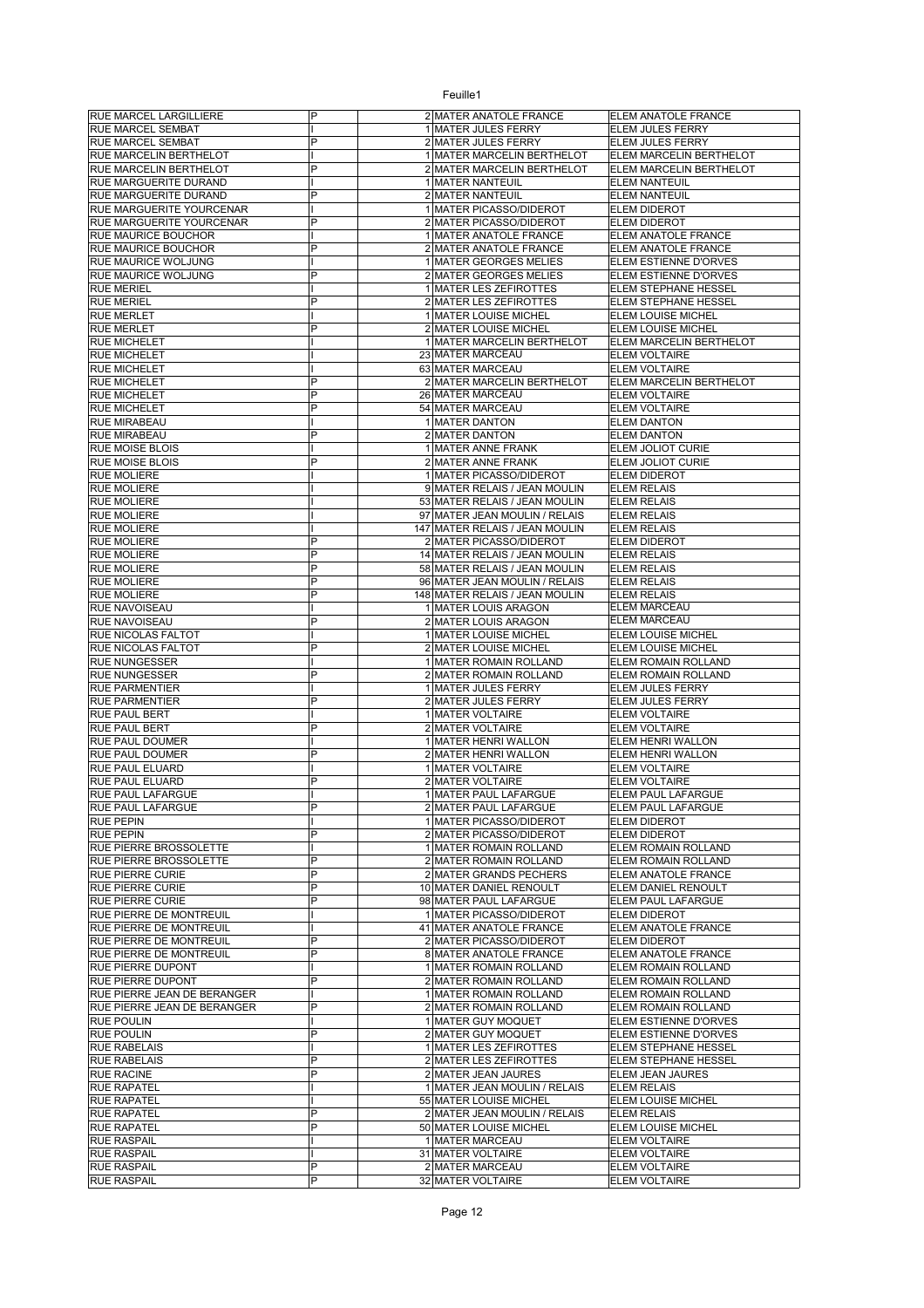| <b>RUE MARCEL LARGILLIERE</b>                      | P              | 2 MATER ANATOLE FRANCE                                  | ELEM ANATOLE FRANCE                           |
|----------------------------------------------------|----------------|---------------------------------------------------------|-----------------------------------------------|
| <b>RUE MARCEL SEMBAT</b>                           |                | 1 MATER JULES FERRY                                     | ELEM JULES FERRY                              |
| RUE MARCEL SEMBAT                                  | P              | 2 MATER JULES FERRY                                     | ELEM JULES FERRY                              |
| RUE MARCELIN BERTHELOT                             |                | 1 MATER MARCELIN BERTHELOT                              | ELEM MARCELIN BERTHELOT                       |
| RUE MARCELIN BERTHELOT                             | P              | 2 MATER MARCELIN BERTHELOT                              | ELEM MARCELIN BERTHELOT                       |
| RUE MARGUERITE DURAND<br>RUE MARGUERITE DURAND     | P              | 1 MATER NANTEUIL<br>2 MATER NANTEUIL                    | <b>ELEM NANTEUIL</b><br><b>ELEM NANTEUIL</b>  |
| RUE MARGUERITE YOURCENAR                           |                | 1 MATER PICASSO/DIDEROT                                 | <b>ELEM DIDEROT</b>                           |
| <b>RUE MARGUERITE YOURCENAR</b>                    | P              | 2 MATER PICASSO/DIDEROT                                 | <b>ELEM DIDEROT</b>                           |
| RUE MAURICE BOUCHOR                                |                | 1 MATER ANATOLE FRANCE                                  | ELEM ANATOLE FRANCE                           |
| RUE MAURICE BOUCHOR                                | P              | 2 MATER ANATOLE FRANCE                                  | ELEM ANATOLE FRANCE                           |
| RUE MAURICE WOLJUNG                                |                | 1 MATER GEORGES MELIES                                  | ELEM ESTIENNE D'ORVES                         |
| RUE MAURICE WOLJUNG                                | P              | 2 MATER GEORGES MELIES                                  | ELEM ESTIENNE D'ORVES                         |
| <b>RUE MERIEL</b>                                  |                | 1 MATER LES ZEFIROTTES                                  | ELEM STEPHANE HESSEL                          |
| <b>RUE MERIEL</b>                                  | P              | 2 MATER LES ZEFIROTTES                                  | ELEM STEPHANE HESSEL                          |
| <b>RUE MERLET</b>                                  | P              | 1 MATER LOUISE MICHEL                                   | ELEM LOUISE MICHEL                            |
| <b>RUE MERLET</b><br><b>RUE MICHELET</b>           |                | 2 MATER LOUISE MICHEL<br>1 MATER MARCELIN BERTHELOT     | ELEM LOUISE MICHEL<br>ELEM MARCELIN BERTHELOT |
| <b>RUE MICHELET</b>                                |                | 23 MATER MARCEAU                                        | <b>ELEM VOLTAIRE</b>                          |
| <b>RUE MICHELET</b>                                |                | 63 MATER MARCEAU                                        | <b>ELEM VOLTAIRE</b>                          |
| <b>RUE MICHELET</b>                                | P              | 2 MATER MARCELIN BERTHELOT                              | ELEM MARCELIN BERTHELOT                       |
| <b>RUE MICHELET</b>                                | P              | 26 MATER MARCEAU                                        | <b>ELEM VOLTAIRE</b>                          |
| <b>RUE MICHELET</b>                                | P              | 54 MATER MARCEAU                                        | <b>ELEM VOLTAIRE</b>                          |
| <b>RUE MIRABEAU</b>                                |                | 1 MATER DANTON                                          | <b>ELEM DANTON</b>                            |
| RUE MIRABEAU                                       | P              | 2 MATER DANTON                                          | <b>ELEM DANTON</b>                            |
| <b>RUE MOISE BLOIS</b>                             |                | 1 MATER ANNE FRANK                                      | ELEM JOLIOT CURIE                             |
| <b>RUE MOISE BLOIS</b>                             | P              | 2 MATER ANNE FRANK                                      | ELEM JOLIOT CURIE                             |
| <b>RUE MOLIERE</b>                                 |                | 1 MATER PICASSO/DIDEROT<br>9 MATER RELAIS / JEAN MOULIN | <b>ELEM DIDEROT</b>                           |
| <b>RUE MOLIERE</b><br><b>RUE MOLIERE</b>           |                | 53 MATER RELAIS / JEAN MOULIN                           | <b>ELEM RELAIS</b><br><b>ELEM RELAIS</b>      |
| <b>RUE MOLIERE</b>                                 |                | 97 MATER JEAN MOULIN / RELAIS                           | <b>ELEM RELAIS</b>                            |
| <b>RUE MOLIERE</b>                                 |                | 147 MATER RELAIS / JEAN MOULIN                          | <b>ELEM RELAIS</b>                            |
| <b>RUE MOLIERE</b>                                 | P              | 2 MATER PICASSO/DIDEROT                                 | <b>ELEM DIDEROT</b>                           |
| <b>RUE MOLIERE</b>                                 | P              | 14 MATER RELAIS / JEAN MOULIN                           | <b>ELEM RELAIS</b>                            |
| <b>RUE MOLIERE</b>                                 | P              | 58 MATER RELAIS / JEAN MOULIN                           | <b>ELEM RELAIS</b>                            |
| <b>RUE MOLIERE</b>                                 | P              | 96 MATER JEAN MOULIN / RELAIS                           | <b>ELEM RELAIS</b>                            |
| <b>RUE MOLIERE</b>                                 | P              | 148 MATER RELAIS / JEAN MOULIN                          | <b>ELEM RELAIS</b>                            |
| <b>RUE NAVOISEAU</b>                               |                | 1 MATER LOUIS ARAGON                                    | <b>ELEM MARCEAU</b>                           |
| RUE NAVOISEAU                                      | P              | 2 MATER LOUIS ARAGON                                    | <b>ELEM MARCEAU</b>                           |
| RUE NICOLAS FALTOT                                 |                | 1 MATER LOUISE MICHEL                                   | ELEM LOUISE MICHEL                            |
| RUE NICOLAS FALTOT<br>RUE NUNGESSER                | P              | 2 MATER LOUISE MICHEL<br>1 MATER ROMAIN ROLLAND         | ELEM LOUISE MICHEL<br>ELEM ROMAIN ROLLAND     |
| <b>RUE NUNGESSER</b>                               | P              | 2 MATER ROMAIN ROLLAND                                  | ELEM ROMAIN ROLLAND                           |
| <b>RUE PARMENTIER</b>                              |                | 1 MATER JULES FERRY                                     | ELEM JULES FERRY                              |
| <b>RUE PARMENTIER</b>                              | P              | 2 MATER JULES FERRY                                     | ELEM JULES FERRY                              |
| RUE PAUL BERT                                      |                | 1 MATER VOLTAIRE                                        | ELEM VOLTAIRE                                 |
| RUE PAUL BERT                                      | P              | 2 MATER VOLTAIRE                                        | <b>ELEM VOLTAIRE</b>                          |
| RUE PAUL DOUMER                                    |                | 1 MATER HENRI WALLON                                    | ELEM HENRI WALLON                             |
| RUE PAUL DOUMER                                    | P              | 2 MATER HENRI WALLON                                    | ELEM HENRI WALLON                             |
| <b>RUE PAUL ELUARD</b>                             |                | 1 MATER VOLTAIRE                                        | <b>ELEM VOLTAIRE</b>                          |
| <b>RUE PAUL ELUARD</b>                             | P              | 2 MATER VOLTAIRE<br>1 MATER PAUL LAFARGUE               | <b>ELEM VOLTAIRE</b>                          |
| RUE PAUL LAFARGUE<br><b>RUE PAUL LAFARGUE</b>      |                | 2 MATER PAUL LAFARGUE                                   | ELEM PAUL LAFARGUE<br>ELEM PAUL LAFARGUE      |
| <b>RUE PEPIN</b>                                   |                | 1 MATER PICASSO/DIDEROT                                 | ELEM DIDEROT                                  |
| <b>RUE PEPIN</b>                                   | P              | 2 MATER PICASSO/DIDEROT                                 | <b>ELEM DIDEROT</b>                           |
| RUE PIERRE BROSSOLETTE                             |                | 1 MATER ROMAIN ROLLAND                                  | ELEM ROMAIN ROLLAND                           |
| <b>RUE PIERRE BROSSOLETTE</b>                      | P              | 2 MATER ROMAIN ROLLAND                                  | ELEM ROMAIN ROLLAND                           |
| <b>RUE PIERRE CURIE</b>                            | P              | 2 MATER GRANDS PECHERS                                  | ELEM ANATOLE FRANCE                           |
| <b>RUE PIERRE CURIE</b>                            | P              | 10 MATER DANIEL RENOULT                                 | ELEM DANIEL RENOULT                           |
| <b>RUE PIERRE CURIE</b>                            | P              | 98 MATER PAUL LAFARGUE                                  | ELEM PAUL LAFARGUE                            |
| RUE PIERRE DE MONTREUIL<br>RUE PIERRE DE MONTREUIL |                | 1 MATER PICASSO/DIDEROT<br>41 MATER ANATOLE FRANCE      | ELEM DIDEROT<br>ELEM ANATOLE FRANCE           |
| RUE PIERRE DE MONTREUIL                            | P              | 2 MATER PICASSO/DIDEROT                                 | ELEM DIDEROT                                  |
| <b>RUE PIERRE DE MONTREUIL</b>                     | P              | 8 MATER ANATOLE FRANCE                                  | ELEM ANATOLE FRANCE                           |
| <b>RUE PIERRE DUPONT</b>                           |                | 1 MATER ROMAIN ROLLAND                                  | ELEM ROMAIN ROLLAND                           |
| RUE PIERRE DUPONT                                  | P              | 2 MATER ROMAIN ROLLAND                                  | ELEM ROMAIN ROLLAND                           |
| RUE PIERRE JEAN DE BERANGER                        |                | 1 MATER ROMAIN ROLLAND                                  | ELEM ROMAIN ROLLAND                           |
| <b>RUE PIERRE JEAN DE BERANGER</b>                 | P              | 2 MATER ROMAIN ROLLAND                                  | ELEM ROMAIN ROLLAND                           |
| <b>RUE POULIN</b>                                  |                | 1 MATER GUY MOQUET                                      | ELEM ESTIENNE D'ORVES                         |
| <b>RUE POULIN</b>                                  | P              | 2 MATER GUY MOQUET                                      | ELEM ESTIENNE D'ORVES                         |
| <b>RUE RABELAIS</b>                                |                | 1 MATER LES ZEFIROTTES                                  | ELEM STEPHANE HESSEL                          |
| <b>RUE RABELAIS</b>                                | P<br>P         | 2 MATER LES ZEFIROTTES                                  | ELEM STEPHANE HESSEL                          |
| <b>RUE RACINE</b><br><b>RUE RAPATEL</b>            |                | 2 MATER JEAN JAURES<br>1 MATER JEAN MOULIN / RELAIS     | ELEM JEAN JAURES<br><b>ELEM RELAIS</b>        |
| <b>RUE RAPATEL</b>                                 |                | 55 MATER LOUISE MICHEL                                  | ELEM LOUISE MICHEL                            |
| <b>RUE RAPATEL</b>                                 | P              | 2 MATER JEAN MOULIN / RELAIS                            | <b>ELEM RELAIS</b>                            |
| <b>RUE RAPATEL</b>                                 | $\overline{P}$ | 50 MATER LOUISE MICHEL                                  | ELEM LOUISE MICHEL                            |
| <b>RUE RASPAIL</b>                                 |                | 1 MATER MARCEAU                                         | <b>ELEM VOLTAIRE</b>                          |
| <b>RUE RASPAIL</b>                                 |                | 31 MATER VOLTAIRE                                       | ELEM VOLTAIRE                                 |
| <b>RUE RASPAIL</b>                                 | P              | 2 MATER MARCEAU                                         | ELEM VOLTAIRE                                 |
| <b>RUE RASPAIL</b>                                 | P              | 32 MATER VOLTAIRE                                       | ELEM VOLTAIRE                                 |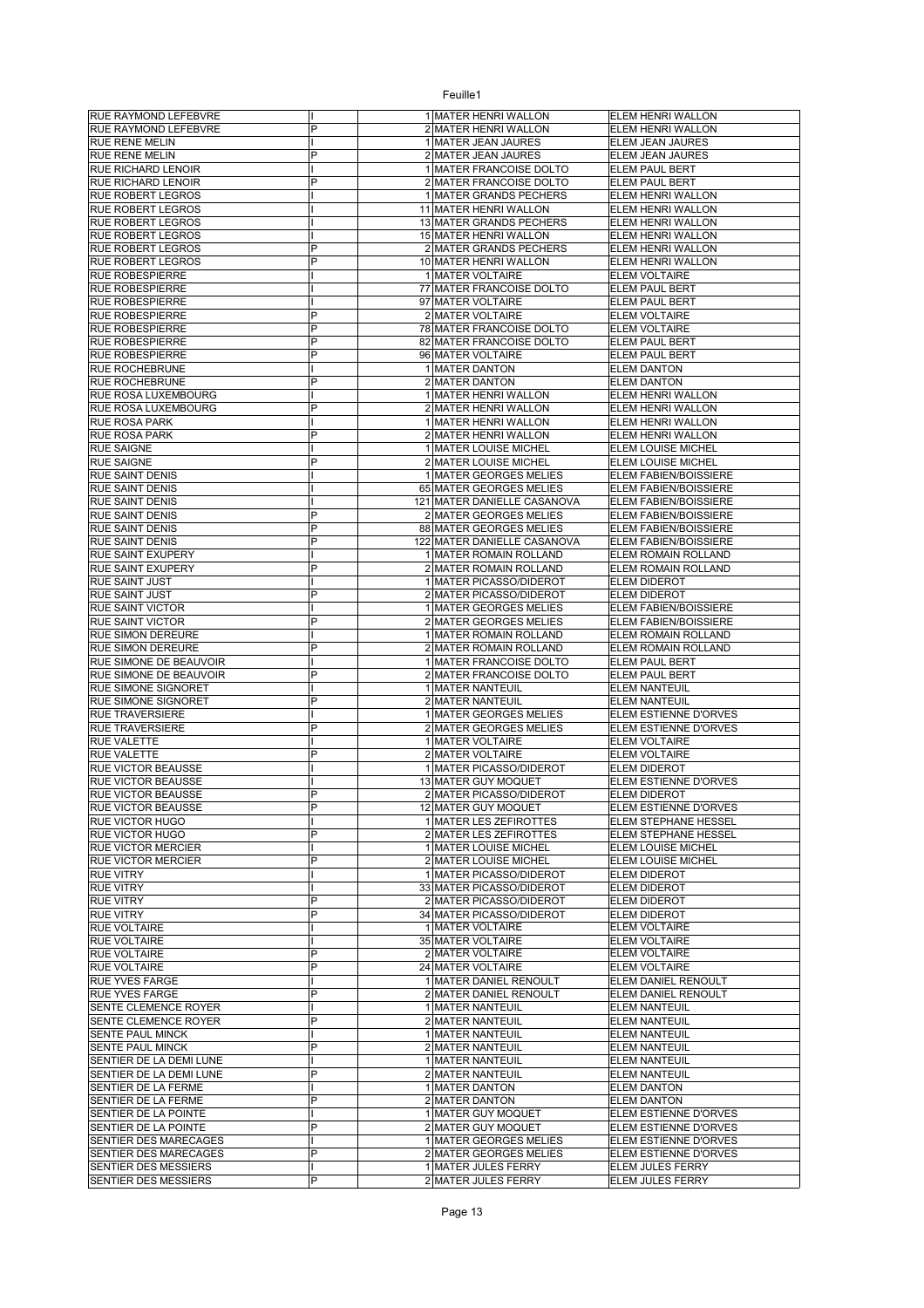| RUE RAYMOND LEFEBVRE                               |   | 1 MATER HENRI WALLON                                   | ELEM HENRI WALLON                              |
|----------------------------------------------------|---|--------------------------------------------------------|------------------------------------------------|
| RUE RAYMOND LEFEBVRE                               | P | 2 MATER HENRI WALLON                                   | ELEM HENRI WALLON                              |
| RUE RENE MELIN                                     | P | 1 MATER JEAN JAURES                                    | ELEM JEAN JAURES                               |
| RUE RENE MELIN<br>RUE RICHARD LENOIR               |   | 2 MATER JEAN JAURES<br>1 MATER FRANCOISE DOLTO         | ELEM JEAN JAURES<br><b>ELEM PAUL BERT</b>      |
| RUE RICHARD LENOIR                                 | P | 2 MATER FRANCOISE DOLTO                                | <b>ELEM PAUL BERT</b>                          |
| <b>RUE ROBERT LEGROS</b>                           |   | 1 MATER GRANDS PECHERS                                 | ELEM HENRI WALLON                              |
| RUE ROBERT LEGROS                                  |   | 11 MATER HENRI WALLON                                  | ELEM HENRI WALLON                              |
| <b>RUE ROBERT LEGROS</b>                           |   | 13 MATER GRANDS PECHERS                                | ELEM HENRI WALLON                              |
| <b>RUE ROBERT LEGROS</b>                           |   | 15 MATER HENRI WALLON                                  | ELEM HENRI WALLON                              |
| <b>RUE ROBERT LEGROS</b>                           | P | 2 MATER GRANDS PECHERS                                 | ELEM HENRI WALLON                              |
| <b>RUE ROBERT LEGROS</b>                           | P | 10 MATER HENRI WALLON                                  | ELEM HENRI WALLON                              |
| <b>RUE ROBESPIERRE</b>                             |   | 1 MATER VOLTAIRE                                       | <b>ELEM VOLTAIRE</b>                           |
| <b>RUE ROBESPIERRE</b>                             |   | 77 MATER FRANCOISE DOLTO<br>97 MATER VOLTAIRE          | <b>ELEM PAUL BERT</b>                          |
| <b>RUE ROBESPIERRE</b><br><b>RUE ROBESPIERRE</b>   | P | 2 MATER VOLTAIRE                                       | ELEM PAUL BERT<br><b>ELEM VOLTAIRE</b>         |
| <b>RUE ROBESPIERRE</b>                             | P | 78 MATER FRANCOISE DOLTO                               | <b>ELEM VOLTAIRE</b>                           |
| RUE ROBESPIERRE                                    | P | 82 MATER FRANCOISE DOLTO                               | ELEM PAUL BERT                                 |
| <b>RUE ROBESPIERRE</b>                             | P | 96 MATER VOLTAIRE                                      | ELEM PAUL BERT                                 |
| RUE ROCHEBRUNE                                     |   | 1 MATER DANTON                                         | <b>ELEM DANTON</b>                             |
| <b>RUE ROCHEBRUNE</b>                              | P | 2 MATER DANTON                                         | <b>ELEM DANTON</b>                             |
| RUE ROSA LUXEMBOURG                                |   | 1 MATER HENRI WALLON                                   | ELEM HENRI WALLON                              |
| RUE ROSA LUXEMBOURG                                | P | 2 MATER HENRI WALLON                                   | ELEM HENRI WALLON                              |
| RUE ROSA PARK                                      |   | 1 MATER HENRI WALLON                                   | ELEM HENRI WALLON                              |
| <b>RUE ROSA PARK</b>                               | P | 2 MATER HENRI WALLON                                   | ELEM HENRI WALLON                              |
| <b>RUE SAIGNE</b>                                  |   | 1 MATER LOUISE MICHEL                                  | ELEM LOUISE MICHEL                             |
| <b>RUE SAIGNE</b>                                  | P | 2 MATER LOUISE MICHEL                                  | ELEM LOUISE MICHEL                             |
| RUE SAINT DENIS                                    |   | 1 MATER GEORGES MELIES                                 | ELEM FABIEN/BOISSIERE                          |
| <b>RUE SAINT DENIS</b>                             |   | 65 MATER GEORGES MELIES<br>121 MATER DANIELLE CASANOVA | <b>ELEM FABIEN/BOISSIERE</b>                   |
| <b>RUE SAINT DENIS</b><br><b>RUE SAINT DENIS</b>   | P | 2 MATER GEORGES MELIES                                 | ELEM FABIEN/BOISSIERE<br>ELEM FABIEN/BOISSIERE |
| <b>RUE SAINT DENIS</b>                             | P | 88 MATER GEORGES MELIES                                | ELEM FABIEN/BOISSIERE                          |
| <b>RUE SAINT DENIS</b>                             | P | 122 MATER DANIELLE CASANOVA                            | ELEM FABIEN/BOISSIERE                          |
| RUE SAINT EXUPERY                                  |   | 1 MATER ROMAIN ROLLAND                                 | ELEM ROMAIN ROLLAND                            |
| RUE SAINT EXUPERY                                  | P | 2 MATER ROMAIN ROLLAND                                 | ELEM ROMAIN ROLLAND                            |
| RUE SAINT JUST                                     |   | 1 MATER PICASSO/DIDEROT                                | <b>ELEM DIDEROT</b>                            |
| RUE SAINT JUST                                     | P | 2 MATER PICASSO/DIDEROT                                | <b>ELEM DIDEROT</b>                            |
| RUE SAINT VICTOR                                   |   | 1 MATER GEORGES MELIES                                 | ELEM FABIEN/BOISSIERE                          |
| RUE SAINT VICTOR                                   | P | 2 MATER GEORGES MELIES                                 | ELEM FABIEN/BOISSIERE                          |
| RUE SIMON DEREURE                                  |   | 1 MATER ROMAIN ROLLAND                                 | ELEM ROMAIN ROLLAND                            |
| RUE SIMON DEREURE                                  | P | 2 MATER ROMAIN ROLLAND                                 | ELEM ROMAIN ROLLAND                            |
| RUE SIMONE DE BEAUVOIR                             |   | 1 MATER FRANCOISE DOLTO                                | ELEM PAUL BERT                                 |
| RUE SIMONE DE BEAUVOIR                             | P | 2 MATER FRANCOISE DOLTO                                | ELEM PAUL BERT                                 |
| RUE SIMONE SIGNORET<br>RUE SIMONE SIGNORET         | P | 1 MATER NANTEUIL<br>2 MATER NANTEUIL                   | <b>ELEM NANTEUIL</b><br><b>ELEM NANTEUIL</b>   |
| <b>RUE TRAVERSIERE</b>                             |   | 1 MATER GEORGES MELIES                                 | ELEM ESTIENNE D'ORVES                          |
| <b>RUE TRAVERSIERE</b>                             | P | 2 MATER GEORGES MELIES                                 | ELEM ESTIENNE D'ORVES                          |
| <b>RUE VALETTE</b>                                 |   | 1 MATER VOLTAIRE                                       | <b>ELEM VOLTAIRE</b>                           |
| RUE VALETTE                                        | P | 2 MATER VOLTAIRE                                       | ELEM VOLTAIRE                                  |
| <b>RUE VICTOR BEAUSSE</b>                          |   | 1 MATER PICASSO/DIDEROT                                | ELEM DIDEROT                                   |
| RUE VICTOR BEAUSSE                                 |   | 13 MATER GUY MOQUET                                    | ELEM ESTIENNE D'ORVES                          |
| RUE VICTOR BEAUSSE                                 | P | 2 MATER PICASSO/DIDEROT                                | <b>ELEM DIDEROT</b>                            |
| RUE VICTOR BEAUSSE                                 |   | 12 MATER GUY MOQUET                                    | ELEM ESTIENNE D'ORVES                          |
| RUE VICTOR HUGO                                    |   | 1 MATER LES ZEFIROTTES                                 | ELEM STEPHANE HESSEL                           |
| RUE VICTOR HUGO                                    | P | 2 MATER LES ZEFIROTTES                                 | ELEM STEPHANE HESSEL                           |
| RUE VICTOR MERCIER                                 | P | 1 MATER LOUISE MICHEL                                  | ELEM LOUISE MICHEL                             |
| <b>RUE VICTOR MERCIER</b>                          |   | 2 MATER LOUISE MICHEL                                  | ELEM LOUISE MICHEL                             |
| <b>RUE VITRY</b><br><b>RUE VITRY</b>               |   | 1 MATER PICASSO/DIDEROT<br>33 MATER PICASSO/DIDEROT    | ELEM DIDEROT<br><b>ELEM DIDEROT</b>            |
| <b>RUE VITRY</b>                                   | P | 2 MATER PICASSO/DIDEROT                                | ELEM DIDEROT                                   |
| <b>RUE VITRY</b>                                   | P | 34 MATER PICASSO/DIDEROT                               | ELEM DIDEROT                                   |
| RUE VOLTAIRE                                       |   | 1 MATER VOLTAIRE                                       | <b>ELEM VOLTAIRE</b>                           |
| RUE VOLTAIRE                                       |   | 35 MATER VOLTAIRE                                      | <b>ELEM VOLTAIRE</b>                           |
| RUE VOLTAIRE                                       | P | 2 MATER VOLTAIRE                                       | <b>ELEM VOLTAIRE</b>                           |
| RUE VOLTAIRE                                       | P | 24 MATER VOLTAIRE                                      | <b>ELEM VOLTAIRE</b>                           |
| RUE YVES FARGE                                     |   | 1 MATER DANIEL RENOULT                                 | ELEM DANIEL RENOULT                            |
| RUE YVES FARGE                                     | P | 2 MATER DANIEL RENOULT                                 | ELEM DANIEL RENOULT                            |
| SENTE CLEMENCE ROYER                               |   | 1 MATER NANTEUIL                                       | <b>ELEM NANTEUIL</b>                           |
| SENTE CLEMENCE ROYER                               | P | 2 MATER NANTEUIL                                       | <b>ELEM NANTEUIL</b>                           |
| SENTE PAUL MINCK<br>SENTE PAUL MINCK               | P | 1 MATER NANTEUIL<br>2 MATER NANTEUIL                   | <b>ELEM NANTEUIL</b><br><b>ELEM NANTEUIL</b>   |
|                                                    |   |                                                        |                                                |
| SENTIER DE LA DEMI LUNE<br>SENTIER DE LA DEMI LUNE | P | 1 MATER NANTEUIL<br>2 MATER NANTEUIL                   | <b>ELEM NANTEUIL</b><br><b>ELEM NANTEUIL</b>   |
| SENTIER DE LA FERME                                |   | 1 MATER DANTON                                         | <b>ELEM DANTON</b>                             |
| SENTIER DE LA FERME                                | P | 2 MATER DANTON                                         | <b>ELEM DANTON</b>                             |
| SENTIER DE LA POINTE                               |   | 1 MATER GUY MOQUET                                     | ELEM ESTIENNE D'ORVES                          |
| SENTIER DE LA POINTE                               | P | 2 MATER GUY MOQUET                                     | ELEM ESTIENNE D'ORVES                          |
| SENTIER DES MARECAGES                              |   | 1 MATER GEORGES MELIES                                 | ELEM ESTIENNE D'ORVES                          |
| SENTIER DES MARECAGES                              | P | 2 MATER GEORGES MELIES                                 | ELEM ESTIENNE D'ORVES                          |
| SENTIER DES MESSIERS                               |   | 1 MATER JULES FERRY                                    | ELEM JULES FERRY                               |
| SENTIER DES MESSIERS                               | P | 2 MATER JULES FERRY                                    | ELEM JULES FERRY                               |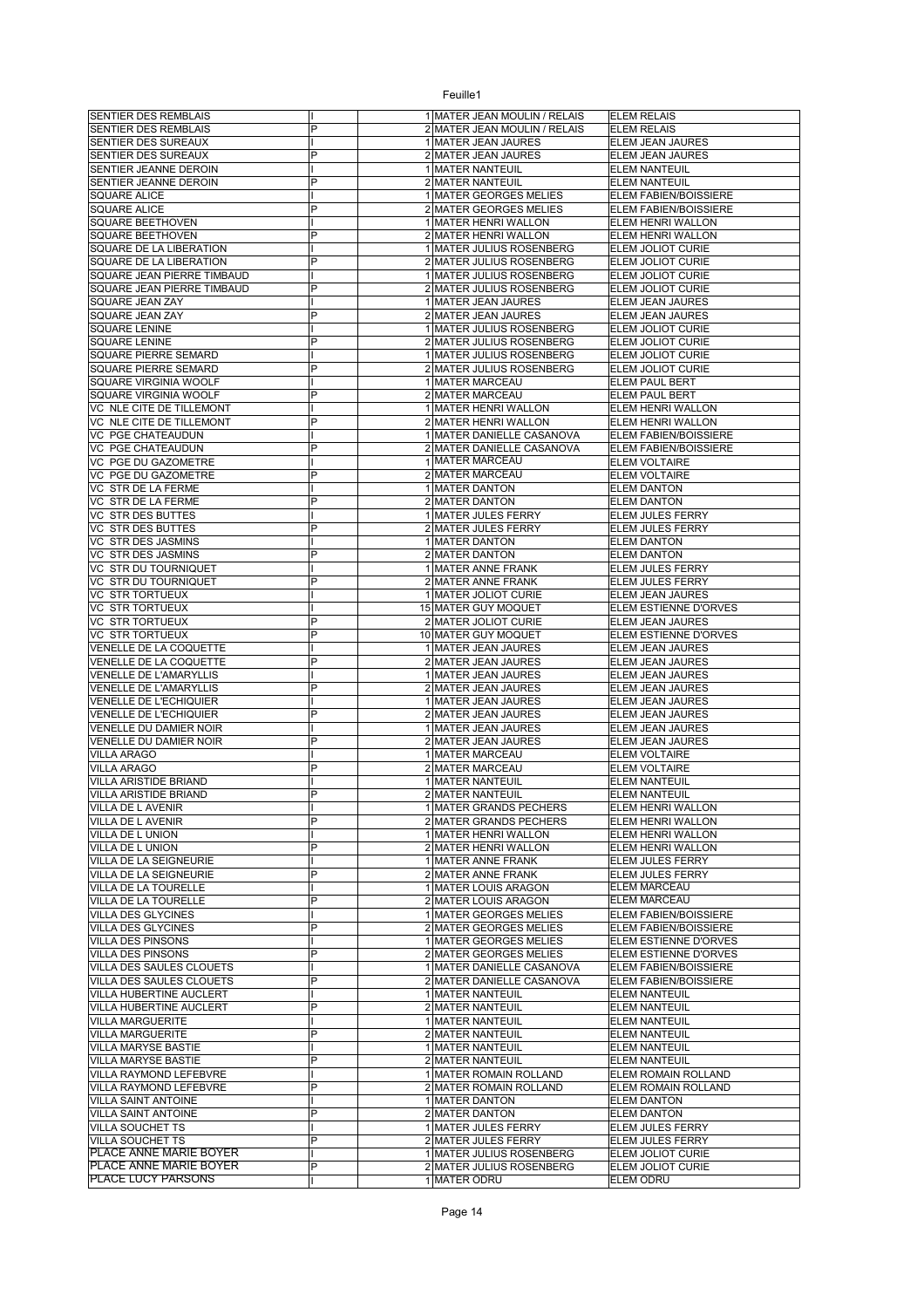| SENTIER DES REMBLAIS                                        |        | 1 MATER JEAN MOULIN / RELAIS                           | <b>ELEM RELAIS</b>                               |
|-------------------------------------------------------------|--------|--------------------------------------------------------|--------------------------------------------------|
| SENTIER DES REMBLAIS                                        | P      | 2 MATER JEAN MOULIN / RELAIS                           | <b>ELEM RELAIS</b>                               |
| SENTIER DES SUREAUX<br>SENTIER DES SUREAUX                  | P      | 1 MATER JEAN JAURES<br>2 MATER JEAN JAURES             | ELEM JEAN JAURES<br>ELEM JEAN JAURES             |
| SENTIER JEANNE DEROIN                                       |        | 1 MATER NANTEUIL                                       | <b>ELEM NANTEUIL</b>                             |
| SENTIER JEANNE DEROIN                                       | P      | 2 MATER NANTEUIL                                       | <b>ELEM NANTEUIL</b>                             |
| <b>SQUARE ALICE</b>                                         |        | 1 MATER GEORGES MELIES                                 | ELEM FABIEN/BOISSIERE                            |
| <b>SQUARE ALICE</b>                                         | P      | 2 MATER GEORGES MELIES                                 | ELEM FABIEN/BOISSIERE                            |
| SQUARE BEETHOVEN<br><b>SQUARE BEETHOVEN</b>                 | P      | 1 MATER HENRI WALLON<br>2 MATER HENRI WALLON           | ELEM HENRI WALLON<br>ELEM HENRI WALLON           |
| SQUARE DE LA LIBERATION                                     |        | 1 MATER JULIUS ROSENBERG                               | ELEM JOLIOT CURIE                                |
| SQUARE DE LA LIBERATION                                     | P      | 2 MATER JULIUS ROSENBERG                               | ELEM JOLIOT CURIE                                |
| SQUARE JEAN PIERRE TIMBAUD                                  |        | 1 MATER JULIUS ROSENBERG                               | ELEM JOLIOT CURIE                                |
| SQUARE JEAN PIERRE TIMBAUD                                  | P      | 2 MATER JULIUS ROSENBERG                               | <b>ELEM JOLIOT CURIE</b>                         |
| SQUARE JEAN ZAY                                             |        | 1 MATER JEAN JAURES                                    | ELEM JEAN JAURES                                 |
| SQUARE JEAN ZAY<br><b>SQUARE LENINE</b>                     | P      | 2 MATER JEAN JAURES<br>1 MATER JULIUS ROSENBERG        | ELEM JEAN JAURES<br>ELEM JOLIOT CURIE            |
| SQUARE LENINE                                               | P      | 2 MATER JULIUS ROSENBERG                               | ELEM JOLIOT CURIE                                |
| SQUARE PIERRE SEMARD                                        |        | 1 MATER JULIUS ROSENBERG                               | <b>ELEM JOLIOT CURIE</b>                         |
| <b>SQUARE PIERRE SEMARD</b>                                 | P      | 2 MATER JULIUS ROSENBERG                               | ELEM JOLIOT CURIE                                |
| SQUARE VIRGINIA WOOLF                                       |        | 1 MATER MARCEAU                                        | ELEM PAUL BERT                                   |
| SQUARE VIRGINIA WOOLF                                       | P      | 2 MATER MARCEAU                                        | ELEM PAUL BERT                                   |
| VC NLE CITE DE TILLEMONT<br>VC NLE CITE DE TILLEMONT        | P      | 1 MATER HENRI WALLON<br>2 MATER HENRI WALLON           | ELEM HENRI WALLON<br>ELEM HENRI WALLON           |
| <b>VC PGE CHATEAUDUN</b>                                    |        | 1 MATER DANIELLE CASANOVA                              | ELEM FABIEN/BOISSIERE                            |
| VC PGE CHATEAUDUN                                           | P      | 2 MATER DANIELLE CASANOVA                              | ELEM FABIEN/BOISSIERE                            |
| VC PGE DU GAZOMETRE                                         |        | 1 MATER MARCEAU                                        | <b>ELEM VOLTAIRE</b>                             |
| VC PGE DU GAZOMETRE                                         | P      | 2 MATER MARCEAU                                        | <b>ELEM VOLTAIRE</b>                             |
| VC STR DE LA FERME                                          |        | 1 MATER DANTON                                         | <b>ELEM DANTON</b>                               |
| VC STR DE LA FERME<br><b>VC STR DES BUTTES</b>              | P      | 2 MATER DANTON<br>1 MATER JULES FERRY                  | <b>ELEM DANTON</b><br>ELEM JULES FERRY           |
| <b>VC STR DES BUTTES</b>                                    | P      | 2 MATER JULES FERRY                                    | ELEM JULES FERRY                                 |
| VC STR DES JASMINS                                          |        | 1 MATER DANTON                                         | <b>ELEM DANTON</b>                               |
| <b>VC STR DES JASMINS</b>                                   | P      | 2 MATER DANTON                                         | <b>ELEM DANTON</b>                               |
| VC STR DU TOURNIQUET                                        |        | 1 MATER ANNE FRANK                                     | ELEM JULES FERRY                                 |
| VC STR DU TOURNIQUET                                        | P      | 2 MATER ANNE FRANK                                     | ELEM JULES FERRY                                 |
| <b>VC STR TORTUEUX</b>                                      |        | 1 MATER JOLIOT CURIE                                   | ELEM JEAN JAURES                                 |
| <b>VC STR TORTUEUX</b><br><b>VC STR TORTUEUX</b>            | Ρ      | 15 MATER GUY MOQUET<br>2 MATER JOLIOT CURIE            | ELEM ESTIENNE D'ORVES<br>ELEM JEAN JAURES        |
| VC STR TORTUEUX                                             | P      | 10 MATER GUY MOQUET                                    | ELEM ESTIENNE D'ORVES                            |
| VENELLE DE LA COQUETTE                                      |        | 1 MATER JEAN JAURES                                    | ELEM JEAN JAURES                                 |
| VENELLE DE LA COQUETTE                                      | P      | 2 MATER JEAN JAURES                                    | ELEM JEAN JAURES                                 |
| VENELLE DE L'AMARYLLIS                                      |        | 1 MATER JEAN JAURES                                    | ELEM JEAN JAURES                                 |
| <b>VENELLE DE L'AMARYLLIS</b>                               | P      | 2 MATER JEAN JAURES                                    | ELEM JEAN JAURES                                 |
| VENELLE DE L'ECHIQUIER<br>VENELLE DE L'ECHIQUIER            | P      | 1 MATER JEAN JAURES<br>2 MATER JEAN JAURES             | ELEM JEAN JAURES<br>ELEM JEAN JAURES             |
| VENELLE DU DAMIER NOIR                                      |        | 1 MATER JEAN JAURES                                    | ELEM JEAN JAURES                                 |
| VENELLE DU DAMIER NOIR                                      | P      | 2 MATER JEAN JAURES                                    | ELEM JEAN JAURES                                 |
| <b>VILLA ARAGO</b>                                          |        | 1 MATER MARCEAU                                        | <b>ELEM VOLTAIRE</b>                             |
| <b>VILLA ARAGO</b>                                          | P      | 2 MATER MARCEAU                                        | <b>ELEM VOLTAIRE</b>                             |
| VILLA ARISTIDE BRIAND                                       |        | 1 MATER NANTEUIL                                       | <b>ELEM NANTEUIL</b>                             |
| VILLA ARISTIDE BRIAND<br><b>VILLA DE L AVENIR</b>           | P      | 2 MATER NANTEUIL<br>1 MATER GRANDS PECHERS             | <b>ELEM NANTEUIL</b><br><b>ELEM HENRI WALLON</b> |
| VILLA DE L AVENIR                                           | P      | 2 MATER GRANDS PECHERS                                 | ELEM HENRI WALLON                                |
| VILLA DE L UNION                                            |        | 1 MATER HENRI WALLON                                   | ELEM HENRI WALLON                                |
| VILLA DE L UNION                                            | P      | 2 MATER HENRI WALLON                                   | ELEM HENRI WALLON                                |
| VILLA DE LA SEIGNEURIE                                      |        | 1 MATER ANNE FRANK                                     | ELEM JULES FERRY                                 |
| VILLA DE LA SEIGNEURIE<br>VILLA DE LA TOURELLE              | P      | 2 MATER ANNE FRANK                                     | <b>ELEM JULES FERRY</b><br><b>ELEM MARCEAU</b>   |
| VILLA DE LA TOURELLE                                        | P      | 1 MATER LOUIS ARAGON<br>2 MATER LOUIS ARAGON           | ELEM MARCEAU                                     |
| <b>VILLA DES GLYCINES</b>                                   |        | 1 MATER GEORGES MELIES                                 | ELEM FABIEN/BOISSIERE                            |
| <b>VILLA DES GLYCINES</b>                                   | P      | 2 MATER GEORGES MELIES                                 | ELEM FABIEN/BOISSIERE                            |
| VILLA DES PINSONS                                           |        | 1 MATER GEORGES MELIES                                 | ELEM ESTIENNE D'ORVES                            |
| VILLA DES PINSONS                                           | P      | 2 MATER GEORGES MELIES                                 | ELEM ESTIENNE D'ORVES                            |
| <b>VILLA DES SAULES CLOUETS</b><br>VILLA DES SAULES CLOUETS | P      | 1 MATER DANIELLE CASANOVA<br>2 MATER DANIELLE CASANOVA | ELEM FABIEN/BOISSIERE<br>ELEM FABIEN/BOISSIERE   |
| VILLA HUBERTINE AUCLERT                                     |        | 1 MATER NANTEUIL                                       | <b>ELEM NANTEUIL</b>                             |
| VILLA HUBERTINE AUCLERT                                     | P      | 2 MATER NANTEUIL                                       | <b>ELEM NANTEUIL</b>                             |
| <b>VILLA MARGUERITE</b>                                     |        | 1 MATER NANTEUIL                                       | <b>ELEM NANTEUIL</b>                             |
| <b>VILLA MARGUERITE</b>                                     | P      | 2 MATER NANTEUIL                                       | <b>ELEM NANTEUIL</b>                             |
| VILLA MARYSE BASTIE                                         |        | 1 MATER NANTEUIL                                       | <b>ELEM NANTEUIL</b>                             |
| VILLA MARYSE BASTIE                                         | P      | 2 MATER NANTEUIL                                       | <b>ELEM NANTEUIL</b>                             |
| VILLA RAYMOND LEFEBVRE<br>VILLA RAYMOND LEFEBVRE            | P      | 1 MATER ROMAIN ROLLAND<br>2 MATER ROMAIN ROLLAND       | ELEM ROMAIN ROLLAND<br>ELEM ROMAIN ROLLAND       |
| VILLA SAINT ANTOINE                                         |        | 1 MATER DANTON                                         | <b>ELEM DANTON</b>                               |
| VILLA SAINT ANTOINE                                         | P      | 2 MATER DANTON                                         | <b>ELEM DANTON</b>                               |
| VILLA SOUCHET TS                                            |        | 1 MATER JULES FERRY                                    | <b>ELEM JULES FERRY</b>                          |
| <b>VILLA SOUCHET TS</b>                                     | P      | 2 MATER JULES FERRY                                    | ELEM JULES FERRY                                 |
| PLACE ANNE MARIE BOYER<br>PLACE ANNE MARIE BOYER            |        | 1 MATER JULIUS ROSENBERG                               | ELEM JOLIOT CURIE                                |
| PLACE LUCY PARSONS                                          | P<br>T | 2 MATER JULIUS ROSENBERG<br>1 MATER ODRU               | ELEM JOLIOT CURIE<br>ELEM ODRU                   |
|                                                             |        |                                                        |                                                  |